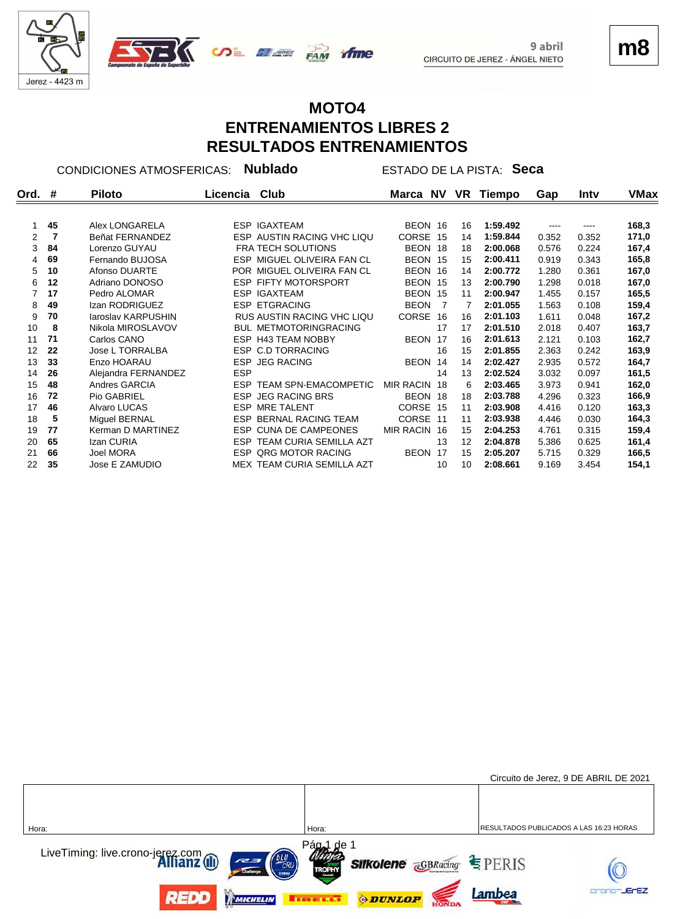

# **m8**

#### **MOTO4 ENTRENAMIENTOS LIBRES 2 RESULTADOS ENTRENAMIENTOS**

**Ord. Piloto Licencia Club Marca Tiempo Gap NV VR # Intv VMax** CONDICIONES ATMOSFERICAS: **Nublado** ESTADO DE LA PISTA: **Seca**

|    | 45 | Alex LONGARELA      | <b>ESP IGAXTEAM</b>                   | BEON 16          |      | 16 | 1:59.492 |       | ----  | 168,3 |
|----|----|---------------------|---------------------------------------|------------------|------|----|----------|-------|-------|-------|
| 2  | 7  | Beñat FERNANDEZ     | ESP AUSTIN RACING VHC LIQU            | <b>CORSE</b>     | - 15 | 14 | 1:59.844 | 0.352 | 0.352 | 171,0 |
| 3  | 84 | Lorenzo GUYAU       | <b>FRA TECH SOLUTIONS</b>             | BEON 18          |      | 18 | 2:00.068 | 0.576 | 0.224 | 167,4 |
| 4  | 69 | Fernando BUJOSA     | ESP MIGUEL OLIVEIRA FAN CL            | BEON 15          |      | 15 | 2:00.411 | 0.919 | 0.343 | 165,8 |
| 5  | 10 | Afonso DUARTE       | POR MIGUEL OLIVEIRA FAN CL            | <b>BEON</b>      | -16  | 14 | 2:00.772 | 1.280 | 0.361 | 167,0 |
| 6  | 12 | Adriano DONOSO      | <b>ESP FIFTY MOTORSPORT</b>           | BEON 15          |      | 13 | 2:00.790 | 1.298 | 0.018 | 167,0 |
| 7  | 17 | Pedro ALOMAR        | <b>ESP IGAXTEAM</b>                   | BEON 15          |      | 11 | 2:00.947 | 1.455 | 0.157 | 165,5 |
| 8  | 49 | Izan RODRIGUEZ      | <b>ESP ETGRACING</b>                  | <b>BEON</b>      |      | 7  | 2:01.055 | 1.563 | 0.108 | 159,4 |
| 9  | 70 | laroslav KARPUSHIN  | <b>RUS AUSTIN RACING VHC LIQU</b>     | <b>CORSE</b>     | -16  | 16 | 2:01.103 | 1.611 | 0.048 | 167,2 |
| 10 | 8  | Nikola MIROSLAVOV   | <b>BUL METMOTORINGRACING</b>          |                  | 17   | 17 | 2:01.510 | 2.018 | 0.407 | 163,7 |
| 11 | 71 | Carlos CANO         | ESP H43 TEAM NOBBY                    | BEON 17          |      | 16 | 2:01.613 | 2.121 | 0.103 | 162,7 |
| 12 | 22 | Jose L TORRALBA     | <b>ESP C.D TORRACING</b>              |                  | 16   | 15 | 2:01.855 | 2.363 | 0.242 | 163,9 |
| 13 | 33 | Enzo HOARAU         | <b>ESP JEG RACING</b>                 | BEON 14          |      | 14 | 2:02.427 | 2.935 | 0.572 | 164,7 |
| 14 | 26 | Alejandra FERNANDEZ | <b>ESP</b>                            |                  | 14   | 13 | 2:02.524 | 3.032 | 0.097 | 161,5 |
| 15 | 48 | Andres GARCIA       | <b>ESP</b><br>TEAM SPN-EMACOMPETIC    | <b>MIR RACIN</b> | -18  | 6  | 2:03.465 | 3.973 | 0.941 | 162,0 |
| 16 | 72 | Pio GABRIEL         | <b>JEG RACING BRS</b><br>ESP.         | BEON 18          |      | 18 | 2:03.788 | 4.296 | 0.323 | 166,9 |
| 17 | 46 | Alvaro LUCAS        | <b>MRE TALENT</b><br>ESP.             | <b>CORSE</b>     | 15   | 11 | 2:03.908 | 4.416 | 0.120 | 163,3 |
| 18 | 5  | Miquel BERNAL       | <b>BERNAL RACING TEAM</b><br>ESP.     | <b>CORSE</b>     | 11   | 11 | 2:03.938 | 4.446 | 0.030 | 164,3 |
| 19 | 77 | Kerman D MARTINEZ   | ESP CUNA DE CAMPEONES                 | <b>MIR RACIN</b> | -16  | 15 | 2:04.253 | 4.761 | 0.315 | 159,4 |
| 20 | 65 | Izan CURIA          | <b>TEAM CURIA SEMILLA AZT</b><br>ESP. |                  | 13   | 12 | 2:04.878 | 5.386 | 0.625 | 161,4 |
| 21 | 66 | Joel MORA           | <b>ESP QRG MOTOR RACING</b>           | BEON 17          |      | 15 | 2:05.207 | 5.715 | 0.329 | 166,5 |
| 22 | 35 | Jose E ZAMUDIO      | MEX TEAM CURIA SEMILLA AZT            |                  | 10   | 10 | 2:08.661 | 9.169 | 3.454 | 154,1 |
|    |    |                     |                                       |                  |      |    |          |       |       |       |

|                                                                      |                                                                                                                     | Circuito de Jerez, 9 DE ABRIL DE 2021   |
|----------------------------------------------------------------------|---------------------------------------------------------------------------------------------------------------------|-----------------------------------------|
|                                                                      |                                                                                                                     |                                         |
| Hora:                                                                | Hora:                                                                                                               | RESULTADOS PUBLICADOS A LAS 16:23 HORAS |
| LiveTiming: live.crono-jerez.com<br><b>Allianz</b> (ii)<br>Challenge | Pág <sub>a</sub> 1<br>∴de<br><b>Silkolene <i><u>GBRacing</u> SILKOlene ZGBRacing SILKOLENE</i></b><br><b>TROPHY</b> |                                         |
| <b>TELED BY</b><br>MICHELIN                                          | <b><i>ODUNLOP</i></b><br><b>THE EXET</b>                                                                            | -JErEZ<br>Lambea                        |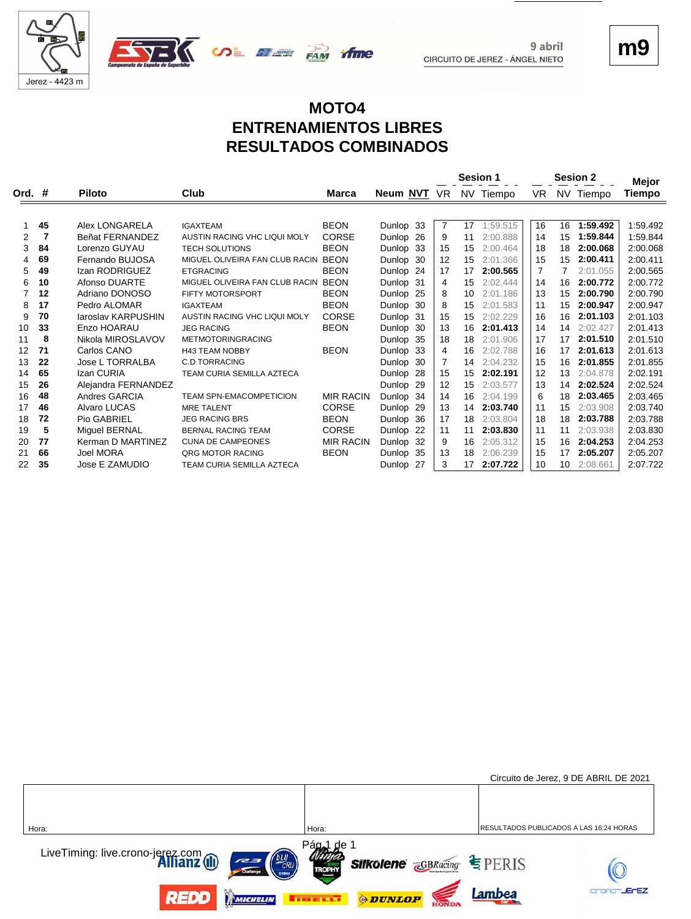



**m9**

# **MOTO4 ENTRENAMIENTOS LIBRES RESULTADOS COMBINADOS**

**SALE AND TIME** 

|                   |    |                        |                                  |                  | <b>Sesion 1</b> |                |    |           |    | <b>Sesion 2</b> |           |                 |  |
|-------------------|----|------------------------|----------------------------------|------------------|-----------------|----------------|----|-----------|----|-----------------|-----------|-----------------|--|
| Ord. #            |    | <b>Piloto</b>          | Club                             | Marca            | Neum NVT        | VR             |    | NV Tiempo | VR |                 | NV Tiempo | Mejor<br>Tiempo |  |
|                   |    |                        |                                  |                  |                 |                |    |           |    |                 |           |                 |  |
|                   | 45 | Alex LONGARELA         | <b>IGAXTEAM</b>                  | <b>BEON</b>      | Dunlop 33       | $\overline{7}$ | 17 | 1:59.515  | 16 | 16              | 1:59.492  | 1:59.492        |  |
| $\overline{2}$    | 7  | Beñat FERNANDEZ        | AUSTIN RACING VHC LIQUI MOLY     | CORSE            | Dunlop 26       | 9              | 11 | 2:00.888  | 14 | 15              | 1:59.844  | 1:59.844        |  |
| 3                 | 84 | Lorenzo GUYAU          | <b>TECH SOLUTIONS</b>            | <b>BEON</b>      | Dunlop 33       | 15             | 15 | 2:00.464  | 18 | 18              | 2:00.068  | 2:00.068        |  |
| 4                 | 69 | Fernando BUJOSA        | MIGUEL OLIVEIRA FAN CLUB RACIN   | <b>BEON</b>      | Dunlop 30       | 12             | 15 | 2:01.366  | 15 | 15              | 2:00.411  | 2:00.411        |  |
| 5                 | 49 | Izan RODRIGUEZ         | <b>ETGRACING</b>                 | <b>BEON</b>      | Dunlop 24       | 17             | 17 | 2:00.565  | 7  | 7               | 2:01.055  | 2:00.565        |  |
| 6                 | 10 | Afonso DUARTE          | MIGUEL OLIVEIRA FAN CLUB RACIN   | <b>BEON</b>      | Dunlop 31       | 4              | 15 | 2:02.444  | 14 | 16              | 2:00.772  | 2:00.772        |  |
| 7                 | 12 | Adriano DONOSO         | FIFTY MOTORSPORT                 | <b>BEON</b>      | Dunlop 25       | 8              | 10 | 2:01.186  | 13 | 15              | 2:00.790  | 2:00.790        |  |
| 8                 | 17 | Pedro ALOMAR           | <b>IGAXTEAM</b>                  | <b>BEON</b>      | Dunlop 30       | 8              | 15 | 2:01.583  | 11 | 15              | 2:00.947  | 2:00.947        |  |
| 9                 | 70 | Jaroslav KARPUSHIN     | AUSTIN RACING VHC LIQUI MOLY     | CORSE            | Dunlop 31       | 15             | 15 | 2:02.229  | 16 | 16              | 2:01.103  | 2:01.103        |  |
| 10                | 33 | Enzo HOARAU            | <b>JEG RACING</b>                | <b>BEON</b>      | Dunlop 30       | 13             | 16 | 2:01.413  | 14 | 14              | 2:02.427  | 2:01.413        |  |
| 11                | 8  | Nikola MIROSLAVOV      | <b>METMOTORINGRACING</b>         |                  | Dunlop 35       | 18             | 18 | 2:01.906  | 17 | 17              | 2:01.510  | 2:01.510        |  |
| $12 \overline{ }$ | 71 | Carlos CANO            | <b>H43 TEAM NOBBY</b>            | <b>BEON</b>      | Dunlop 33       | 4              | 16 | 2:02.788  | 16 | 17              | 2:01.613  | 2:01.613        |  |
| 13                | 22 | <b>Jose L TORRALBA</b> | <b>C.D TORRACING</b>             |                  | Dunlop 30       | 7              | 14 | 2:04.232  | 15 | 16              | 2:01.855  | 2:01.855        |  |
| 14                | 65 | Izan CURIA             | <b>TEAM CURIA SEMILLA AZTECA</b> |                  | Dunlop 28       | 15             | 15 | 2:02.191  | 12 | 13              | 2:04.878  | 2:02.191        |  |
| 15                | 26 | Alejandra FERNANDEZ    |                                  |                  | Dunlop 29       | 12             | 15 | 2:03.577  | 13 | 14              | 2:02.524  | 2:02.524        |  |
| 16                | 48 | Andres GARCIA          | <b>TEAM SPN-EMACOMPETICION</b>   | <b>MIR RACIN</b> | Dunlop 34       | 14             | 16 | 2:04.199  | 6  | 18              | 2:03.465  | 2:03.465        |  |
| 17                | 46 | Alvaro LUCAS           | <b>MRE TALENT</b>                | <b>CORSE</b>     | Dunlop 29       | 13             | 14 | 2:03.740  | 11 | 15              | 2:03.908  | 2:03.740        |  |
| 18                | 72 | Pio GABRIEL            | <b>JEG RACING BRS</b>            | <b>BEON</b>      | Dunlop 36       | 17             | 18 | 2:03.804  | 18 | 18              | 2:03.788  | 2:03.788        |  |
| 19                | 5  | Miguel BERNAL          | <b>BERNAL RACING TEAM</b>        | <b>CORSE</b>     | Dunlop 22       | 11             | 11 | 2:03.830  | 11 | 11              | 2:03.938  | 2:03.830        |  |
| 20                | 77 | Kerman D MARTINEZ      | <b>CUNA DE CAMPEONES</b>         | <b>MIR RACIN</b> | Dunlop 32       | 9              | 16 | 2:05.312  | 15 | 16              | 2:04.253  | 2:04.253        |  |
| 21                | 66 | Joel MORA              | ORG MOTOR RACING                 | <b>BEON</b>      | Dunlop 35       | 13             | 18 | 2:06.239  | 15 | 17              | 2:05.207  | 2:05.207        |  |
| 22                | 35 | Jose E ZAMUDIO         | TEAM CURIA SEMILLA AZTECA        |                  | Dunlop 27       | 3              | 17 | 2:07.722  | 10 | 10              | 2:08.661  | 2:07.722        |  |

|                                                                                                                                     |                                                                      | Circuito de Jerez, 9 DE ABRIL DE 2021   |
|-------------------------------------------------------------------------------------------------------------------------------------|----------------------------------------------------------------------|-----------------------------------------|
|                                                                                                                                     |                                                                      |                                         |
| Hora:                                                                                                                               | Hora:                                                                | RESULTADOS PUBLICADOS A LAS 16:24 HORAS |
| LiveTiming: live.crono-jerez.com<br><b>Alfianz</b> (II)<br>$\begin{pmatrix} 6LU \\ CRU \\ \hline \end{pmatrix}$<br>727<br>Challenge | Pág <sub>al</sub> de 1<br><b>Silkolene GBRacing SPERIS</b><br>TROPHY |                                         |
| <b>REDD</b><br>MICHELIN                                                                                                             | <b>ODUNLOP</b><br><b>TRELLI</b>                                      | <b>JEFEZ</b><br>Lambea                  |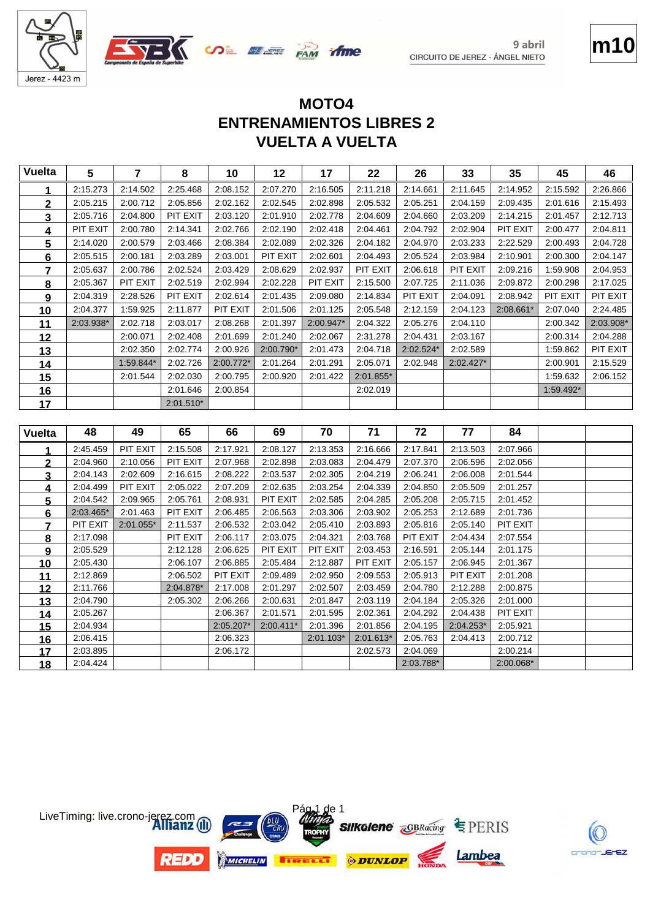





crono-JErEZ

# **VUELTA A VUELTA ENTRENAMIENTOS LIBRES 2 MOTO4**

| 2:08.152<br>2:14.952<br>2:15.592<br>2:15.273<br>2:14.502<br>2:25.468<br>2:07.270<br>2:16.505<br>2:11.218<br>2:14.661<br>2:11.645<br>1<br>2:05.215<br>2:00.712<br>2:05.856<br>2:02.162<br>2:02.545<br>2:02.898<br>2:05.532<br>2:05.251<br>2:04.159<br>2:09.435<br>2:01.616<br>2<br>PIT EXIT<br>2:05.716<br>2:04.800<br>2:03.120<br>2:01.910<br>2:02.778<br>2:04.609<br>2:04.660<br>2:03.209<br>2:14.215<br>2:01.457<br>3<br>PIT EXIT<br>PIT EXIT<br>2:00.780<br>2:14.341<br>2:02.766<br>2:02.190<br>2:02.418<br>2:04.461<br>2:04.792<br>2:02.904<br>2:00.477<br>4<br>2:14.020<br>2:00.579<br>2:03.466<br>2:08.384<br>2:02.089<br>2:02.326<br>2:04.182<br>2:04.970<br>2:03.233<br>2:22.529<br>2:00.493<br>5<br>PIT EXIT<br>2:05.515<br>2:00.181<br>2:03.289<br>2:03.001<br>2:02.601<br>2:04.493<br>2:05.524<br>2:03.984<br>2:10.901<br>2:00.300<br>6<br>PIT EXIT<br>2:05.637<br>2:00.786<br>2:02.524<br>2:03.429<br>2:08.629<br>2:02.937<br>PIT EXIT<br>2:06.618<br>2:09.216<br>1:59.908<br>7<br>2:05.367<br>PIT EXIT<br>2:02.519<br>2:02.994<br>2:02.228<br>PIT EXIT<br>2:15.500<br>2:07.725<br>2:11.036<br>2:09.872<br>2:00.298<br>8<br>PIT EXIT<br>2:04.319<br>2:28.526<br>2:02.614<br>2:01.435<br>2:09.080<br>2:14.834<br>PIT EXIT<br>2:04.091<br>2:08.942<br>PIT EXIT<br>9<br>2:04.377<br>1:59.925<br>2:11.877<br>PIT EXIT<br>2:01.506<br>2:05.548<br>2:12.159<br>2:04.123<br>2:08.661*<br>2:01.125<br>2:07.040<br>10<br>2:02.718<br>2:01.397<br>2:04.322<br>2:05.276<br>2:04.110<br>2:03.938*<br>2:03.017<br>2:08.268<br>2:00.947*<br>2:00.342<br>11 | 2:26.866<br>2:15.493<br>2:12.713<br>2:04.811<br>2:04.728<br>2:04.147<br>2:04.953<br>2:17.025<br>PIT EXIT<br>2:24.485 |
|----------------------------------------------------------------------------------------------------------------------------------------------------------------------------------------------------------------------------------------------------------------------------------------------------------------------------------------------------------------------------------------------------------------------------------------------------------------------------------------------------------------------------------------------------------------------------------------------------------------------------------------------------------------------------------------------------------------------------------------------------------------------------------------------------------------------------------------------------------------------------------------------------------------------------------------------------------------------------------------------------------------------------------------------------------------------------------------------------------------------------------------------------------------------------------------------------------------------------------------------------------------------------------------------------------------------------------------------------------------------------------------------------------------------------------------------------------------------------------------------------------------------------------------------------------|----------------------------------------------------------------------------------------------------------------------|
|                                                                                                                                                                                                                                                                                                                                                                                                                                                                                                                                                                                                                                                                                                                                                                                                                                                                                                                                                                                                                                                                                                                                                                                                                                                                                                                                                                                                                                                                                                                                                          |                                                                                                                      |
|                                                                                                                                                                                                                                                                                                                                                                                                                                                                                                                                                                                                                                                                                                                                                                                                                                                                                                                                                                                                                                                                                                                                                                                                                                                                                                                                                                                                                                                                                                                                                          |                                                                                                                      |
|                                                                                                                                                                                                                                                                                                                                                                                                                                                                                                                                                                                                                                                                                                                                                                                                                                                                                                                                                                                                                                                                                                                                                                                                                                                                                                                                                                                                                                                                                                                                                          |                                                                                                                      |
|                                                                                                                                                                                                                                                                                                                                                                                                                                                                                                                                                                                                                                                                                                                                                                                                                                                                                                                                                                                                                                                                                                                                                                                                                                                                                                                                                                                                                                                                                                                                                          |                                                                                                                      |
|                                                                                                                                                                                                                                                                                                                                                                                                                                                                                                                                                                                                                                                                                                                                                                                                                                                                                                                                                                                                                                                                                                                                                                                                                                                                                                                                                                                                                                                                                                                                                          |                                                                                                                      |
|                                                                                                                                                                                                                                                                                                                                                                                                                                                                                                                                                                                                                                                                                                                                                                                                                                                                                                                                                                                                                                                                                                                                                                                                                                                                                                                                                                                                                                                                                                                                                          |                                                                                                                      |
|                                                                                                                                                                                                                                                                                                                                                                                                                                                                                                                                                                                                                                                                                                                                                                                                                                                                                                                                                                                                                                                                                                                                                                                                                                                                                                                                                                                                                                                                                                                                                          |                                                                                                                      |
|                                                                                                                                                                                                                                                                                                                                                                                                                                                                                                                                                                                                                                                                                                                                                                                                                                                                                                                                                                                                                                                                                                                                                                                                                                                                                                                                                                                                                                                                                                                                                          |                                                                                                                      |
|                                                                                                                                                                                                                                                                                                                                                                                                                                                                                                                                                                                                                                                                                                                                                                                                                                                                                                                                                                                                                                                                                                                                                                                                                                                                                                                                                                                                                                                                                                                                                          |                                                                                                                      |
|                                                                                                                                                                                                                                                                                                                                                                                                                                                                                                                                                                                                                                                                                                                                                                                                                                                                                                                                                                                                                                                                                                                                                                                                                                                                                                                                                                                                                                                                                                                                                          |                                                                                                                      |
|                                                                                                                                                                                                                                                                                                                                                                                                                                                                                                                                                                                                                                                                                                                                                                                                                                                                                                                                                                                                                                                                                                                                                                                                                                                                                                                                                                                                                                                                                                                                                          | 2:03.908*                                                                                                            |
| 2:01.240<br>2:04.431<br>2:03.167<br>2:00.071<br>2:02.408<br>2:01.699<br>2:02.067<br>2:31.278<br>2:00.314<br>12                                                                                                                                                                                                                                                                                                                                                                                                                                                                                                                                                                                                                                                                                                                                                                                                                                                                                                                                                                                                                                                                                                                                                                                                                                                                                                                                                                                                                                           | 2:04.288                                                                                                             |
| 2:02.350<br>2:02.774<br>2:00.926<br>2:00.790*<br>2:01.473<br>2:04.718<br>2:02.524*<br>2:02.589<br>1:59.862<br>13                                                                                                                                                                                                                                                                                                                                                                                                                                                                                                                                                                                                                                                                                                                                                                                                                                                                                                                                                                                                                                                                                                                                                                                                                                                                                                                                                                                                                                         | PIT EXIT                                                                                                             |
| 1:59.844*<br>2:02.726<br>2:00.772*<br>2:01.264<br>2:01.291<br>2:05.071<br>2:02.948<br>2:02.427*<br>2:00.901<br>14                                                                                                                                                                                                                                                                                                                                                                                                                                                                                                                                                                                                                                                                                                                                                                                                                                                                                                                                                                                                                                                                                                                                                                                                                                                                                                                                                                                                                                        | 2:15.529                                                                                                             |
| 2:01.544<br>2:02.030<br>2:00.795<br>2:00.920<br>2:01.422<br>2:01.855*<br>1:59.632<br>15                                                                                                                                                                                                                                                                                                                                                                                                                                                                                                                                                                                                                                                                                                                                                                                                                                                                                                                                                                                                                                                                                                                                                                                                                                                                                                                                                                                                                                                                  | 2:06.152                                                                                                             |
| 2:01.646<br>2:00.854<br>2:02.019<br>1:59.492*<br>16                                                                                                                                                                                                                                                                                                                                                                                                                                                                                                                                                                                                                                                                                                                                                                                                                                                                                                                                                                                                                                                                                                                                                                                                                                                                                                                                                                                                                                                                                                      |                                                                                                                      |
| 2:01.510*<br>17                                                                                                                                                                                                                                                                                                                                                                                                                                                                                                                                                                                                                                                                                                                                                                                                                                                                                                                                                                                                                                                                                                                                                                                                                                                                                                                                                                                                                                                                                                                                          |                                                                                                                      |
|                                                                                                                                                                                                                                                                                                                                                                                                                                                                                                                                                                                                                                                                                                                                                                                                                                                                                                                                                                                                                                                                                                                                                                                                                                                                                                                                                                                                                                                                                                                                                          |                                                                                                                      |
| 70<br>71<br>72<br>48<br>65<br>66<br>69<br>77<br>84<br>49<br><b>Vuelta</b>                                                                                                                                                                                                                                                                                                                                                                                                                                                                                                                                                                                                                                                                                                                                                                                                                                                                                                                                                                                                                                                                                                                                                                                                                                                                                                                                                                                                                                                                                |                                                                                                                      |
| 2:45.459<br>PIT EXIT<br>2:15.508<br>2:17.921<br>2:08.127<br>2:13.353<br>2:16.666<br>2:17.841<br>2:13.503<br>2:07.966<br>1                                                                                                                                                                                                                                                                                                                                                                                                                                                                                                                                                                                                                                                                                                                                                                                                                                                                                                                                                                                                                                                                                                                                                                                                                                                                                                                                                                                                                                |                                                                                                                      |
| $\overline{2}$<br>PIT EXIT<br>2:07.968<br>2:07.370<br>2:04.960<br>2:10.056<br>2:02.898<br>2:03.083<br>2:04.479<br>2:06.596<br>2:02.056                                                                                                                                                                                                                                                                                                                                                                                                                                                                                                                                                                                                                                                                                                                                                                                                                                                                                                                                                                                                                                                                                                                                                                                                                                                                                                                                                                                                                   |                                                                                                                      |
| 2:04.143<br>2:02.609<br>2:08.222<br>2:03.537<br>2:06.241<br>2:06.008<br>2:16.615<br>2:02.305<br>2:04.219<br>2:01.544<br>3                                                                                                                                                                                                                                                                                                                                                                                                                                                                                                                                                                                                                                                                                                                                                                                                                                                                                                                                                                                                                                                                                                                                                                                                                                                                                                                                                                                                                                |                                                                                                                      |
| PIT EXIT<br>2:05.022<br>2:07.209<br>2:04.499<br>2:02.635<br>2:03.254<br>2:04.339<br>2:04.850<br>2:05.509<br>2:01.257<br>4                                                                                                                                                                                                                                                                                                                                                                                                                                                                                                                                                                                                                                                                                                                                                                                                                                                                                                                                                                                                                                                                                                                                                                                                                                                                                                                                                                                                                                |                                                                                                                      |
| 2:05.208<br>2:04.542<br>2:09.965<br>2:05.761<br>2:08.931<br>PIT EXIT<br>2:02.585<br>2:04.285<br>2:05.715<br>2:01.452<br>$5\overline{)}$                                                                                                                                                                                                                                                                                                                                                                                                                                                                                                                                                                                                                                                                                                                                                                                                                                                                                                                                                                                                                                                                                                                                                                                                                                                                                                                                                                                                                  |                                                                                                                      |
| 2:03.465*<br>2:01.463<br>PIT EXIT<br>2:03.902<br>2:05.253<br>2:06.485<br>2:06.563<br>2:03.306<br>2:12.689<br>2:01.736<br>6                                                                                                                                                                                                                                                                                                                                                                                                                                                                                                                                                                                                                                                                                                                                                                                                                                                                                                                                                                                                                                                                                                                                                                                                                                                                                                                                                                                                                               |                                                                                                                      |
| PIT EXIT<br>2:06.532<br>2:03.893<br>PIT EXIT<br>2:01.055*<br>2:11.537<br>2:03.042<br>2:05.410<br>2:05.816<br>2:05.140<br>7                                                                                                                                                                                                                                                                                                                                                                                                                                                                                                                                                                                                                                                                                                                                                                                                                                                                                                                                                                                                                                                                                                                                                                                                                                                                                                                                                                                                                               |                                                                                                                      |
| PIT EXIT<br>2:17.098<br>PIT EXIT<br>2:06.117<br>2:03.075<br>2:04.321<br>2:03.768<br>2:04.434<br>2:07.554<br><u>8</u>                                                                                                                                                                                                                                                                                                                                                                                                                                                                                                                                                                                                                                                                                                                                                                                                                                                                                                                                                                                                                                                                                                                                                                                                                                                                                                                                                                                                                                     |                                                                                                                      |
| PIT EXIT<br>PIT EXIT<br>2:03.453<br>2:16.591<br>2:05.144<br>2:05.529<br>2:12.128<br>2:06.625<br>2:01.175<br>9                                                                                                                                                                                                                                                                                                                                                                                                                                                                                                                                                                                                                                                                                                                                                                                                                                                                                                                                                                                                                                                                                                                                                                                                                                                                                                                                                                                                                                            |                                                                                                                      |
| PIT EXIT<br>2:05.430<br>2:06.885<br>2:05.157<br>2:06.945<br>10<br>2:06.107<br>2:05.484<br>2:12.887<br>2:01.367                                                                                                                                                                                                                                                                                                                                                                                                                                                                                                                                                                                                                                                                                                                                                                                                                                                                                                                                                                                                                                                                                                                                                                                                                                                                                                                                                                                                                                           |                                                                                                                      |
| PIT EXIT<br>2:09.489<br>2:05.913<br>PIT EXIT<br>2:12.869<br>2:06.502<br>2:02.950<br>2:09.553<br>2:01.208<br>11<br>2:03.459<br>2:04.780<br>2:12.288<br>2:11.766<br>2:04.878*<br>2:17.008<br>2:01.297<br>2:02.507<br>2:00.875                                                                                                                                                                                                                                                                                                                                                                                                                                                                                                                                                                                                                                                                                                                                                                                                                                                                                                                                                                                                                                                                                                                                                                                                                                                                                                                              |                                                                                                                      |
| 12<br>2:03.119<br>2:04.184<br>2:05.326<br>2:04.790<br>2:05.302<br>2:06.266<br>2:00.631<br>2:01.847<br>2:01.000                                                                                                                                                                                                                                                                                                                                                                                                                                                                                                                                                                                                                                                                                                                                                                                                                                                                                                                                                                                                                                                                                                                                                                                                                                                                                                                                                                                                                                           |                                                                                                                      |
| 13<br>2:05.267<br>2:02.361<br>2:04.292<br>2:04.438<br>PIT EXIT<br>2:06.367<br>2:01.571<br>2:01.595                                                                                                                                                                                                                                                                                                                                                                                                                                                                                                                                                                                                                                                                                                                                                                                                                                                                                                                                                                                                                                                                                                                                                                                                                                                                                                                                                                                                                                                       |                                                                                                                      |
| 14                                                                                                                                                                                                                                                                                                                                                                                                                                                                                                                                                                                                                                                                                                                                                                                                                                                                                                                                                                                                                                                                                                                                                                                                                                                                                                                                                                                                                                                                                                                                                       |                                                                                                                      |
|                                                                                                                                                                                                                                                                                                                                                                                                                                                                                                                                                                                                                                                                                                                                                                                                                                                                                                                                                                                                                                                                                                                                                                                                                                                                                                                                                                                                                                                                                                                                                          |                                                                                                                      |
| 2:01.396<br>2:01.856<br>2:04.195<br>2:04.253*<br>2:04.934<br>2:05.207*<br>2:00.411*<br>2:05.921<br>15                                                                                                                                                                                                                                                                                                                                                                                                                                                                                                                                                                                                                                                                                                                                                                                                                                                                                                                                                                                                                                                                                                                                                                                                                                                                                                                                                                                                                                                    |                                                                                                                      |
| 2:06.415<br>2:05.763<br>2:06.323<br>2:01.103*<br>2:01.613*<br>2:04.413<br>2:00.712<br><u>16</u><br>2:03.895<br>2:06.172<br>2:04.069<br>17<br>2:02.573<br>2:00.214                                                                                                                                                                                                                                                                                                                                                                                                                                                                                                                                                                                                                                                                                                                                                                                                                                                                                                                                                                                                                                                                                                                                                                                                                                                                                                                                                                                        |                                                                                                                      |

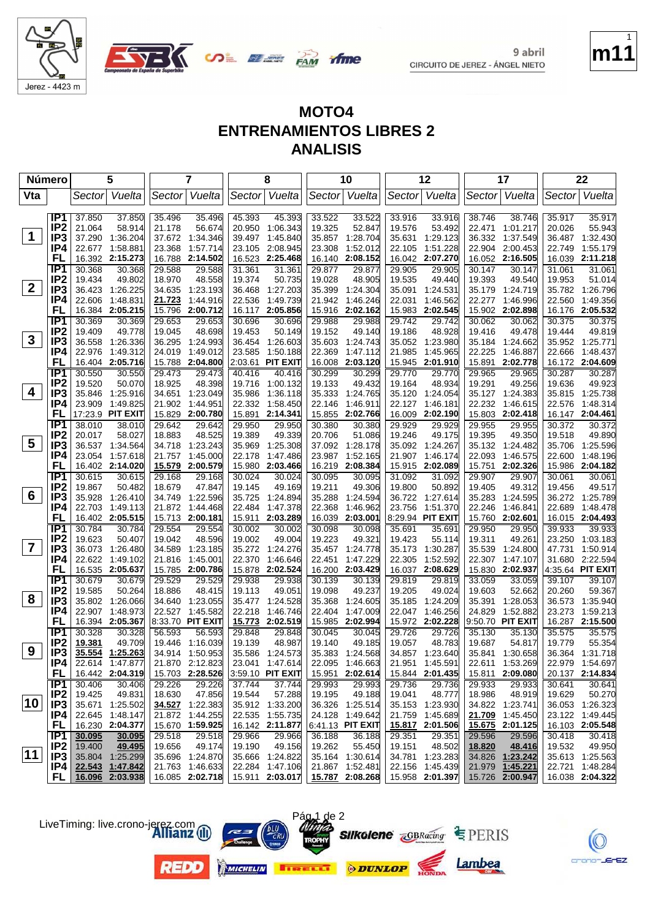



**if me** 

**SALE OF THE PAM** 

|                         | Número                             |                  | 5                                  |                  | 7                                  |                  | 8                                  |                  | 10                                 |                  | 12                                 |                  | 17                                 |                  | 22                                 |
|-------------------------|------------------------------------|------------------|------------------------------------|------------------|------------------------------------|------------------|------------------------------------|------------------|------------------------------------|------------------|------------------------------------|------------------|------------------------------------|------------------|------------------------------------|
| Vta                     |                                    | Sector           | Vuelta                             | Sector           | Vuelta                             |                  | Sector Vuelta                      |                  | Sector Vuelta                      |                  | Sector Vuelta                      |                  | Sector Vuelta                      | Sector           | Vuelta                             |
|                         |                                    |                  |                                    |                  |                                    |                  |                                    |                  |                                    |                  |                                    |                  |                                    |                  |                                    |
|                         | IP1                                | 37.850           | 37.850                             | 35.496           | 35.496                             | 45.393           | 45.393                             | 33.522           | 33.522                             | 33.916           | 33.916                             | 38.746           | 38.746                             | 35.917           | 35.917                             |
| 1                       | IP <sub>2</sub>                    | 21.064           | 58.914                             | 21.178           | 56.674                             | 20.950           | 1:06.343                           | 19.325           | 52.847                             | 19.576           | 53.492                             | 22.471           | 1:01.217                           | 20.026           | 55.943                             |
|                         | IP3                                | 37.290           | 1:36.204                           |                  | 37.672 1:34.346                    | 39.497           | 1:45.840                           | 35.857           | 1:28.704                           | 35.631           | 1:29.123                           | 36.332           | 1:37.549                           | 36.487           | 1:32.430                           |
|                         | IP4<br>FL                          | 22.677<br>16.392 | 1:58.881<br>2:15.273               | 23.368           | 1:57.714<br>16.788 2:14.502        | 23.105           | 2:08.945<br>2:25.468               | 23.308           | 1:52.012<br>2:08.152               | 22.105           | 1:51.228<br>16.042 2:07.270        | 22.904           | 2:00.453<br>2:16.505               | 22.749           | 1:55.179<br>2:11.218               |
|                         | IP <sub>1</sub>                    | 30.368           | 30.368                             | 29.588           | 29.588                             | 16.523<br>31.361 | 31.361                             | 16.140<br>29.877 | 29.877                             | 29.905           | 29.905                             | 16.052<br>30.147 | 30.147                             | 16.039<br>31.061 | 31.061                             |
|                         | IP <sub>2</sub>                    | 19.434           | 49.802                             | 18.970           | 48.558                             | 19.374           | 50.735                             | 19.028           | 48.905                             | 19.535           | 49.440                             | 19.393           | 49.540                             | 19.953           | 51.014                             |
| $\mathbf{2}$            | IP3                                | 36.423           | 1:26.225                           | 34.635           | 1:23.193                           | 36.468           | 1:27.203                           | 35.399           | 1:24.304                           | 35.091           | 1:24.531                           |                  | 35.179 1:24.719                    |                  | 35.782 1:26.796                    |
|                         | IP4                                | 22.606           | 1:48.831                           | 21.723           | 1:44.916                           | 22.536           | 1:49.739                           | 21.942           | 1:46.246                           | 22.031           | 1:46.562                           | 22.277           | 1:46.996                           | 22.560           | 1:49.356                           |
|                         | FL                                 | 16.384           | 2:05.215                           | 15.796           | 2:00.712                           | 16.117           | 2:05.856                           | 15.916           | 2:02.162                           | 15.983           | 2:02.545                           | 15.902           | 2:02.898                           |                  | 16.176 2:05.532                    |
|                         | IP1                                | 30.369           | 30.369                             | 29.653           | 29.653                             | 30.696           | 30.696                             | 29.988           | 29.988                             | 29.742           | 29.742                             | 30.062           | 30.062                             | 30.375           | 30.375                             |
|                         | IP <sub>2</sub>                    | 19.409           | 49.778                             | 19.045           | 48.698                             | 19.453           | 50.149                             | 19.152           | 49.140                             | 19.186           | 48.928                             | 19.416           | 49.478                             | 19.444           | 49.819                             |
| $\mathbf{3}$            | IP3                                | 36.558           | 1:26.336                           |                  | 36.295 1:24.993                    |                  | 36.454 1:26.603                    | 35.603           | 1:24.743                           |                  | 35.052 1:23.980                    |                  | 35.184 1:24.662                    |                  | 35.952 1:25.771                    |
|                         | IP4                                | 22.976           | 1:49.312                           | 24.019           | 1:49.012                           | 23.585           | 1:50.188                           | 22.369           | 1:47.112                           | 21.985           | 1:45.965                           | 22.225           | 1:46.887                           | 22.666           | 1:48.437                           |
|                         | FL                                 |                  | 16.404 2:05.716                    |                  | 15.788 2:04.800                    | 2:03.61          | <b>PIT EXIT</b>                    | 16.008           | 2:03.120                           | 15.945           | 2:01.910                           | 15.891           | 2:02.778                           |                  | 16.172 2:04.609                    |
|                         | IP1                                | 30.550           | 30.550                             | 29.473           | 29.473                             | 40.416           | 40.416                             | 30.299           | 30.299                             | 29.770           | 29.770                             | 29.965           | 29.965                             | 30.287           | 30.287                             |
| 4                       | IP <sub>2</sub>                    | 19.520           | 50.070                             | 18.925           | 48.398                             | 19.716           | 1:00.132                           | 19.133           | 49.432                             | 19.164           | 48.934                             | 19.291           | 49.256                             | 19.636           | 49.923                             |
|                         | IP3<br>IP4                         | 35.846           | 1:25.916<br>1:49.825               |                  | 34.651 1:23.049<br>21.902 1:44.951 | 35.986           | 1:36.118                           | 35.333           | 1:24.765                           | 35.120           | 1:24.054<br>1:46.181               |                  | 35.127 1:24.383                    |                  | 35.815 1:25.738<br>1:48.314        |
|                         | FL                                 | 23.909           | 17:23.9 PIT EXIT                   |                  | 15.829 2:00.780                    | 15.891           | 22.332 1:58.450<br>2:14.341        | 22.146<br>15.855 | 1:46.911<br>2:02.766               | 22.127<br>16.009 | 2:02.190                           |                  | 22.232 1:46.615<br>15.803 2:02.418 | 22.576           | 16.147 2:04.461                    |
|                         | IP <sub>1</sub>                    | 38.010           | 38.010                             | 29.642           | 29.642                             | 29.950           | 29.950                             | 30.380           | 30.380                             | 29.929           | 29.929                             | 29.955           | 29.955                             | 30.372           | 30.372                             |
|                         | IP <sub>2</sub>                    | 20.017           | 58.027                             | 18.883           | 48.525                             | 19.389           | 49.339                             | 20.706           | 51.086                             | 19.246           | 49.175                             | 19.395           | 49.350                             | 19.518           | 49.890                             |
| 5                       | IP <sub>3</sub>                    | 36.537           | 1:34.564                           |                  | 34.718 1:23.243                    | 35.969           | 1:25.308                           | 37.092           | 1:28.178                           | 35.092           | 1:24.267                           |                  | 35.132 1:24.482                    | 35.706           | 1:25.596                           |
|                         | IP4                                | 23.054           | 1:57.618                           | 21.757           | 1:45.000                           | 22.178           | 1:47.486                           | 23.987           | 1:52.165                           | 21.907           | 1:46.174                           | 22.093           | 1:46.575                           | 22.600           | 1:48.196                           |
|                         | FL                                 |                  | 16.402 2:14.020                    |                  | 15.579 2:00.579                    |                  | 15.980 2:03.466                    | 16.219           | 2:08.384                           | 15.915           | 2:02.089                           | 15.751           | 2:02.326                           |                  | 15.986 2:04.182                    |
|                         | IP <sub>1</sub>                    | 30.615           | 30.615                             | 29.168           | 29.168                             | 30.024           | 30.024                             | 30.095           | 30.095                             | 31.092           | 31.092                             | 29.907           | 29.907                             | 30.061           | 30.061                             |
|                         | IP <sub>2</sub>                    | 19.867           | 50.482                             | 18.679           | 47.847                             | 19.145           | 49.169                             | 19.211           | 49.306                             | 19.800           | 50.892                             | 19.405           | 49.312                             | 19.456           | 49.517                             |
| 6                       | IP <sub>3</sub>                    | 35.928           | 1:26.410                           | 34.749           | 1:22.596                           | 35.725           | 1:24.894                           | 35.288           | 1:24.594                           | 36.722           | 1:27.614                           | 35.283           | 1:24.595                           | 36.272           | 1:25.789                           |
|                         | IP4                                | 22.703           | 1:49.113                           | 21.872           | 1:44.468                           | 22.484           | 1:47.378                           | 22.368           | 1:46.962                           | 23.756           | 1:51.370                           | 22.246           | 1:46.841                           | 22.689           | 1:48.478                           |
|                         | FL                                 |                  | 16.402 2:05.515                    |                  | 15.713 2:00.181                    | 15.911           | 2:03.289                           | 16.039           | 2:03.001                           |                  | 8:29.94 PIT EXIT                   |                  | 15.760 2:02.601                    |                  | 16.015 2:04.493                    |
|                         | IP1<br>IP <sub>2</sub>             | 30.784<br>19.623 | 30.784<br>50.407                   | 29.554<br>19.042 | 29.554<br>48.596                   | 30.002<br>19.002 | 30.002<br>49.004                   | 30.098<br>19.223 | 30.098<br>49.321                   | 35.691<br>19.423 | 35.691<br>55.114                   | 29.950<br>19.311 | 29.950<br>49.261                   | 39.933<br>23.250 | 39.933<br>1:03.183                 |
| $\overline{\mathbf{r}}$ | IP3                                | 36.073           | 1:26.480                           | 34.589           | 1:23.185                           | 35.272           | 1:24.276                           | 35.457           | 1:24.778                           | 35.173           | 1:30.287                           | 35.539           | 1:24.800                           | 47.731           | 1:50.914                           |
|                         | IP4                                | 22.622           | 1:49.102                           | 21.816           | 1:45.001                           | 22.370           | 1:46.646                           | 22.451           | 1:47.229                           | 22.305           | 1:52.592                           |                  | 22.307 1:47.107                    | 31.680           | 2:22.594                           |
|                         | FL                                 |                  | 16.535 2:05.637                    |                  | 15.785 2:00.786                    | 15.878           | 2:02.524                           | 16.200           | 2:03.429                           |                  | 16.037 2:08.629                    | 15.830           | 2:02.937                           |                  | 4:35.64 PIT EXIT                   |
|                         | IP1                                | 30.679           | 30.679                             | 29.529           | 29.529                             | 29.938           | 29.938                             | 30.139           | 30.139                             | 29.819           | 29.819                             | 33.059           | 33.059                             | 39.107           | 39.107                             |
|                         | IP <sub>2</sub>                    | 19.585           | 50.264                             | 18.886           | 48.415                             | 19.113           | 49.051                             | 19.098           | 49.237                             | 19.205           | 49.024                             | 19.603           | 52.662                             | 20.260           | 59.367                             |
| 8                       | IP3                                |                  | 35.802 1:26.066                    | 34.640           | 1:23.055                           | 35.477           | 1:24.528                           | 35.368           | 1:24.605                           | 35.185           | 1:24.209                           | 35.391           | 1:28.053                           | 36.573           | 1:35.940                           |
|                         | IP4                                | 22.907           | 1:48.973                           | 22.527           | 1:45.582                           | 22.218           | 1:46.746                           | 22.404           | 1:47.009                           | 22.047           | 1:46.256                           | 24.829           | 1:52.882                           | 23.273           | 1:59.213                           |
|                         | FL                                 |                  | 16.394 2:05.367                    |                  | 8:33.70 PIT EXIT                   | 15.773           | 2:02.519                           | 15.985           | 2:02.994                           |                  | 15.972 2:02.228                    |                  | 9:50.70 PIT EXIT                   |                  | 16.287 2:15.500                    |
|                         | IP <sub>1</sub>                    | 30.328           | 30.328                             | 56.593           | 56.593                             | 29.848           | 29.848                             | 30.045           | 30.045                             | 29.726           | 29.726                             | 35.130           | 35.130                             | 35.575           | 35.575                             |
| 9                       | IP <sub>2</sub><br>IP <sub>3</sub> | 19.381           | 49.709<br>35.554 1:25.263          |                  | 19.446 1:16.039<br>34.914 1:50.953 | 19.139           | 48.987<br>35.586 1:24.573          | 19.140           | 49.185<br>35.383 1:24.568          | 19.057           | 48.783<br>34.857 1:23.640          | 19.687           | 54.817<br>35.841 1:30.658          | 19.779           | 55.354<br>36.364 1:31.718          |
|                         | IP4                                | 22.614           | 1:47.877                           |                  | 21.870 2:12.823                    |                  | 23.041 1:47.614                    |                  | 22.095 1:46.663                    |                  | 21.951 1:45.591                    |                  | 22.611 1:53.269                    |                  | 22.979 1:54.697                    |
|                         | <b>FL</b>                          |                  | 16.442 2:04.319                    |                  | 15.703 2:28.526                    |                  | 3:59.10 PIT EXIT                   |                  | 15.951 2:02.614                    |                  | $15.844$ 2:01.435                  |                  | 15.811 2:09.080                    |                  | 20.137 2:14.834                    |
|                         | IP1                                | 30.406           | 30.406                             | 29.226           | 29.226                             | 37.744           | 37.744                             | 29.993           | 29.993                             | 29.736           | 29.736                             | 29.933           | 29.933                             | 30.641           | 30.641                             |
|                         | IP <sub>2</sub>                    | 19.425           | 49.831                             | 18.630           | 47.856                             | 19.544           | 57.288                             | 19.195           | 49.188                             | 19.041           | 48.777                             | 18.986           | 48.919                             | 19.629           | 50.270                             |
| 10 <sup>1</sup>         | IP <sub>3</sub>                    |                  | 35.671 1:25.502                    |                  | 34.527 1:22.383                    |                  | 35.912 1:33.200                    |                  | 36.326 1:25.514                    |                  | 35.153 1:23.930                    |                  | 34.822 1:23.741                    |                  | 36.053 1:26.323                    |
|                         | IP4                                |                  | 22.645 1:48.147                    |                  | 21.872 1:44.255                    |                  | 22.535 1:55.735                    |                  | 24.128 1:49.642                    |                  | 21.759 1:45.689                    |                  | 21.709 1:45.450                    |                  | 23.122 1:49.445                    |
|                         | <b>FL</b>                          |                  | 16.230 2:04.377                    |                  | 15.670 1:59.925                    |                  | 16.142 2:11.877                    |                  | 6:41.13 PIT EXIT                   |                  | $15.817$ 2:01.506                  |                  | 15.675 2:01.125                    |                  | 16.103 2:05.548                    |
|                         | IP1                                | 30.095           | 30.095                             | 29.518           | 29.518                             | 29.966           | 29.966                             | 36.188           | 36.188                             | 29.351           | 29.351                             | 29.596           | 29.596                             | 30.418           | 30.418                             |
| 11                      | IP <sub>2</sub>                    | 19.400           | 49.495                             | 19.656           | 49.174                             | 19.190           | 49.156                             | 19.262           | 55.450                             | 19.151           | 48.502                             | 18.820           | 48.416                             | 19.532           | 49.950                             |
|                         | IP <sub>3</sub><br>IP4             |                  | 35.804 1:25.299                    |                  | 35.696 1:24.870                    |                  | 35.666 1:24.822<br>22.284 1:47.106 |                  | 35.164 1:30.614<br>21.867 1:52.481 |                  | 34.781 1:23.283<br>22.156 1:45.439 |                  | 34.826 1:23.242                    |                  | 35.613 1:25.563<br>22.721 1:48.284 |
|                         | FL.                                |                  | 22.543 1:47.842<br>16.096 2:03.938 |                  | 21.763 1:46.633<br>16.085 2:02.718 |                  | 15.911 2:03.017                    |                  | 15.787 2:08.268 15.958 2:01.397    |                  |                                    |                  | 21.979 1:45.221<br>15.726 2:00.947 |                  | 16.038 2:04.322                    |
|                         |                                    |                  |                                    |                  |                                    |                  |                                    |                  |                                    |                  |                                    |                  |                                    |                  |                                    |

















**m11** 1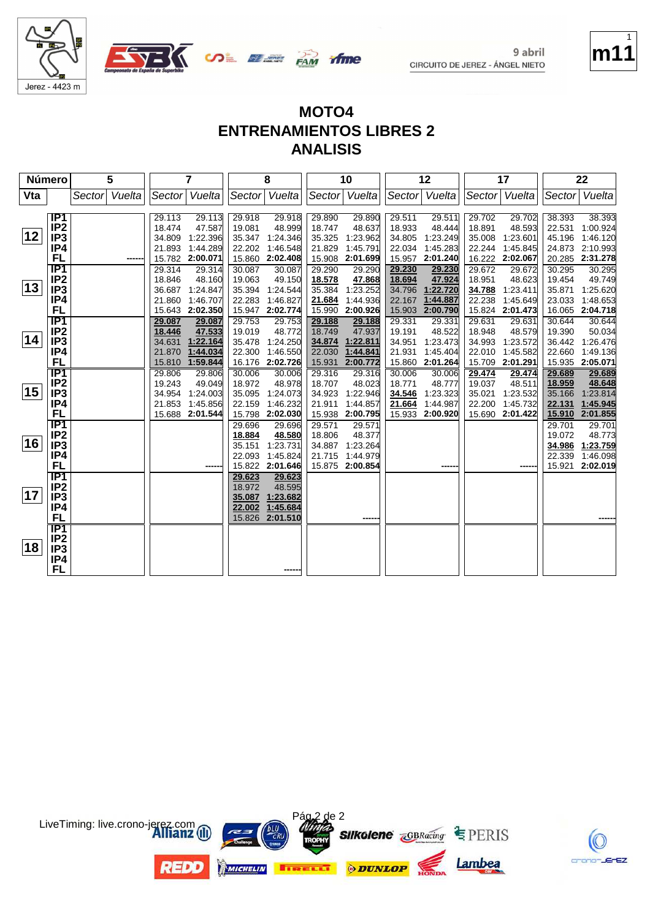

**m11**

crono-JErEZ

1



# **MOTO4 ENTRENAMIENTOS LIBRES 2 ANALISIS**

| Número |                        | 5                |                  | 7                    |                  | 8                    |                  | 10                   |                  | 12                   |                  | 17                   |                  | 22                   |
|--------|------------------------|------------------|------------------|----------------------|------------------|----------------------|------------------|----------------------|------------------|----------------------|------------------|----------------------|------------------|----------------------|
| Vta    |                        | Vuelta<br>Sector | Sector           | Vuelta               |                  | Sector Vuelta        |                  | Sector Vuelta        | Sector           | Vuelta               | Sector           | Vuelta               | Sector           | Vuelta               |
|        |                        |                  |                  |                      |                  |                      |                  |                      |                  |                      |                  |                      |                  |                      |
|        | IP1<br>IP <sub>2</sub> |                  | 29.113<br>18.474 | 29.113<br>47.587     | 29.918<br>19.081 | 29.918<br>48.999     | 29.890<br>18.747 | 29.890<br>48.637     | 29.511<br>18.933 | 29.511<br>48.444     | 29.702<br>18.891 | 29.702<br>48.593     | 38.393<br>22.531 | 38.393<br>1:00.924   |
| 12     | IP <sub>3</sub>        |                  | 34.809           | 1:22.396             | 35.347           | 1:24.346             | 35.325           | 1:23.962             | 34.805           | 1:23.249             | 35.008           | 1:23.601             | 45.196           | 1:46.120             |
|        | IP4                    |                  | 21.893           | 1:44.289             | 22.202           | 1:46.548             | 21.829           | 1:45.791             | 22.034           | 1:45.283             | 22.244           | 1:45.845             | 24.873           | 2:10.993             |
|        | FL                     |                  |                  | 15.782 2:00.071      | 15.860           | 2:02.408             | 15.908           | 2:01.699             | 15.957           | 2:01.240             |                  | 16.222 2:02.067      |                  | 20.285 2:31.278      |
|        | $\overline{IP1}$       |                  | 29.314           | 29.314               | 30.087           | 30.087               | 29.290           | 29.290               | 29.230           | 29.230               | 29.672           | 29.672               | 30.295           | 30.295               |
|        | IP <sub>2</sub>        |                  | 18.846           | 48.160               | 19.063           | 49.150               | 18.578           | 47.868               | 18.694           | 47.924               | 18.951           | 48.623               | 19.454           | 49.749               |
| 13     | IP <sub>3</sub>        |                  | 36.687           | 1:24.847             | 35.394           | 1:24.544             | 35.384           | 1:23.252             | 34.796           | 1:22.720             | 34.788           | 1:23.411             | 35.871           | 1:25.620             |
|        | IP4                    |                  | 21.860           | 1:46.707             | 22.283           | 1:46.827             | 21.684           | 1:44.936             | 22.167           | 1:44.887             | 22.238           | 1:45.649             | 23.033           | 1:48.653             |
|        | FL                     |                  | 15.643           | 2:02.350             | 15.947           | 2:02.774             | 15.990           | 2:00.926             | 15.903           | 2:00.790             | 15.824           | 2:01.473             | 16.065           | 2:04.718             |
|        | $\overline{IP1}$       |                  | 29.087           | 29.087               | 29.753           | 29.753               | 29.188           | 29.188               | 29.331           | 29.331               | 29.631           | 29.631               | 30.644           | 30.644               |
|        | IP <sub>2</sub>        |                  | 18.446           | 47.533               | 19.019           | 48.772               | 18.749           | 47.937               | 19.191           | 48.522               | 18.948           | 48.579               | 19.390           | 50.034               |
| 14     | IP <sub>3</sub>        |                  | 34.631           | 1:22.164             | 35.478           | 1:24.250             | 34.874           | 1:22.811             | 34.951           | 1:23.473             | 34.993           | 1:23.572             | 36.442           | 1:26.476             |
|        | IP4                    |                  | 21.870           | 1:44.034             | 22.300           | 1:46.550             | 22.030           | 1:44.841             | 21.931           | 1:45.404             | 22.010           | 1:45.582             | 22.660           | 1:49.136             |
|        | FL                     |                  | 15.810           | 1:59.844             | 16.176           | 2:02.726             | 15.931           | 2:00.772             | 15.860           | 2:01.264             | 15.709           | 2:01.291             |                  | 15.935 2:05.071      |
|        | TP1                    |                  | 29.806           | 29.806               | 30.006           | 30.006               | 29.316           | 29.316               | 30.006           | 30.006               | 29.474           | 29.474               | 29.689           | 29.689               |
| 15     | IP <sub>2</sub>        |                  | 19.243           | 49.049               | 18.972           | 48.978               | 18.707           | 48.023               | 18.771           | 48.777               | 19.037           | 48.511               | 18.959           | 48.648               |
|        | IP <sub>3</sub><br>IP4 |                  | 34.954           | 1:24.003             | 35.095           | 1:24.073             | 34.923           | 1:22.946             | 34.546           | 1:23.323             | 35.021           | 1:23.532             | 35.166           | 1:23.814             |
|        | FL                     |                  | 21.853<br>15.688 | 1:45.856<br>2:01.544 | 22.159<br>15.798 | 1:46.232<br>2:02.030 | 21.911           | 1:44.857<br>2:00.795 | 21.664           | 1:44.987<br>2:00.920 | 22.200<br>15.690 | 1:45.732<br>2:01.422 | 22.131<br>15.910 | 1:45.945<br>2:01.855 |
|        | $\overline{IP1}$       |                  |                  |                      | 29.696           | 29.696               | 15.938<br>29.571 | 29.571               | 15.933           |                      |                  |                      | 29.701           | 29.701               |
|        | IP <sub>2</sub>        |                  |                  |                      | 18.884           | 48.580               | 18.806           | 48.377               |                  |                      |                  |                      | 19.072           | 48.773               |
| 16     | IP <sub>3</sub>        |                  |                  |                      | 35.151           | 1:23.731             | 34.887           | 1:23.264             |                  |                      |                  |                      | 34.986           | 1:23.759             |
|        | IP4                    |                  |                  |                      | 22.093           | 1:45.824             | 21.715           | 1:44.979             |                  |                      |                  |                      | 22.339           | 1:46.098             |
|        | <b>FL</b>              |                  |                  |                      | 15.822           | 2:01.646             | 15.875           | 2:00.854             |                  |                      |                  |                      | 15.921           | 2:02.019             |
|        | $\overline{IP1}$       |                  |                  |                      | 29.623           | 29.623               |                  |                      |                  |                      |                  |                      |                  |                      |
|        | IP <sub>2</sub>        |                  |                  |                      | 18.972           | 48.595               |                  |                      |                  |                      |                  |                      |                  |                      |
| 17     | IP <sub>3</sub>        |                  |                  |                      | 35.087           | 1:23.682             |                  |                      |                  |                      |                  |                      |                  |                      |
|        | IP4                    |                  |                  |                      | 22.002           | 1:45.684             |                  |                      |                  |                      |                  |                      |                  |                      |
|        | FL                     |                  |                  |                      | 15.826           | 2:01.510             |                  |                      |                  |                      |                  |                      |                  |                      |
|        | IP <sub>1</sub>        |                  |                  |                      |                  |                      |                  |                      |                  |                      |                  |                      |                  |                      |
|        | IP <sub>2</sub>        |                  |                  |                      |                  |                      |                  |                      |                  |                      |                  |                      |                  |                      |
| 18     | IP <sub>3</sub>        |                  |                  |                      |                  |                      |                  |                      |                  |                      |                  |                      |                  |                      |
|        | IP4                    |                  |                  |                      |                  |                      |                  |                      |                  |                      |                  |                      |                  |                      |
|        | FL                     |                  |                  |                      |                  |                      |                  |                      |                  |                      |                  |                      |                  |                      |

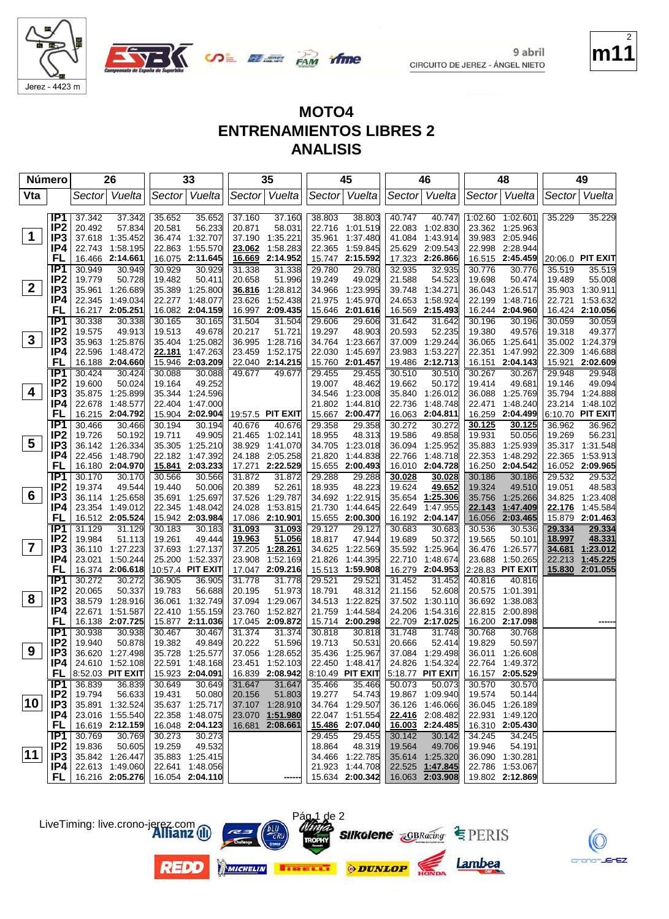



**ifme** 

**UDE ELETE PAM** 

| Número                          | 26                                   | 33                                     | 35                                     | 45                                     | 46                                    | 48                                    | 49                                    |
|---------------------------------|--------------------------------------|----------------------------------------|----------------------------------------|----------------------------------------|---------------------------------------|---------------------------------------|---------------------------------------|
| Vta                             | Vuelta<br>Sector                     | Sector Vuelta                          | Sector Vuelta                          | Vuelta<br>Sector                       | Sector Vuelta                         | Sector  Vuelta                        | Vuelta<br>Sector                      |
| IP1                             | 37.342<br>37.342                     | 35.652<br>35.652                       | 37.160<br>37.160                       | 38.803<br>38.803                       | 40.747<br>40.747                      | 1:02.60 1:02.601                      | 35.229<br>35.229                      |
| IP <sub>2</sub>                 | 20.492<br>57.834                     | 20.581<br>56.233                       | 20.871<br>58.031                       | 22.716<br>1:01.519                     | 22.083 1:02.830                       | 23.362 1:25.963                       |                                       |
| $\mathbf 1$<br>IP <sub>3</sub>  | 37.618<br>1:35.452                   | 36.474 1:32.707                        | 37.190<br>1:35.221                     | 35.961<br>1:37.480                     | 41.084 1:43.914                       | 39.983 2:05.946                       |                                       |
| IP4                             | 22.743<br>1:58.195                   | 1:55.570<br>22.863                     | 23.062<br>1:58.283                     | 1:59.845<br>22.365                     | 25.629<br>2:09.543                    | 22.998 2:28.944                       |                                       |
| FL                              | 16.466 2:14.661                      | 16.075 2:11.645                        | 16.669<br>2:14.952                     | 15.747<br>2:15.592                     | 17.323<br>2:26.866                    | 16.515 2:45.459                       | 20:06.0 PIT EXIT                      |
| IP <sub>1</sub>                 | 30.949<br>30.949                     | 30.929<br>30.929                       | 31.338<br>31.338                       | 29.780<br>29.780                       | 32.935<br>32.935                      | 30.776<br>30.776                      | 35.519<br>35.519                      |
| IP <sub>2</sub>                 | 19.779<br>50.728                     | 19.482<br>50.411                       | 20.658<br>51.996                       | 19.249<br>49.029                       | 54.523<br>21.588                      | 19.698<br>50.474                      | 55.008<br>19.489                      |
| $\mathbf{2}$<br>IP <sub>3</sub> | 35.961<br>1:26.689                   | 35.389 1:25.800                        | 1:28.812<br>36.816                     | 34.966<br>1:23.995                     | 39.748<br>1:34.271                    | 36.043 1:26.517                       | 35.903 1:30.911                       |
| IP4                             | 22.345<br>1:49.034                   | 22.277 1:48.077                        | 23.626<br>1:52.438                     | 21.975<br>1:45.970                     | 24.653<br>1:58.924                    | 22.199<br>1:48.716                    | 22.721<br>1:53.632                    |
| FL<br>IP1                       | 16.217<br>2:05.251                   | 16.082 2:04.159                        | 16.997<br>2:09.435                     | 15.646<br>2:01.616                     | 16.569<br>2:15.493                    | 16.244<br>2:04.960                    | 16.424 2:10.056                       |
| IP <sub>2</sub>                 | 30.338<br>30.338<br>19.575<br>49.913 | 30.165<br>30.165<br>19.513<br>49.678   | 31.504<br>31.504<br>20.217<br>51.721   | 29.606<br>29.606<br>19.297<br>48.903   | 31.642<br>31.642<br>52.235<br>20.593  | 30.196<br>30.196<br>19.380<br>49.576  | 30.059<br>30.059<br>19.318<br>49.377  |
| 3<br>IP <sub>3</sub>            | 35.963<br>1:25.876                   | 35.404 1:25.082                        | 36.995<br>1:28.716                     | 34.764<br>1:23.667                     | 1:29.244<br>37.009                    | 36.065 1:25.641                       | 35.002 1:24.379                       |
| IP4                             | 22.596<br>1:48.472                   | 1:47.263<br>22.181                     | 23.459<br>1:52.175                     | 22.030<br>1:45.697                     | 23.983<br>1:53.227                    | 22.351<br>1:47.992                    | 22.309<br>1:46.688                    |
| FL                              | 16.188 2:04.660                      | 15.946 2:03.209                        | 22.040 2:14.215                        | 2:01.457<br>15.760                     | 19.486<br>2:12.713                    | 16.151<br>2:04.143                    | 15.921 2:02.609                       |
| IP1                             | 30.424<br>30.424                     | 30.088<br>30.088                       | 49.677<br>49.677                       | 29.455<br>29.455                       | 30.510<br>30.510                      | 30.267<br>30.267                      | 29.948<br>29.948                      |
| IP <sub>2</sub>                 | 19.600<br>50.024                     | 19.164<br>49.252                       |                                        | 19.007<br>48.462                       | 19.662<br>50.172                      | 19.414<br>49.681                      | 19.146<br>49.094                      |
| 4<br>IP3                        | 35.875<br>1:25.899                   | 35.344 1:24.596                        |                                        | 1:23.008<br>34.546                     | 35.840<br>1:26.012                    | 36.088<br>1:25.769                    | 35.794 1:24.888                       |
| IP4                             | 22.678<br>1:48.577                   | 22.404<br>1:47.000                     |                                        | 21.802<br>1:44.810                     | 22.736<br>1:48.748                    | 22.471<br>1:48.240                    | 23.214 1:48.102                       |
| FL                              | 16.215 2:04.792                      | 15.904 2:02.904                        | 19:57.5 PIT EXIT                       | 15.667<br>2:00.477                     | 16.063<br>2:04.811                    | 16.259<br>2:04.499                    | 6:10.70 PIT EXIT                      |
| IP <sub>1</sub>                 | 30.466<br>30.466                     | 30.194<br>30.194                       | 40.676<br>40.676                       | 29.358<br>29.358                       | 30.272<br>30.272                      | 30.125<br>30.125                      | 36.962<br>36.962                      |
| IP <sub>2</sub>                 | 19.726<br>50.192                     | 49.905<br>19.711                       | 1:02.141<br>21.465                     | 18.955<br>48.313                       | 19.586<br>49.858                      | 19.931<br>50.056                      | 19.269<br>56.231                      |
| 5<br>IP <sub>3</sub>            | 36.142 1:26.334                      | 35.305 1:25.210                        | 38.929<br>1:41.070                     | 1:23.018<br>34.705                     | 36.094<br>1:25.952                    | 35.883<br>1:25.939                    | 35.317 1:31.548                       |
| IP4<br>FL                       | 22.456<br>1:48.790                   | 22.182 1:47.392<br>15.841 2:03.233     | 24.188<br>2:05.258                     | 21.820<br>1:44.838                     | 22.766<br>1:48.718<br>16.010 2:04.728 | 22.353<br>1:48.292<br>16.250 2:04.542 | 1:53.913<br>22.365<br>16.052 2:09.965 |
| $\overline{IP1}$                | 16.180 2:04.970<br>30.170<br>30.170  | 30.566<br>30.566                       | 2:22.529<br>17.271<br>31.872<br>31.872 | 15.655<br>2:00.493<br>29.288<br>29.288 | 30.028<br>30.028                      | 30.186<br>30.186                      | 29.532<br>29.532                      |
| IP <sub>2</sub>                 | 19.374<br>49.544                     | 19.440<br>50.006                       | 20.389<br>52.261                       | 18.935<br>48.223                       | 19.624<br>49.652                      | 19.324<br>49.510                      | 19.051<br>48.583                      |
| 6<br>IP <sub>3</sub>            | 36.114<br>1:25.658                   | 35.691 1:25.697                        | 37.526<br>1:29.787                     | 1:22.915<br>34.692                     | 1:25.306<br>35.654                    | 35.756<br>1:25.266                    | 34.825 1:23.408                       |
| IP4                             | 23.354 1:49.012                      | 22.345 1:48.042                        | 1:53.815<br>24.028                     | 1:44.645<br>21.730                     | 22.649<br>1:47.955                    | 22.143<br>1:47.409                    | 22.176<br>1:45.584                    |
| FL                              | 16.512 2:05.524                      | 15.942 2:03.984                        | 17.086 2:10.901                        | 15.655<br>2:00.300                     | 16.192 2:04.147                       | 16.056<br>2:03.465                    | 15.879<br>2:01.463                    |
| IP1                             | 31.129<br>31.129                     | 30.183<br>30.183                       | 31.093<br>31.093                       | 29.127<br>29.127                       | 30.683<br>30.683                      | 30.536<br>30.536                      | 29.334<br>29.334                      |
| IP <sub>2</sub>                 | 19.984<br>51.113                     | 19.261<br>49.444                       | 19.963<br>51.056                       | 18.817<br>47.944                       | 19.689<br>50.372                      | 19.565<br>50.101                      | 48.331<br>18.997                      |
| 7<br>IP <sub>3</sub>            | 36.110<br>1:27.223                   | 37.693 1:27.137                        | 37.205<br>1:28.261                     | 34.625<br>1:22.569                     | 35.592<br>1:25.964                    | 36.476<br>1:26.577                    | 34.681<br>1:23.012                    |
| IP4                             | 23.021<br>1:50.244                   | 25.200 1:52.337                        | 23.908<br>1:52.169                     | 21.826<br>1:44.395                     | 22.710<br>1:48.674                    | 23.688<br>1:50.265                    | 1:45.225<br>22.213                    |
| FL                              | 16.374 2:06.618                      | 10:57.4 PIT EXIT                       | 17.047 2:09.216                        | 15.513<br>1:59.908                     | 16.279 2:04.953                       | 2:28.83 PIT EXIT                      | 15.830<br>2:01.055                    |
| IP1<br>IP <sub>2</sub>          | 30.272<br>30.272<br>20.065           | 36.905<br>36.905                       | 31.778<br>31.778                       | 29.521<br>29.521                       | 31.452<br>31.452                      | 40.816<br>40.816                      |                                       |
| 8<br>IP <sub>3</sub>            | 50.337<br>38.579<br>1:28.916         | 19.783<br>56.688<br>36.061<br>1:32.749 | 20.195<br>51.973<br>37.094 1:29.067    | 18.791<br>48.312<br>34.513<br>1:22.825 | 21.156<br>52.608<br>37.502 1:30.110   | 20.575 1:01.391<br>36.692 1:38.083    |                                       |
| IP4                             | 22.671<br>1:51.587                   | 22.410 1:55.159                        | 23.760<br>1:52.827                     | 21.759<br>1:44.584                     | 24.206<br>1:54.316                    | 22.815 2:00.898                       |                                       |
| FL                              | 16.138 2:07.725                      | 15.877 2:11.036                        | 17.045 2:09.872                        | 15.714<br>2:00.298                     | 22.709 2:17.025                       | 16.200 2:17.098                       |                                       |
| IP <sub>1</sub>                 | 30.938<br>30.938                     | 30.467<br>30.467                       | 31.374<br>31.374                       | 30.818<br>30.818                       | 31.748<br>31.748                      | 30.768<br>30.768                      |                                       |
| IP <sub>2</sub>                 | 19.940<br>50.878                     | 19.382<br>49.849                       | 20.222<br>51.596                       | 19.713<br>50.531                       | 20.666<br>52.414                      | 19.829<br>50.597                      |                                       |
| 9<br>IP <sub>3</sub>            | 36.620 1:27.498                      | 35.728 1:25.577                        | 37.056 1:28.652                        | 35.436 1:25.967                        | 37.084 1:29.498                       | 36.011 1:26.608                       |                                       |
| IP4                             | 24.610 1:52.108                      | 22.591 1:48.168                        | 23.451 1:52.103                        | 22.450 1:48.417                        | 24.826 1:54.324                       | 22.764 1:49.372                       |                                       |
|                                 | <b>FL</b> $ 8:52.03$ PIT EXIT        | 15.923 2:04.091                        |                                        | 16.839 2:08.942 8:10.49 PIT EXIT       | $ 5:18.77$ PIT EXIT                   | 16.157 2:05.529                       |                                       |
| IP1                             | 36.839<br>36.839                     | 30.649<br>30.649                       | 31.647<br>31.647                       | 35.466<br>35.466                       | 50.073<br>50.073                      | 30.570<br>30.570                      |                                       |
| IP <sub>2</sub><br>10           | 19.794<br>56.633                     | 19.431<br>50.080                       | 20.156<br>51.803                       | 19.277<br>54.743                       | 19.867 1:09.940                       | 19.574<br>50.144                      |                                       |
| IP <sub>3</sub>                 | 35.891 1:32.524<br>23.016 1:55.540   | 35.637 1:25.717<br>22.358 1:48.075     | 37.107 1:28.910                        | 34.764 1:29.507                        | 36.126 1:46.066                       | 36.045 1:26.189                       |                                       |
| IP4<br><b>FL</b>                | 16.619 2:12.159                      | 16.048 2:04.123                        | 23.070 1:51.980<br>16.681 2:08.661     | 22.047 1:51.554<br>15.486 2:07.040     | 22.416 2:08.482<br>16.003 2:24.485    | 22.931 1:49.120<br>16.310 2:05.430    |                                       |
| IP1                             | 30.769<br>30.769                     | 30.273<br>30.273                       |                                        | 29.455<br>29.455                       | 30.142<br>30.142                      | 34.245<br>34.245                      |                                       |
| IP <sub>2</sub>                 | 19.836<br>50.605                     | 19.259<br>49.532                       |                                        | 18.864<br>48.319                       | 19.564<br>49.706                      | 19.946<br>54.191                      |                                       |
| 11<br>IP3                       | 35.842 1:26.447                      | 35.883 1:25.415                        |                                        | 34.466 1:22.785                        | 35.614 1:25.320                       | 36.090 1:30.281                       |                                       |
| IP4                             | 22.613 1:49.060                      | 22.641 1:48.056                        |                                        | 21.923 1:44.708                        | 22.525 1:47.845                       | 22.786 1:53.067                       |                                       |
| FL.                             | 16.216 2:05.276                      | 16.054 2:04.110                        |                                        | 15.634 2:00.342                        | 16.063 2:03.908                       | 19.802 2:12.869                       |                                       |





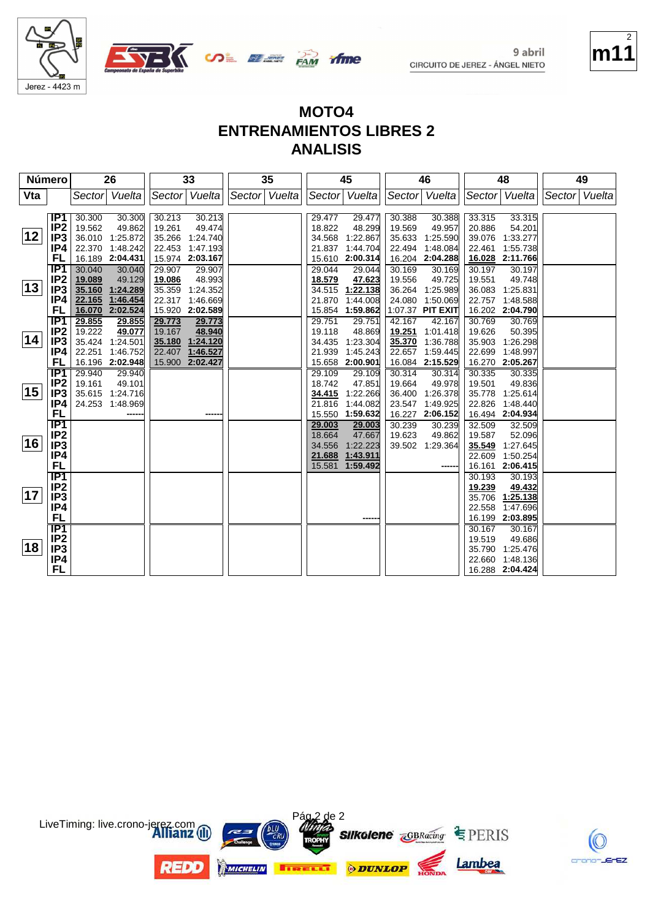





| Número |                                                                            |                                                | 26                                                                 |                                                | 33                                                                 |               | 35 |                                                | 45                                                   |                                                | 46                                                           |                                                | 48                                                          |        | 49     |
|--------|----------------------------------------------------------------------------|------------------------------------------------|--------------------------------------------------------------------|------------------------------------------------|--------------------------------------------------------------------|---------------|----|------------------------------------------------|------------------------------------------------------|------------------------------------------------|--------------------------------------------------------------|------------------------------------------------|-------------------------------------------------------------|--------|--------|
| Vta    |                                                                            | Sector                                         | Vuelta                                                             |                                                | Sector Vuelta                                                      | Sector Vuelta |    | Sector                                         | Vuelta                                               |                                                | Sector Vuelta                                                | Sector                                         | Vuelta                                                      | Sector | Vuelta |
| 12     | IP1<br>IP <sub>2</sub><br>IP <sub>3</sub><br>IP4<br>FL                     | 30.300<br>19.562<br>22.370                     | 30.300<br>49.862<br>36.010 1:25.872<br>1:48.242<br>16.189 2:04.431 | 30.213<br>19.261<br>35.266<br>22.453           | 30.213<br>49.474<br>1:24.740<br>1:47.193<br>15.974 2:03.167        |               |    | 29.477<br>18.822<br>34.568<br>21.837<br>15.610 | 29.477<br>48.299<br>1:22.867<br>1:44.704<br>2:00.314 | 30.388<br>19.569<br>35.633<br>22.494<br>16.204 | 30.388<br>49.957<br>1:25.590<br>1:48.084<br>2:04.288         | 33.315<br>20.886<br>39.076<br>22.461<br>16.028 | 33.315<br>54.201<br>1:33.277<br>1:55.738<br>2:11.766        |        |        |
| 13     | IP <sub>1</sub><br>IP <sub>2</sub><br>IP <sub>3</sub><br>IP4<br>FL         | 30.040<br>19.089<br>35.160<br>22.165<br>16.070 | 30.040<br>49.129<br>1:24.289<br>1:46.454<br>2:02.524               | 29.907<br>19.086<br>35.359<br>22.317<br>15.920 | 29.907<br>48.993<br>1:24.352<br>1:46.669<br>2:02.589               |               |    | 29.044<br>18.579<br>34.515<br>21.870<br>15.854 | 29.044<br>47.623<br>1:22.138<br>1:44.008<br>1:59.862 | 30.169<br>19.556<br>36.264<br>24.080           | 30.169<br>49.725<br>1:25.989<br>1:50.069<br>1:07.37 PIT EXIT | 30.197<br>19.551<br>36.083<br>22.757           | 30.197<br>49.748<br>1:25.831<br>1:48.588<br>16.202 2:04.790 |        |        |
| 14     | TP1<br>IP <sub>2</sub><br>IP <sub>3</sub><br>IP4<br>FL                     | 29.855<br>19.222<br>22.251                     | 29.855<br>49.077<br>35.424 1:24.501<br>1:46.752<br>16.196 2:02.948 | 29.773<br>19.167<br>22.407                     | 29.773<br>48.940<br>35.180 1:24.120<br>1:46.527<br>15.900 2:02.427 |               |    | 29.751<br>19.118<br>34.435<br>21.939<br>15.658 | 29.751<br>48.869<br>1:23.304<br>1:45.243<br>2:00.901 | 42.167<br>19.251<br>35.370<br>22.657<br>16.084 | 42.167<br>1:01.418<br>1:36.788<br>1:59.445<br>2:15.529       | 30.769<br>19.626<br>35.903<br>22.699<br>16.270 | 30.769<br>50.395<br>1:26.298<br>1:48.997<br>2:05.267        |        |        |
| 15     | IP1<br>IP <sub>2</sub><br>IP <sub>3</sub><br>IP4<br>FL                     | 29.940<br>19.161<br>24.253                     | 29.940<br>49.101<br>35.615 1:24.716<br>1:48.969                    |                                                | ----                                                               |               |    | 29.109<br>18.742<br>34.415<br>21.816<br>15.550 | 29.109<br>47.851<br>1:22.266<br>1:44.082<br>1:59.632 | 30.314<br>19.664<br>36.400<br>23.547<br>16.227 | 30.314<br>49.978<br>1:26.378<br>1:49.925<br>2:06.152         | 30.335<br>19.501<br>35.778<br>22.826<br>16.494 | 30.335<br>49.836<br>1:25.614<br>1:48.440<br>2:04.934        |        |        |
| 16     | $\overline{IP1}$<br>IP <sub>2</sub><br>IP <sub>3</sub><br>IP4<br><b>FL</b> |                                                |                                                                    |                                                |                                                                    |               |    | 29.003<br>18.664<br>34.556<br>21.688<br>15.581 | 29.003<br>47.667<br>1:22.223<br>1:43.911<br>1:59.492 | 30.239<br>19.623<br>39.502                     | 30.239<br>49.862<br>1:29.364                                 | 32.509<br>19.587<br>35.549<br>22.609<br>16.161 | 32.509<br>52.096<br>1:27.645<br>1:50.254<br>2:06.415        |        |        |
| 17     | $\overline{IP1}$<br>IP <sub>2</sub><br>IP <sub>3</sub><br>IP4<br>FL.       |                                                |                                                                    |                                                |                                                                    |               |    |                                                |                                                      |                                                |                                                              | 30.193<br>19.239<br>35.706<br>22.558<br>16.199 | 30.193<br>49.432<br>1:25.138<br>1:47.696<br>2:03.895        |        |        |
| 18     | $\overline{IP1}$<br>IP <sub>2</sub><br>IP <sub>3</sub><br>IP4<br><b>FL</b> |                                                |                                                                    |                                                |                                                                    |               |    |                                                |                                                      |                                                |                                                              | 30.167<br>19.519<br>35.790<br>22.660           | 30.167<br>49.686<br>1:25.476<br>1:48.136<br>16.288 2:04.424 |        |        |





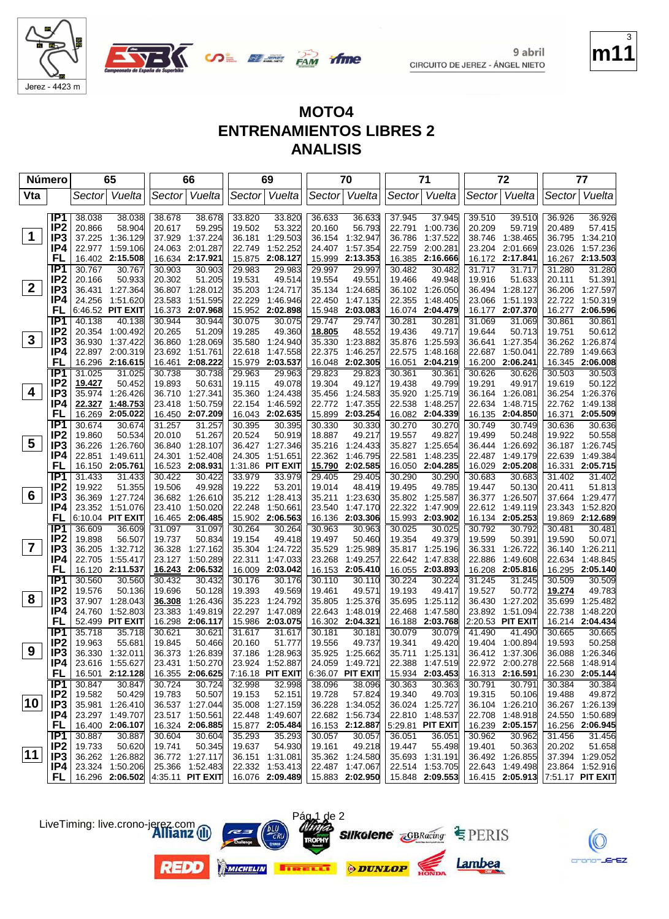



**ifme** 

**UDE BEER PAM** 

| Vta<br>Vuelta<br>Sector Vuelta<br>Sector Vuelta<br>Sector Vuelta<br>Vuelta<br>Sector Vuelta<br>Sector<br>Sector<br>Sector<br>IP <sub>1</sub><br>37.945<br>38.038<br>38.038<br>38.678<br>38.678<br>33.820<br>33.820<br>36.633<br>36.633<br>37.945<br>39.510<br>39.510<br>36.926<br>36.926<br>IP <sub>2</sub><br>20.866<br>58.904<br>20.617<br>59.295<br>19.502<br>53.322<br>56.793<br>22.791<br>1:00.736<br>20.209<br>59.719<br>20.489<br>57.415<br>20.160<br>$\mathbf 1$<br>IP3<br>37.225<br>1:36.129<br>37.929<br>1:37.224<br>36.181<br>1:29.503<br>36.154<br>1:32.947<br>36.786<br>1:37.522<br>38.746<br>1:38.465<br>36.795<br>1:34.210<br>IP4<br>22.977<br>1:59.106<br>24.063 2:01.287<br>1:52.252<br>1:57.354<br>2:00.281<br>2:01.669<br>1:57.236<br>22.749<br>24.407<br>22.759<br>23.204<br>23.026<br>FL<br>2:15.508<br>16.634 2:17.921<br>2:08.127<br>15.999<br>2:13.353<br>16.385<br>2:16.666<br>2:17.841<br>2:13.503<br>16.402<br>15.875<br>16.172<br>16.267<br>IP <sub>1</sub><br>30.767<br>30.767<br>30.903<br>30.903<br>29.983<br>29.983<br>29.997<br>29.997<br>30.482<br>31.717<br>31.717<br>31.280<br>31.280<br>30.482<br>IP <sub>2</sub><br>20.166<br>50.933<br>20.302<br>51.205<br>19.531<br>49.514<br>19.554<br>49.551<br>49.948<br>19.916<br>51.633<br>20.111<br>51.391<br>19.466<br>$\mathbf{2}$<br>IP <sub>3</sub><br>36.431<br>1:27.364<br>36.807 1:28.012<br>35.203<br>1:24.717<br>1:24.685<br>36.102 1:26.050<br>36.494 1:28.127<br>36.206<br>1:27.597<br>35.134<br>IP4<br>24.256<br>1:51.620<br>23.583 1:51.595<br>22.229<br>1.46.946<br>1:47.135<br>22.355<br>1:48.405<br>23.066<br>1:51.193<br>22.722<br>22.450<br><b>FL</b><br>6:46.52 PIT EXIT<br>16.373 2:07.968<br>15.952<br>2:02.898<br>15.948<br>2:03.083<br>16.074<br>2:04.479<br>16.177<br>2:07.370<br>16.277<br>2:06.596<br>IP1<br>40.138<br>40.138<br>30.944<br>30.944<br>30.075<br>30.075<br>29.747<br>29.747<br>30.281<br>31.069<br>31.069<br>30.861<br>30.861<br>30.281<br>IP <sub>2</sub><br>20.354<br>1:00.492<br>20.265<br>51.209<br>19.285<br>49.360<br>18.805<br>48.552<br>19.436<br>49.717<br>19.644<br>50.713<br>19.751<br>$\mathbf{3}$<br>IP3<br>36.930<br>1:37.422<br>36.860 1:28.069<br>35.580<br>1:24.940<br>35.330<br>1:23.882<br>35.876<br>1:25.593<br>36.641<br>1:27.354<br>36.262<br>IP4<br>22.897 2:00.319<br>23.692 1:51.761<br>1:47.558<br>22.375<br>1:46.257<br>1:48.168<br>22.687<br>1:50.041<br>22.789<br>22.618<br>22.575<br>FL<br>16.296 2:16.615<br>16.461 2:08.222<br>15.979<br>2:03.537<br>16.048<br>2:02.305<br>16.051<br>2:04.219<br>16.200 2:06.241<br>16.345<br>IP1<br>31.025<br>31.025<br>30.738<br>29.963<br>29.963<br>29.823<br>29.823<br>30.626<br>30.503<br>30.738<br>30.361<br>30.361<br>30.626<br>IP <sub>2</sub><br>19.427<br>50.452<br>19.893<br>50.631<br>19.115<br>49.078<br>19.304<br>49.127<br>19.438<br>49.799<br>19.291<br>49.917<br>19.619<br>4<br>IP <sub>3</sub><br>35.974<br>1:26.426<br>36.710 1:27.341<br>35.360<br>1:24.438<br>1:24.583<br>35.920<br>1:25.719<br>36.164 1:26.081<br>36.254<br>35.456<br>IP4<br>22.327<br>1:48.753<br>23.418<br>1:50.759<br>22.154<br>1:46.592<br>22.772<br>1:47.355<br>22.538<br>1:48.257<br>22.634<br>1:48.715<br>22.762<br>FL<br>2:05.022<br>2:05.509<br>16.269<br>16.450 2:07.209<br>16.043 2:02.635<br>15.899<br>2:03.254<br>16.082 2:04.339<br>16.135<br>2:04.850<br>16.371<br>IP <sub>1</sub><br>30.674<br>30.674<br>31.257<br>31.257<br>30.395<br>30.395<br>30.330<br>30.330<br>30.270<br>30.270<br>30.749<br>30.749<br>30.636<br>IP <sub>2</sub><br>19.860<br>50.534<br>51.267<br>20.524<br>50.919<br>18.887<br>49.217<br>19.557<br>49.827<br>19.499<br>50.248<br>19.922<br>20.010<br>5<br>IP <sub>3</sub><br>36.226<br>1:26.760<br>36.840 1:28.107<br>36.427 1:27.346<br>35.216<br>1.24.433<br>35.827<br>1:25.654<br>36.444<br>1:26.692<br>36.187 1:26.745<br>IP4<br>22.851<br>1:49.611<br>24.301 1:52.408<br>24.305<br>1:51.651<br>22.362<br>1:46.795<br>22.581<br>1:48.235<br>22.487<br>1:49.179<br>22.639<br>1:49.384<br>FL<br>16.150 2:05.761<br>16.523 2:08.931<br>1:31.86 PIT EXIT<br>15.790 2:02.585<br>16.050 2:04.285<br>16.029<br>2:05.208<br>16.331 2:05.715<br>IP1<br>31.433<br>31.433<br>30.422<br>30.422<br>33.979<br>33.979<br>29.405<br>29.405<br>30.290<br>30.290<br>30.683<br>30.683<br>31.402<br>31.402<br>IP <sub>2</sub><br>19.922<br>51.355<br>19.506<br>49.928<br>19.222<br>53.201<br>19.014<br>48.419<br>19.495<br>49.785<br>19.447<br>50.130<br>20.411<br>51.813<br>6<br>IP <sub>3</sub><br>36.369<br>1:27.724<br>36.682 1:26.610<br>35.212 1:28.413<br>35.211<br>35.802<br>36.377 1:26.507<br>37.664<br>1:29.477<br>1:23.630<br>1:25.587<br>23.352<br>1:51.076<br>23.410 1:50.020<br>22.248<br>1:50.661<br>1:47.170<br>22.322<br>1:47.909<br>1:49.119<br>23.343<br>1:52.820<br>IP4<br>23.540<br>22.612<br>FL<br>6:10.04 PIT EXIT<br>16.465 2:06.485<br>15.902 2:06.563<br>15.993<br>2:03.902<br>16.134 2:05.253<br>19.869 2:12.689<br>16.136<br>2:03.306<br>IP1<br>36.609<br>36.609<br>31.097<br>31.097<br>30.264<br>30.264<br>30.963<br>30.963<br>30.025<br>30.025<br>30.792<br>30.792<br>30.481<br>30.481<br>IP <sub>2</sub><br>19.599<br>19.898<br>56.507<br>19.737<br>50.834<br>19.154<br>49.418<br>19.497<br>50.460<br>19.354<br>49.379<br>50.391<br>19.590<br>50.071<br>$\overline{7}$<br>IP <sub>3</sub><br>36.205<br>1:32.712<br>36.328 1:27.162<br>35.304<br>1:24.722<br>35.529<br>1:25.989<br>35.817<br>1:25.196<br>36.331<br>1:26.722<br>1:26.211<br>36.140<br>IP4<br>1:55.417<br>22.705<br>23.127 1:50.289<br>22.311<br>1:47.033<br>23.268<br>1:49.257<br>22.642<br>1:47.838<br>22.886<br>1:49.608<br>22.634<br>FL<br>16.120 2:11.537<br>16.243 2:06.532<br>16.009 2:03.042<br>16.153<br>2:05.410<br>16.055 2:03.893<br>16.208 2:05.816<br>16.295 2:05.140<br>IP1<br>30.560<br>30.560<br>30.432<br>30.432<br>30.176<br>30.176<br>30.110<br>30.224<br>30.224<br>31.245<br>31.245<br>30.509<br>30.110<br>IP <sub>2</sub><br>19.527<br>19.576<br>50.136<br>19.696<br>50.128<br>19.393<br>49.569<br>49.571<br>19.193<br>49.417<br>50.772<br>19.274<br>19.461<br>8<br>IP <sub>3</sub><br>37.907<br>1:28.043<br>36.308<br>1:26.436<br>35.223<br>1:24.792<br>35.805<br>1:25.376<br>35.695<br>1:25.112<br>36.430<br>1:27.202<br>35.699<br>IP4<br>1:52.803<br>24.760<br>23.383<br>1:49.819<br>22.297<br>1:47.089<br>1:48.019<br>22.468<br>1:47.580<br>23.892 1:51.094<br>22.738<br>1:48.220<br>22.643<br>FL<br>52.499 PIT EXIT<br>2:20.53 PIT EXIT<br>16.214 2:04.434<br>16.298 2:06.117<br>15.986 2:03.075<br>16.302 2:04.321<br>16.188 2:03.768<br>IP <sub>1</sub><br>35.718<br>35.718<br>30.621<br>30.621<br>31.617<br>31.617<br>30.181<br>30.079<br>30.079<br>41.490<br>41.490<br>30.665<br>30.665<br>30.181<br>IP <sub>2</sub><br>19.963<br>55.681<br>19.845<br>50.466<br>20.160<br>51.777<br>19.556<br>49.737<br>19.341<br>49.420<br>19.404 1:00.894<br>19.593<br>50.258<br>9<br>IP <sub>3</sub><br>36.330 1:32.011<br>36.373 1:26.839<br>37.186 1:28.963<br>35.925 1:25.662<br>35.711 1:25.131<br>36.412 1:37.306<br>36.088 1:26.346<br>IP4<br>23.924 1:52.887<br>24.059 1:49.721<br>22.972 2:00.278<br>23.616 1:55.627<br>23.431 1:50.270<br>22.388 1:47.519<br>22.568 1:48.914<br><b>FL</b><br>16.501 2:12.128<br>16.355 2:06.625<br>7:16.18 PIT EXIT<br>$6:36.07$ PIT EXIT<br>15.934 2:03.453<br>16.313 2:16.591<br>16.230 2:05.144<br>30.363<br>IP1<br>30.847<br>30.847<br>30.724<br>32.998<br>38.096<br>30.363<br>30.791<br>30.384<br>30.724<br>32.998<br>38.096<br>30.791<br>30.384<br>IP <sub>2</sub><br>19.582<br>50.429<br>19.783<br>50.507<br>19.153<br>52.151<br>19.728<br>57.824<br>19.340<br>49.703<br>19.315<br>50.106<br>19.488<br>49.872<br>10<br>IP <sub>3</sub><br>35.981 1:26.410<br>36.537 1:27.044<br>36.104 1:26.210<br>35.008 1:27.159<br>36.228 1:34.052<br>36.024 1:25.727<br>36.267 1:26.139<br>23.297 1:49.707<br>23.517 1:50.561<br>22.448 1:49.607<br>22.682 1:56.734<br>22.810 1:48.537<br>22.708 1:48.918<br>24.550 1:50.689<br>IP4<br><b>FL</b><br>16.324 2:06.885<br>16.239 2:05.157<br>16.400 2:06.107<br>15.877 2:05.484<br>16.153 2:12.887<br>5:29.81 PIT EXIT<br>16.256 2:06.945<br>30.887<br>30.887<br>30.604<br>35.293<br>35.293<br>36.051<br>31.456<br>IP <sub>1</sub><br>30.604<br>30.057<br>30.057<br>36.051<br>30.962<br>30.962<br>IP <sub>2</sub><br>19.733<br>50.345<br>54.930<br>20.202<br>50.620<br>19.741<br>19.637<br>19.161<br>49.218<br>19.447<br>55.498<br>19.401<br>50.363<br>11<br>IP3<br>36.772 1:27.117<br>36.492 1:26.855<br>36.262 1:26.882<br>36.151 1:31.081<br>35.362 1:24.580<br>35.693 1:31.191<br>37.394 1:29.052<br>23.864 1:52.916<br>23.324 1:50.206<br>25.366 1:52.483<br>22.332 1:53.413<br>22.487 1:47.067<br>22.514 1:53.705<br>22.643 1:49.498 | Número | 65 | 66 | 69 | 70 | 71 | 72 | 77       |
|-----------------------------------------------------------------------------------------------------------------------------------------------------------------------------------------------------------------------------------------------------------------------------------------------------------------------------------------------------------------------------------------------------------------------------------------------------------------------------------------------------------------------------------------------------------------------------------------------------------------------------------------------------------------------------------------------------------------------------------------------------------------------------------------------------------------------------------------------------------------------------------------------------------------------------------------------------------------------------------------------------------------------------------------------------------------------------------------------------------------------------------------------------------------------------------------------------------------------------------------------------------------------------------------------------------------------------------------------------------------------------------------------------------------------------------------------------------------------------------------------------------------------------------------------------------------------------------------------------------------------------------------------------------------------------------------------------------------------------------------------------------------------------------------------------------------------------------------------------------------------------------------------------------------------------------------------------------------------------------------------------------------------------------------------------------------------------------------------------------------------------------------------------------------------------------------------------------------------------------------------------------------------------------------------------------------------------------------------------------------------------------------------------------------------------------------------------------------------------------------------------------------------------------------------------------------------------------------------------------------------------------------------------------------------------------------------------------------------------------------------------------------------------------------------------------------------------------------------------------------------------------------------------------------------------------------------------------------------------------------------------------------------------------------------------------------------------------------------------------------------------------------------------------------------------------------------------------------------------------------------------------------------------------------------------------------------------------------------------------------------------------------------------------------------------------------------------------------------------------------------------------------------------------------------------------------------------------------------------------------------------------------------------------------------------------------------------------------------------------------------------------------------------------------------------------------------------------------------------------------------------------------------------------------------------------------------------------------------------------------------------------------------------------------------------------------------------------------------------------------------------------------------------------------------------------------------------------------------------------------------------------------------------------------------------------------------------------------------------------------------------------------------------------------------------------------------------------------------------------------------------------------------------------------------------------------------------------------------------------------------------------------------------------------------------------------------------------------------------------------------------------------------------------------------------------------------------------------------------------------------------------------------------------------------------------------------------------------------------------------------------------------------------------------------------------------------------------------------------------------------------------------------------------------------------------------------------------------------------------------------------------------------------------------------------------------------------------------------------------------------------------------------------------------------------------------------------------------------------------------------------------------------------------------------------------------------------------------------------------------------------------------------------------------------------------------------------------------------------------------------------------------------------------------------------------------------------------------------------------------------------------------------------------------------------------------------------------------------------------------------------------------------------------------------------------------------------------------------------------------------------------------------------------------------------------------------------------------------------------------------------------------------------------------------------------------------------------------------------------------------------------------------------------------------------------------------------------------------------------------------------------------------------------------------------------------------------------------------------------------------------------------------------------------------------------------------------------------------------------------------------------------------------------------------------------------------------------------------------------------------------------------------------------------------------------------------------------------------------------------------------------------------------------------------------------------------------------------------------------------------------------------------------------------------------------------------------------------------------------------------------------------------------------------------------------------------------------------------------------------------------------------------------------------------------------------------------------------------------------------------------------------------------------------------------------------------------------------------------------------------------------------------------------------------------------------------------------------------------------------------------------------------------------------------------------------------------------------------------------------------------------------------------------------------------------------------------------------------------------------------------------------------------------------------------------------------------------------------------------------------------------------------------------------------------------------------------------------------------------------------------------------------------------------------------------------------------------------------------------------------------------------------------------------------------------------------------------------------------------------------------------------------------------------------------------------------------------------------------------------------------------------------------------------------------------------------------------------------------------------------|--------|----|----|----|----|----|----|----------|
|                                                                                                                                                                                                                                                                                                                                                                                                                                                                                                                                                                                                                                                                                                                                                                                                                                                                                                                                                                                                                                                                                                                                                                                                                                                                                                                                                                                                                                                                                                                                                                                                                                                                                                                                                                                                                                                                                                                                                                                                                                                                                                                                                                                                                                                                                                                                                                                                                                                                                                                                                                                                                                                                                                                                                                                                                                                                                                                                                                                                                                                                                                                                                                                                                                                                                                                                                                                                                                                                                                                                                                                                                                                                                                                                                                                                                                                                                                                                                                                                                                                                                                                                                                                                                                                                                                                                                                                                                                                                                                                                                                                                                                                                                                                                                                                                                                                                                                                                                                                                                                                                                                                                                                                                                                                                                                                                                                                                                                                                                                                                                                                                                                                                                                                                                                                                                                                                                                                                                                                                                                                                                                                                                                                                                                                                                                                                                                                                                                                                                                                                                                                                                                                                                                                                                                                                                                                                                                                                                                                                                                                                                                                                                                                                                                                                                                                                                                                                                                                                                                                                                                                                                                                                                                                                                                                                                                                                                                                                                                                                                                                                                                                                                                                                                                                                                                                                                                                                                                                                                                                                                                                                                                                                                                                                               |        |    |    |    |    |    |    | Vuelta   |
|                                                                                                                                                                                                                                                                                                                                                                                                                                                                                                                                                                                                                                                                                                                                                                                                                                                                                                                                                                                                                                                                                                                                                                                                                                                                                                                                                                                                                                                                                                                                                                                                                                                                                                                                                                                                                                                                                                                                                                                                                                                                                                                                                                                                                                                                                                                                                                                                                                                                                                                                                                                                                                                                                                                                                                                                                                                                                                                                                                                                                                                                                                                                                                                                                                                                                                                                                                                                                                                                                                                                                                                                                                                                                                                                                                                                                                                                                                                                                                                                                                                                                                                                                                                                                                                                                                                                                                                                                                                                                                                                                                                                                                                                                                                                                                                                                                                                                                                                                                                                                                                                                                                                                                                                                                                                                                                                                                                                                                                                                                                                                                                                                                                                                                                                                                                                                                                                                                                                                                                                                                                                                                                                                                                                                                                                                                                                                                                                                                                                                                                                                                                                                                                                                                                                                                                                                                                                                                                                                                                                                                                                                                                                                                                                                                                                                                                                                                                                                                                                                                                                                                                                                                                                                                                                                                                                                                                                                                                                                                                                                                                                                                                                                                                                                                                                                                                                                                                                                                                                                                                                                                                                                                                                                                                                               |        |    |    |    |    |    |    |          |
|                                                                                                                                                                                                                                                                                                                                                                                                                                                                                                                                                                                                                                                                                                                                                                                                                                                                                                                                                                                                                                                                                                                                                                                                                                                                                                                                                                                                                                                                                                                                                                                                                                                                                                                                                                                                                                                                                                                                                                                                                                                                                                                                                                                                                                                                                                                                                                                                                                                                                                                                                                                                                                                                                                                                                                                                                                                                                                                                                                                                                                                                                                                                                                                                                                                                                                                                                                                                                                                                                                                                                                                                                                                                                                                                                                                                                                                                                                                                                                                                                                                                                                                                                                                                                                                                                                                                                                                                                                                                                                                                                                                                                                                                                                                                                                                                                                                                                                                                                                                                                                                                                                                                                                                                                                                                                                                                                                                                                                                                                                                                                                                                                                                                                                                                                                                                                                                                                                                                                                                                                                                                                                                                                                                                                                                                                                                                                                                                                                                                                                                                                                                                                                                                                                                                                                                                                                                                                                                                                                                                                                                                                                                                                                                                                                                                                                                                                                                                                                                                                                                                                                                                                                                                                                                                                                                                                                                                                                                                                                                                                                                                                                                                                                                                                                                                                                                                                                                                                                                                                                                                                                                                                                                                                                                                               |        |    |    |    |    |    |    |          |
|                                                                                                                                                                                                                                                                                                                                                                                                                                                                                                                                                                                                                                                                                                                                                                                                                                                                                                                                                                                                                                                                                                                                                                                                                                                                                                                                                                                                                                                                                                                                                                                                                                                                                                                                                                                                                                                                                                                                                                                                                                                                                                                                                                                                                                                                                                                                                                                                                                                                                                                                                                                                                                                                                                                                                                                                                                                                                                                                                                                                                                                                                                                                                                                                                                                                                                                                                                                                                                                                                                                                                                                                                                                                                                                                                                                                                                                                                                                                                                                                                                                                                                                                                                                                                                                                                                                                                                                                                                                                                                                                                                                                                                                                                                                                                                                                                                                                                                                                                                                                                                                                                                                                                                                                                                                                                                                                                                                                                                                                                                                                                                                                                                                                                                                                                                                                                                                                                                                                                                                                                                                                                                                                                                                                                                                                                                                                                                                                                                                                                                                                                                                                                                                                                                                                                                                                                                                                                                                                                                                                                                                                                                                                                                                                                                                                                                                                                                                                                                                                                                                                                                                                                                                                                                                                                                                                                                                                                                                                                                                                                                                                                                                                                                                                                                                                                                                                                                                                                                                                                                                                                                                                                                                                                                                                               |        |    |    |    |    |    |    |          |
|                                                                                                                                                                                                                                                                                                                                                                                                                                                                                                                                                                                                                                                                                                                                                                                                                                                                                                                                                                                                                                                                                                                                                                                                                                                                                                                                                                                                                                                                                                                                                                                                                                                                                                                                                                                                                                                                                                                                                                                                                                                                                                                                                                                                                                                                                                                                                                                                                                                                                                                                                                                                                                                                                                                                                                                                                                                                                                                                                                                                                                                                                                                                                                                                                                                                                                                                                                                                                                                                                                                                                                                                                                                                                                                                                                                                                                                                                                                                                                                                                                                                                                                                                                                                                                                                                                                                                                                                                                                                                                                                                                                                                                                                                                                                                                                                                                                                                                                                                                                                                                                                                                                                                                                                                                                                                                                                                                                                                                                                                                                                                                                                                                                                                                                                                                                                                                                                                                                                                                                                                                                                                                                                                                                                                                                                                                                                                                                                                                                                                                                                                                                                                                                                                                                                                                                                                                                                                                                                                                                                                                                                                                                                                                                                                                                                                                                                                                                                                                                                                                                                                                                                                                                                                                                                                                                                                                                                                                                                                                                                                                                                                                                                                                                                                                                                                                                                                                                                                                                                                                                                                                                                                                                                                                                                               |        |    |    |    |    |    |    |          |
|                                                                                                                                                                                                                                                                                                                                                                                                                                                                                                                                                                                                                                                                                                                                                                                                                                                                                                                                                                                                                                                                                                                                                                                                                                                                                                                                                                                                                                                                                                                                                                                                                                                                                                                                                                                                                                                                                                                                                                                                                                                                                                                                                                                                                                                                                                                                                                                                                                                                                                                                                                                                                                                                                                                                                                                                                                                                                                                                                                                                                                                                                                                                                                                                                                                                                                                                                                                                                                                                                                                                                                                                                                                                                                                                                                                                                                                                                                                                                                                                                                                                                                                                                                                                                                                                                                                                                                                                                                                                                                                                                                                                                                                                                                                                                                                                                                                                                                                                                                                                                                                                                                                                                                                                                                                                                                                                                                                                                                                                                                                                                                                                                                                                                                                                                                                                                                                                                                                                                                                                                                                                                                                                                                                                                                                                                                                                                                                                                                                                                                                                                                                                                                                                                                                                                                                                                                                                                                                                                                                                                                                                                                                                                                                                                                                                                                                                                                                                                                                                                                                                                                                                                                                                                                                                                                                                                                                                                                                                                                                                                                                                                                                                                                                                                                                                                                                                                                                                                                                                                                                                                                                                                                                                                                                                               |        |    |    |    |    |    |    |          |
|                                                                                                                                                                                                                                                                                                                                                                                                                                                                                                                                                                                                                                                                                                                                                                                                                                                                                                                                                                                                                                                                                                                                                                                                                                                                                                                                                                                                                                                                                                                                                                                                                                                                                                                                                                                                                                                                                                                                                                                                                                                                                                                                                                                                                                                                                                                                                                                                                                                                                                                                                                                                                                                                                                                                                                                                                                                                                                                                                                                                                                                                                                                                                                                                                                                                                                                                                                                                                                                                                                                                                                                                                                                                                                                                                                                                                                                                                                                                                                                                                                                                                                                                                                                                                                                                                                                                                                                                                                                                                                                                                                                                                                                                                                                                                                                                                                                                                                                                                                                                                                                                                                                                                                                                                                                                                                                                                                                                                                                                                                                                                                                                                                                                                                                                                                                                                                                                                                                                                                                                                                                                                                                                                                                                                                                                                                                                                                                                                                                                                                                                                                                                                                                                                                                                                                                                                                                                                                                                                                                                                                                                                                                                                                                                                                                                                                                                                                                                                                                                                                                                                                                                                                                                                                                                                                                                                                                                                                                                                                                                                                                                                                                                                                                                                                                                                                                                                                                                                                                                                                                                                                                                                                                                                                                                               |        |    |    |    |    |    |    |          |
|                                                                                                                                                                                                                                                                                                                                                                                                                                                                                                                                                                                                                                                                                                                                                                                                                                                                                                                                                                                                                                                                                                                                                                                                                                                                                                                                                                                                                                                                                                                                                                                                                                                                                                                                                                                                                                                                                                                                                                                                                                                                                                                                                                                                                                                                                                                                                                                                                                                                                                                                                                                                                                                                                                                                                                                                                                                                                                                                                                                                                                                                                                                                                                                                                                                                                                                                                                                                                                                                                                                                                                                                                                                                                                                                                                                                                                                                                                                                                                                                                                                                                                                                                                                                                                                                                                                                                                                                                                                                                                                                                                                                                                                                                                                                                                                                                                                                                                                                                                                                                                                                                                                                                                                                                                                                                                                                                                                                                                                                                                                                                                                                                                                                                                                                                                                                                                                                                                                                                                                                                                                                                                                                                                                                                                                                                                                                                                                                                                                                                                                                                                                                                                                                                                                                                                                                                                                                                                                                                                                                                                                                                                                                                                                                                                                                                                                                                                                                                                                                                                                                                                                                                                                                                                                                                                                                                                                                                                                                                                                                                                                                                                                                                                                                                                                                                                                                                                                                                                                                                                                                                                                                                                                                                                                                               |        |    |    |    |    |    |    |          |
|                                                                                                                                                                                                                                                                                                                                                                                                                                                                                                                                                                                                                                                                                                                                                                                                                                                                                                                                                                                                                                                                                                                                                                                                                                                                                                                                                                                                                                                                                                                                                                                                                                                                                                                                                                                                                                                                                                                                                                                                                                                                                                                                                                                                                                                                                                                                                                                                                                                                                                                                                                                                                                                                                                                                                                                                                                                                                                                                                                                                                                                                                                                                                                                                                                                                                                                                                                                                                                                                                                                                                                                                                                                                                                                                                                                                                                                                                                                                                                                                                                                                                                                                                                                                                                                                                                                                                                                                                                                                                                                                                                                                                                                                                                                                                                                                                                                                                                                                                                                                                                                                                                                                                                                                                                                                                                                                                                                                                                                                                                                                                                                                                                                                                                                                                                                                                                                                                                                                                                                                                                                                                                                                                                                                                                                                                                                                                                                                                                                                                                                                                                                                                                                                                                                                                                                                                                                                                                                                                                                                                                                                                                                                                                                                                                                                                                                                                                                                                                                                                                                                                                                                                                                                                                                                                                                                                                                                                                                                                                                                                                                                                                                                                                                                                                                                                                                                                                                                                                                                                                                                                                                                                                                                                                                                               |        |    |    |    |    |    |    |          |
|                                                                                                                                                                                                                                                                                                                                                                                                                                                                                                                                                                                                                                                                                                                                                                                                                                                                                                                                                                                                                                                                                                                                                                                                                                                                                                                                                                                                                                                                                                                                                                                                                                                                                                                                                                                                                                                                                                                                                                                                                                                                                                                                                                                                                                                                                                                                                                                                                                                                                                                                                                                                                                                                                                                                                                                                                                                                                                                                                                                                                                                                                                                                                                                                                                                                                                                                                                                                                                                                                                                                                                                                                                                                                                                                                                                                                                                                                                                                                                                                                                                                                                                                                                                                                                                                                                                                                                                                                                                                                                                                                                                                                                                                                                                                                                                                                                                                                                                                                                                                                                                                                                                                                                                                                                                                                                                                                                                                                                                                                                                                                                                                                                                                                                                                                                                                                                                                                                                                                                                                                                                                                                                                                                                                                                                                                                                                                                                                                                                                                                                                                                                                                                                                                                                                                                                                                                                                                                                                                                                                                                                                                                                                                                                                                                                                                                                                                                                                                                                                                                                                                                                                                                                                                                                                                                                                                                                                                                                                                                                                                                                                                                                                                                                                                                                                                                                                                                                                                                                                                                                                                                                                                                                                                                                                               |        |    |    |    |    |    |    | 1:50.319 |
|                                                                                                                                                                                                                                                                                                                                                                                                                                                                                                                                                                                                                                                                                                                                                                                                                                                                                                                                                                                                                                                                                                                                                                                                                                                                                                                                                                                                                                                                                                                                                                                                                                                                                                                                                                                                                                                                                                                                                                                                                                                                                                                                                                                                                                                                                                                                                                                                                                                                                                                                                                                                                                                                                                                                                                                                                                                                                                                                                                                                                                                                                                                                                                                                                                                                                                                                                                                                                                                                                                                                                                                                                                                                                                                                                                                                                                                                                                                                                                                                                                                                                                                                                                                                                                                                                                                                                                                                                                                                                                                                                                                                                                                                                                                                                                                                                                                                                                                                                                                                                                                                                                                                                                                                                                                                                                                                                                                                                                                                                                                                                                                                                                                                                                                                                                                                                                                                                                                                                                                                                                                                                                                                                                                                                                                                                                                                                                                                                                                                                                                                                                                                                                                                                                                                                                                                                                                                                                                                                                                                                                                                                                                                                                                                                                                                                                                                                                                                                                                                                                                                                                                                                                                                                                                                                                                                                                                                                                                                                                                                                                                                                                                                                                                                                                                                                                                                                                                                                                                                                                                                                                                                                                                                                                                                               |        |    |    |    |    |    |    |          |
|                                                                                                                                                                                                                                                                                                                                                                                                                                                                                                                                                                                                                                                                                                                                                                                                                                                                                                                                                                                                                                                                                                                                                                                                                                                                                                                                                                                                                                                                                                                                                                                                                                                                                                                                                                                                                                                                                                                                                                                                                                                                                                                                                                                                                                                                                                                                                                                                                                                                                                                                                                                                                                                                                                                                                                                                                                                                                                                                                                                                                                                                                                                                                                                                                                                                                                                                                                                                                                                                                                                                                                                                                                                                                                                                                                                                                                                                                                                                                                                                                                                                                                                                                                                                                                                                                                                                                                                                                                                                                                                                                                                                                                                                                                                                                                                                                                                                                                                                                                                                                                                                                                                                                                                                                                                                                                                                                                                                                                                                                                                                                                                                                                                                                                                                                                                                                                                                                                                                                                                                                                                                                                                                                                                                                                                                                                                                                                                                                                                                                                                                                                                                                                                                                                                                                                                                                                                                                                                                                                                                                                                                                                                                                                                                                                                                                                                                                                                                                                                                                                                                                                                                                                                                                                                                                                                                                                                                                                                                                                                                                                                                                                                                                                                                                                                                                                                                                                                                                                                                                                                                                                                                                                                                                                                                               |        |    |    |    |    |    |    |          |
|                                                                                                                                                                                                                                                                                                                                                                                                                                                                                                                                                                                                                                                                                                                                                                                                                                                                                                                                                                                                                                                                                                                                                                                                                                                                                                                                                                                                                                                                                                                                                                                                                                                                                                                                                                                                                                                                                                                                                                                                                                                                                                                                                                                                                                                                                                                                                                                                                                                                                                                                                                                                                                                                                                                                                                                                                                                                                                                                                                                                                                                                                                                                                                                                                                                                                                                                                                                                                                                                                                                                                                                                                                                                                                                                                                                                                                                                                                                                                                                                                                                                                                                                                                                                                                                                                                                                                                                                                                                                                                                                                                                                                                                                                                                                                                                                                                                                                                                                                                                                                                                                                                                                                                                                                                                                                                                                                                                                                                                                                                                                                                                                                                                                                                                                                                                                                                                                                                                                                                                                                                                                                                                                                                                                                                                                                                                                                                                                                                                                                                                                                                                                                                                                                                                                                                                                                                                                                                                                                                                                                                                                                                                                                                                                                                                                                                                                                                                                                                                                                                                                                                                                                                                                                                                                                                                                                                                                                                                                                                                                                                                                                                                                                                                                                                                                                                                                                                                                                                                                                                                                                                                                                                                                                                                                               |        |    |    |    |    |    |    | 50.612   |
|                                                                                                                                                                                                                                                                                                                                                                                                                                                                                                                                                                                                                                                                                                                                                                                                                                                                                                                                                                                                                                                                                                                                                                                                                                                                                                                                                                                                                                                                                                                                                                                                                                                                                                                                                                                                                                                                                                                                                                                                                                                                                                                                                                                                                                                                                                                                                                                                                                                                                                                                                                                                                                                                                                                                                                                                                                                                                                                                                                                                                                                                                                                                                                                                                                                                                                                                                                                                                                                                                                                                                                                                                                                                                                                                                                                                                                                                                                                                                                                                                                                                                                                                                                                                                                                                                                                                                                                                                                                                                                                                                                                                                                                                                                                                                                                                                                                                                                                                                                                                                                                                                                                                                                                                                                                                                                                                                                                                                                                                                                                                                                                                                                                                                                                                                                                                                                                                                                                                                                                                                                                                                                                                                                                                                                                                                                                                                                                                                                                                                                                                                                                                                                                                                                                                                                                                                                                                                                                                                                                                                                                                                                                                                                                                                                                                                                                                                                                                                                                                                                                                                                                                                                                                                                                                                                                                                                                                                                                                                                                                                                                                                                                                                                                                                                                                                                                                                                                                                                                                                                                                                                                                                                                                                                                                               |        |    |    |    |    |    |    | 1:26.874 |
|                                                                                                                                                                                                                                                                                                                                                                                                                                                                                                                                                                                                                                                                                                                                                                                                                                                                                                                                                                                                                                                                                                                                                                                                                                                                                                                                                                                                                                                                                                                                                                                                                                                                                                                                                                                                                                                                                                                                                                                                                                                                                                                                                                                                                                                                                                                                                                                                                                                                                                                                                                                                                                                                                                                                                                                                                                                                                                                                                                                                                                                                                                                                                                                                                                                                                                                                                                                                                                                                                                                                                                                                                                                                                                                                                                                                                                                                                                                                                                                                                                                                                                                                                                                                                                                                                                                                                                                                                                                                                                                                                                                                                                                                                                                                                                                                                                                                                                                                                                                                                                                                                                                                                                                                                                                                                                                                                                                                                                                                                                                                                                                                                                                                                                                                                                                                                                                                                                                                                                                                                                                                                                                                                                                                                                                                                                                                                                                                                                                                                                                                                                                                                                                                                                                                                                                                                                                                                                                                                                                                                                                                                                                                                                                                                                                                                                                                                                                                                                                                                                                                                                                                                                                                                                                                                                                                                                                                                                                                                                                                                                                                                                                                                                                                                                                                                                                                                                                                                                                                                                                                                                                                                                                                                                                                               |        |    |    |    |    |    |    | 1:49.663 |
|                                                                                                                                                                                                                                                                                                                                                                                                                                                                                                                                                                                                                                                                                                                                                                                                                                                                                                                                                                                                                                                                                                                                                                                                                                                                                                                                                                                                                                                                                                                                                                                                                                                                                                                                                                                                                                                                                                                                                                                                                                                                                                                                                                                                                                                                                                                                                                                                                                                                                                                                                                                                                                                                                                                                                                                                                                                                                                                                                                                                                                                                                                                                                                                                                                                                                                                                                                                                                                                                                                                                                                                                                                                                                                                                                                                                                                                                                                                                                                                                                                                                                                                                                                                                                                                                                                                                                                                                                                                                                                                                                                                                                                                                                                                                                                                                                                                                                                                                                                                                                                                                                                                                                                                                                                                                                                                                                                                                                                                                                                                                                                                                                                                                                                                                                                                                                                                                                                                                                                                                                                                                                                                                                                                                                                                                                                                                                                                                                                                                                                                                                                                                                                                                                                                                                                                                                                                                                                                                                                                                                                                                                                                                                                                                                                                                                                                                                                                                                                                                                                                                                                                                                                                                                                                                                                                                                                                                                                                                                                                                                                                                                                                                                                                                                                                                                                                                                                                                                                                                                                                                                                                                                                                                                                                                               |        |    |    |    |    |    |    | 2:06.008 |
|                                                                                                                                                                                                                                                                                                                                                                                                                                                                                                                                                                                                                                                                                                                                                                                                                                                                                                                                                                                                                                                                                                                                                                                                                                                                                                                                                                                                                                                                                                                                                                                                                                                                                                                                                                                                                                                                                                                                                                                                                                                                                                                                                                                                                                                                                                                                                                                                                                                                                                                                                                                                                                                                                                                                                                                                                                                                                                                                                                                                                                                                                                                                                                                                                                                                                                                                                                                                                                                                                                                                                                                                                                                                                                                                                                                                                                                                                                                                                                                                                                                                                                                                                                                                                                                                                                                                                                                                                                                                                                                                                                                                                                                                                                                                                                                                                                                                                                                                                                                                                                                                                                                                                                                                                                                                                                                                                                                                                                                                                                                                                                                                                                                                                                                                                                                                                                                                                                                                                                                                                                                                                                                                                                                                                                                                                                                                                                                                                                                                                                                                                                                                                                                                                                                                                                                                                                                                                                                                                                                                                                                                                                                                                                                                                                                                                                                                                                                                                                                                                                                                                                                                                                                                                                                                                                                                                                                                                                                                                                                                                                                                                                                                                                                                                                                                                                                                                                                                                                                                                                                                                                                                                                                                                                                                               |        |    |    |    |    |    |    | 30.503   |
|                                                                                                                                                                                                                                                                                                                                                                                                                                                                                                                                                                                                                                                                                                                                                                                                                                                                                                                                                                                                                                                                                                                                                                                                                                                                                                                                                                                                                                                                                                                                                                                                                                                                                                                                                                                                                                                                                                                                                                                                                                                                                                                                                                                                                                                                                                                                                                                                                                                                                                                                                                                                                                                                                                                                                                                                                                                                                                                                                                                                                                                                                                                                                                                                                                                                                                                                                                                                                                                                                                                                                                                                                                                                                                                                                                                                                                                                                                                                                                                                                                                                                                                                                                                                                                                                                                                                                                                                                                                                                                                                                                                                                                                                                                                                                                                                                                                                                                                                                                                                                                                                                                                                                                                                                                                                                                                                                                                                                                                                                                                                                                                                                                                                                                                                                                                                                                                                                                                                                                                                                                                                                                                                                                                                                                                                                                                                                                                                                                                                                                                                                                                                                                                                                                                                                                                                                                                                                                                                                                                                                                                                                                                                                                                                                                                                                                                                                                                                                                                                                                                                                                                                                                                                                                                                                                                                                                                                                                                                                                                                                                                                                                                                                                                                                                                                                                                                                                                                                                                                                                                                                                                                                                                                                                                                               |        |    |    |    |    |    |    | 50.122   |
|                                                                                                                                                                                                                                                                                                                                                                                                                                                                                                                                                                                                                                                                                                                                                                                                                                                                                                                                                                                                                                                                                                                                                                                                                                                                                                                                                                                                                                                                                                                                                                                                                                                                                                                                                                                                                                                                                                                                                                                                                                                                                                                                                                                                                                                                                                                                                                                                                                                                                                                                                                                                                                                                                                                                                                                                                                                                                                                                                                                                                                                                                                                                                                                                                                                                                                                                                                                                                                                                                                                                                                                                                                                                                                                                                                                                                                                                                                                                                                                                                                                                                                                                                                                                                                                                                                                                                                                                                                                                                                                                                                                                                                                                                                                                                                                                                                                                                                                                                                                                                                                                                                                                                                                                                                                                                                                                                                                                                                                                                                                                                                                                                                                                                                                                                                                                                                                                                                                                                                                                                                                                                                                                                                                                                                                                                                                                                                                                                                                                                                                                                                                                                                                                                                                                                                                                                                                                                                                                                                                                                                                                                                                                                                                                                                                                                                                                                                                                                                                                                                                                                                                                                                                                                                                                                                                                                                                                                                                                                                                                                                                                                                                                                                                                                                                                                                                                                                                                                                                                                                                                                                                                                                                                                                                                               |        |    |    |    |    |    |    | 1:26.376 |
|                                                                                                                                                                                                                                                                                                                                                                                                                                                                                                                                                                                                                                                                                                                                                                                                                                                                                                                                                                                                                                                                                                                                                                                                                                                                                                                                                                                                                                                                                                                                                                                                                                                                                                                                                                                                                                                                                                                                                                                                                                                                                                                                                                                                                                                                                                                                                                                                                                                                                                                                                                                                                                                                                                                                                                                                                                                                                                                                                                                                                                                                                                                                                                                                                                                                                                                                                                                                                                                                                                                                                                                                                                                                                                                                                                                                                                                                                                                                                                                                                                                                                                                                                                                                                                                                                                                                                                                                                                                                                                                                                                                                                                                                                                                                                                                                                                                                                                                                                                                                                                                                                                                                                                                                                                                                                                                                                                                                                                                                                                                                                                                                                                                                                                                                                                                                                                                                                                                                                                                                                                                                                                                                                                                                                                                                                                                                                                                                                                                                                                                                                                                                                                                                                                                                                                                                                                                                                                                                                                                                                                                                                                                                                                                                                                                                                                                                                                                                                                                                                                                                                                                                                                                                                                                                                                                                                                                                                                                                                                                                                                                                                                                                                                                                                                                                                                                                                                                                                                                                                                                                                                                                                                                                                                                                               |        |    |    |    |    |    |    | 1:49.138 |
|                                                                                                                                                                                                                                                                                                                                                                                                                                                                                                                                                                                                                                                                                                                                                                                                                                                                                                                                                                                                                                                                                                                                                                                                                                                                                                                                                                                                                                                                                                                                                                                                                                                                                                                                                                                                                                                                                                                                                                                                                                                                                                                                                                                                                                                                                                                                                                                                                                                                                                                                                                                                                                                                                                                                                                                                                                                                                                                                                                                                                                                                                                                                                                                                                                                                                                                                                                                                                                                                                                                                                                                                                                                                                                                                                                                                                                                                                                                                                                                                                                                                                                                                                                                                                                                                                                                                                                                                                                                                                                                                                                                                                                                                                                                                                                                                                                                                                                                                                                                                                                                                                                                                                                                                                                                                                                                                                                                                                                                                                                                                                                                                                                                                                                                                                                                                                                                                                                                                                                                                                                                                                                                                                                                                                                                                                                                                                                                                                                                                                                                                                                                                                                                                                                                                                                                                                                                                                                                                                                                                                                                                                                                                                                                                                                                                                                                                                                                                                                                                                                                                                                                                                                                                                                                                                                                                                                                                                                                                                                                                                                                                                                                                                                                                                                                                                                                                                                                                                                                                                                                                                                                                                                                                                                                                               |        |    |    |    |    |    |    |          |
|                                                                                                                                                                                                                                                                                                                                                                                                                                                                                                                                                                                                                                                                                                                                                                                                                                                                                                                                                                                                                                                                                                                                                                                                                                                                                                                                                                                                                                                                                                                                                                                                                                                                                                                                                                                                                                                                                                                                                                                                                                                                                                                                                                                                                                                                                                                                                                                                                                                                                                                                                                                                                                                                                                                                                                                                                                                                                                                                                                                                                                                                                                                                                                                                                                                                                                                                                                                                                                                                                                                                                                                                                                                                                                                                                                                                                                                                                                                                                                                                                                                                                                                                                                                                                                                                                                                                                                                                                                                                                                                                                                                                                                                                                                                                                                                                                                                                                                                                                                                                                                                                                                                                                                                                                                                                                                                                                                                                                                                                                                                                                                                                                                                                                                                                                                                                                                                                                                                                                                                                                                                                                                                                                                                                                                                                                                                                                                                                                                                                                                                                                                                                                                                                                                                                                                                                                                                                                                                                                                                                                                                                                                                                                                                                                                                                                                                                                                                                                                                                                                                                                                                                                                                                                                                                                                                                                                                                                                                                                                                                                                                                                                                                                                                                                                                                                                                                                                                                                                                                                                                                                                                                                                                                                                                                               |        |    |    |    |    |    |    | 30.636   |
|                                                                                                                                                                                                                                                                                                                                                                                                                                                                                                                                                                                                                                                                                                                                                                                                                                                                                                                                                                                                                                                                                                                                                                                                                                                                                                                                                                                                                                                                                                                                                                                                                                                                                                                                                                                                                                                                                                                                                                                                                                                                                                                                                                                                                                                                                                                                                                                                                                                                                                                                                                                                                                                                                                                                                                                                                                                                                                                                                                                                                                                                                                                                                                                                                                                                                                                                                                                                                                                                                                                                                                                                                                                                                                                                                                                                                                                                                                                                                                                                                                                                                                                                                                                                                                                                                                                                                                                                                                                                                                                                                                                                                                                                                                                                                                                                                                                                                                                                                                                                                                                                                                                                                                                                                                                                                                                                                                                                                                                                                                                                                                                                                                                                                                                                                                                                                                                                                                                                                                                                                                                                                                                                                                                                                                                                                                                                                                                                                                                                                                                                                                                                                                                                                                                                                                                                                                                                                                                                                                                                                                                                                                                                                                                                                                                                                                                                                                                                                                                                                                                                                                                                                                                                                                                                                                                                                                                                                                                                                                                                                                                                                                                                                                                                                                                                                                                                                                                                                                                                                                                                                                                                                                                                                                                                               |        |    |    |    |    |    |    | 50.558   |
|                                                                                                                                                                                                                                                                                                                                                                                                                                                                                                                                                                                                                                                                                                                                                                                                                                                                                                                                                                                                                                                                                                                                                                                                                                                                                                                                                                                                                                                                                                                                                                                                                                                                                                                                                                                                                                                                                                                                                                                                                                                                                                                                                                                                                                                                                                                                                                                                                                                                                                                                                                                                                                                                                                                                                                                                                                                                                                                                                                                                                                                                                                                                                                                                                                                                                                                                                                                                                                                                                                                                                                                                                                                                                                                                                                                                                                                                                                                                                                                                                                                                                                                                                                                                                                                                                                                                                                                                                                                                                                                                                                                                                                                                                                                                                                                                                                                                                                                                                                                                                                                                                                                                                                                                                                                                                                                                                                                                                                                                                                                                                                                                                                                                                                                                                                                                                                                                                                                                                                                                                                                                                                                                                                                                                                                                                                                                                                                                                                                                                                                                                                                                                                                                                                                                                                                                                                                                                                                                                                                                                                                                                                                                                                                                                                                                                                                                                                                                                                                                                                                                                                                                                                                                                                                                                                                                                                                                                                                                                                                                                                                                                                                                                                                                                                                                                                                                                                                                                                                                                                                                                                                                                                                                                                                                               |        |    |    |    |    |    |    |          |
|                                                                                                                                                                                                                                                                                                                                                                                                                                                                                                                                                                                                                                                                                                                                                                                                                                                                                                                                                                                                                                                                                                                                                                                                                                                                                                                                                                                                                                                                                                                                                                                                                                                                                                                                                                                                                                                                                                                                                                                                                                                                                                                                                                                                                                                                                                                                                                                                                                                                                                                                                                                                                                                                                                                                                                                                                                                                                                                                                                                                                                                                                                                                                                                                                                                                                                                                                                                                                                                                                                                                                                                                                                                                                                                                                                                                                                                                                                                                                                                                                                                                                                                                                                                                                                                                                                                                                                                                                                                                                                                                                                                                                                                                                                                                                                                                                                                                                                                                                                                                                                                                                                                                                                                                                                                                                                                                                                                                                                                                                                                                                                                                                                                                                                                                                                                                                                                                                                                                                                                                                                                                                                                                                                                                                                                                                                                                                                                                                                                                                                                                                                                                                                                                                                                                                                                                                                                                                                                                                                                                                                                                                                                                                                                                                                                                                                                                                                                                                                                                                                                                                                                                                                                                                                                                                                                                                                                                                                                                                                                                                                                                                                                                                                                                                                                                                                                                                                                                                                                                                                                                                                                                                                                                                                                                               |        |    |    |    |    |    |    |          |
|                                                                                                                                                                                                                                                                                                                                                                                                                                                                                                                                                                                                                                                                                                                                                                                                                                                                                                                                                                                                                                                                                                                                                                                                                                                                                                                                                                                                                                                                                                                                                                                                                                                                                                                                                                                                                                                                                                                                                                                                                                                                                                                                                                                                                                                                                                                                                                                                                                                                                                                                                                                                                                                                                                                                                                                                                                                                                                                                                                                                                                                                                                                                                                                                                                                                                                                                                                                                                                                                                                                                                                                                                                                                                                                                                                                                                                                                                                                                                                                                                                                                                                                                                                                                                                                                                                                                                                                                                                                                                                                                                                                                                                                                                                                                                                                                                                                                                                                                                                                                                                                                                                                                                                                                                                                                                                                                                                                                                                                                                                                                                                                                                                                                                                                                                                                                                                                                                                                                                                                                                                                                                                                                                                                                                                                                                                                                                                                                                                                                                                                                                                                                                                                                                                                                                                                                                                                                                                                                                                                                                                                                                                                                                                                                                                                                                                                                                                                                                                                                                                                                                                                                                                                                                                                                                                                                                                                                                                                                                                                                                                                                                                                                                                                                                                                                                                                                                                                                                                                                                                                                                                                                                                                                                                                                               |        |    |    |    |    |    |    |          |
|                                                                                                                                                                                                                                                                                                                                                                                                                                                                                                                                                                                                                                                                                                                                                                                                                                                                                                                                                                                                                                                                                                                                                                                                                                                                                                                                                                                                                                                                                                                                                                                                                                                                                                                                                                                                                                                                                                                                                                                                                                                                                                                                                                                                                                                                                                                                                                                                                                                                                                                                                                                                                                                                                                                                                                                                                                                                                                                                                                                                                                                                                                                                                                                                                                                                                                                                                                                                                                                                                                                                                                                                                                                                                                                                                                                                                                                                                                                                                                                                                                                                                                                                                                                                                                                                                                                                                                                                                                                                                                                                                                                                                                                                                                                                                                                                                                                                                                                                                                                                                                                                                                                                                                                                                                                                                                                                                                                                                                                                                                                                                                                                                                                                                                                                                                                                                                                                                                                                                                                                                                                                                                                                                                                                                                                                                                                                                                                                                                                                                                                                                                                                                                                                                                                                                                                                                                                                                                                                                                                                                                                                                                                                                                                                                                                                                                                                                                                                                                                                                                                                                                                                                                                                                                                                                                                                                                                                                                                                                                                                                                                                                                                                                                                                                                                                                                                                                                                                                                                                                                                                                                                                                                                                                                                                               |        |    |    |    |    |    |    |          |
|                                                                                                                                                                                                                                                                                                                                                                                                                                                                                                                                                                                                                                                                                                                                                                                                                                                                                                                                                                                                                                                                                                                                                                                                                                                                                                                                                                                                                                                                                                                                                                                                                                                                                                                                                                                                                                                                                                                                                                                                                                                                                                                                                                                                                                                                                                                                                                                                                                                                                                                                                                                                                                                                                                                                                                                                                                                                                                                                                                                                                                                                                                                                                                                                                                                                                                                                                                                                                                                                                                                                                                                                                                                                                                                                                                                                                                                                                                                                                                                                                                                                                                                                                                                                                                                                                                                                                                                                                                                                                                                                                                                                                                                                                                                                                                                                                                                                                                                                                                                                                                                                                                                                                                                                                                                                                                                                                                                                                                                                                                                                                                                                                                                                                                                                                                                                                                                                                                                                                                                                                                                                                                                                                                                                                                                                                                                                                                                                                                                                                                                                                                                                                                                                                                                                                                                                                                                                                                                                                                                                                                                                                                                                                                                                                                                                                                                                                                                                                                                                                                                                                                                                                                                                                                                                                                                                                                                                                                                                                                                                                                                                                                                                                                                                                                                                                                                                                                                                                                                                                                                                                                                                                                                                                                                                               |        |    |    |    |    |    |    |          |
|                                                                                                                                                                                                                                                                                                                                                                                                                                                                                                                                                                                                                                                                                                                                                                                                                                                                                                                                                                                                                                                                                                                                                                                                                                                                                                                                                                                                                                                                                                                                                                                                                                                                                                                                                                                                                                                                                                                                                                                                                                                                                                                                                                                                                                                                                                                                                                                                                                                                                                                                                                                                                                                                                                                                                                                                                                                                                                                                                                                                                                                                                                                                                                                                                                                                                                                                                                                                                                                                                                                                                                                                                                                                                                                                                                                                                                                                                                                                                                                                                                                                                                                                                                                                                                                                                                                                                                                                                                                                                                                                                                                                                                                                                                                                                                                                                                                                                                                                                                                                                                                                                                                                                                                                                                                                                                                                                                                                                                                                                                                                                                                                                                                                                                                                                                                                                                                                                                                                                                                                                                                                                                                                                                                                                                                                                                                                                                                                                                                                                                                                                                                                                                                                                                                                                                                                                                                                                                                                                                                                                                                                                                                                                                                                                                                                                                                                                                                                                                                                                                                                                                                                                                                                                                                                                                                                                                                                                                                                                                                                                                                                                                                                                                                                                                                                                                                                                                                                                                                                                                                                                                                                                                                                                                                                               |        |    |    |    |    |    |    |          |
|                                                                                                                                                                                                                                                                                                                                                                                                                                                                                                                                                                                                                                                                                                                                                                                                                                                                                                                                                                                                                                                                                                                                                                                                                                                                                                                                                                                                                                                                                                                                                                                                                                                                                                                                                                                                                                                                                                                                                                                                                                                                                                                                                                                                                                                                                                                                                                                                                                                                                                                                                                                                                                                                                                                                                                                                                                                                                                                                                                                                                                                                                                                                                                                                                                                                                                                                                                                                                                                                                                                                                                                                                                                                                                                                                                                                                                                                                                                                                                                                                                                                                                                                                                                                                                                                                                                                                                                                                                                                                                                                                                                                                                                                                                                                                                                                                                                                                                                                                                                                                                                                                                                                                                                                                                                                                                                                                                                                                                                                                                                                                                                                                                                                                                                                                                                                                                                                                                                                                                                                                                                                                                                                                                                                                                                                                                                                                                                                                                                                                                                                                                                                                                                                                                                                                                                                                                                                                                                                                                                                                                                                                                                                                                                                                                                                                                                                                                                                                                                                                                                                                                                                                                                                                                                                                                                                                                                                                                                                                                                                                                                                                                                                                                                                                                                                                                                                                                                                                                                                                                                                                                                                                                                                                                                                               |        |    |    |    |    |    |    |          |
|                                                                                                                                                                                                                                                                                                                                                                                                                                                                                                                                                                                                                                                                                                                                                                                                                                                                                                                                                                                                                                                                                                                                                                                                                                                                                                                                                                                                                                                                                                                                                                                                                                                                                                                                                                                                                                                                                                                                                                                                                                                                                                                                                                                                                                                                                                                                                                                                                                                                                                                                                                                                                                                                                                                                                                                                                                                                                                                                                                                                                                                                                                                                                                                                                                                                                                                                                                                                                                                                                                                                                                                                                                                                                                                                                                                                                                                                                                                                                                                                                                                                                                                                                                                                                                                                                                                                                                                                                                                                                                                                                                                                                                                                                                                                                                                                                                                                                                                                                                                                                                                                                                                                                                                                                                                                                                                                                                                                                                                                                                                                                                                                                                                                                                                                                                                                                                                                                                                                                                                                                                                                                                                                                                                                                                                                                                                                                                                                                                                                                                                                                                                                                                                                                                                                                                                                                                                                                                                                                                                                                                                                                                                                                                                                                                                                                                                                                                                                                                                                                                                                                                                                                                                                                                                                                                                                                                                                                                                                                                                                                                                                                                                                                                                                                                                                                                                                                                                                                                                                                                                                                                                                                                                                                                                                               |        |    |    |    |    |    |    |          |
|                                                                                                                                                                                                                                                                                                                                                                                                                                                                                                                                                                                                                                                                                                                                                                                                                                                                                                                                                                                                                                                                                                                                                                                                                                                                                                                                                                                                                                                                                                                                                                                                                                                                                                                                                                                                                                                                                                                                                                                                                                                                                                                                                                                                                                                                                                                                                                                                                                                                                                                                                                                                                                                                                                                                                                                                                                                                                                                                                                                                                                                                                                                                                                                                                                                                                                                                                                                                                                                                                                                                                                                                                                                                                                                                                                                                                                                                                                                                                                                                                                                                                                                                                                                                                                                                                                                                                                                                                                                                                                                                                                                                                                                                                                                                                                                                                                                                                                                                                                                                                                                                                                                                                                                                                                                                                                                                                                                                                                                                                                                                                                                                                                                                                                                                                                                                                                                                                                                                                                                                                                                                                                                                                                                                                                                                                                                                                                                                                                                                                                                                                                                                                                                                                                                                                                                                                                                                                                                                                                                                                                                                                                                                                                                                                                                                                                                                                                                                                                                                                                                                                                                                                                                                                                                                                                                                                                                                                                                                                                                                                                                                                                                                                                                                                                                                                                                                                                                                                                                                                                                                                                                                                                                                                                                                               |        |    |    |    |    |    |    |          |
|                                                                                                                                                                                                                                                                                                                                                                                                                                                                                                                                                                                                                                                                                                                                                                                                                                                                                                                                                                                                                                                                                                                                                                                                                                                                                                                                                                                                                                                                                                                                                                                                                                                                                                                                                                                                                                                                                                                                                                                                                                                                                                                                                                                                                                                                                                                                                                                                                                                                                                                                                                                                                                                                                                                                                                                                                                                                                                                                                                                                                                                                                                                                                                                                                                                                                                                                                                                                                                                                                                                                                                                                                                                                                                                                                                                                                                                                                                                                                                                                                                                                                                                                                                                                                                                                                                                                                                                                                                                                                                                                                                                                                                                                                                                                                                                                                                                                                                                                                                                                                                                                                                                                                                                                                                                                                                                                                                                                                                                                                                                                                                                                                                                                                                                                                                                                                                                                                                                                                                                                                                                                                                                                                                                                                                                                                                                                                                                                                                                                                                                                                                                                                                                                                                                                                                                                                                                                                                                                                                                                                                                                                                                                                                                                                                                                                                                                                                                                                                                                                                                                                                                                                                                                                                                                                                                                                                                                                                                                                                                                                                                                                                                                                                                                                                                                                                                                                                                                                                                                                                                                                                                                                                                                                                                                               |        |    |    |    |    |    |    |          |
|                                                                                                                                                                                                                                                                                                                                                                                                                                                                                                                                                                                                                                                                                                                                                                                                                                                                                                                                                                                                                                                                                                                                                                                                                                                                                                                                                                                                                                                                                                                                                                                                                                                                                                                                                                                                                                                                                                                                                                                                                                                                                                                                                                                                                                                                                                                                                                                                                                                                                                                                                                                                                                                                                                                                                                                                                                                                                                                                                                                                                                                                                                                                                                                                                                                                                                                                                                                                                                                                                                                                                                                                                                                                                                                                                                                                                                                                                                                                                                                                                                                                                                                                                                                                                                                                                                                                                                                                                                                                                                                                                                                                                                                                                                                                                                                                                                                                                                                                                                                                                                                                                                                                                                                                                                                                                                                                                                                                                                                                                                                                                                                                                                                                                                                                                                                                                                                                                                                                                                                                                                                                                                                                                                                                                                                                                                                                                                                                                                                                                                                                                                                                                                                                                                                                                                                                                                                                                                                                                                                                                                                                                                                                                                                                                                                                                                                                                                                                                                                                                                                                                                                                                                                                                                                                                                                                                                                                                                                                                                                                                                                                                                                                                                                                                                                                                                                                                                                                                                                                                                                                                                                                                                                                                                                                               |        |    |    |    |    |    |    | 1:48.845 |
|                                                                                                                                                                                                                                                                                                                                                                                                                                                                                                                                                                                                                                                                                                                                                                                                                                                                                                                                                                                                                                                                                                                                                                                                                                                                                                                                                                                                                                                                                                                                                                                                                                                                                                                                                                                                                                                                                                                                                                                                                                                                                                                                                                                                                                                                                                                                                                                                                                                                                                                                                                                                                                                                                                                                                                                                                                                                                                                                                                                                                                                                                                                                                                                                                                                                                                                                                                                                                                                                                                                                                                                                                                                                                                                                                                                                                                                                                                                                                                                                                                                                                                                                                                                                                                                                                                                                                                                                                                                                                                                                                                                                                                                                                                                                                                                                                                                                                                                                                                                                                                                                                                                                                                                                                                                                                                                                                                                                                                                                                                                                                                                                                                                                                                                                                                                                                                                                                                                                                                                                                                                                                                                                                                                                                                                                                                                                                                                                                                                                                                                                                                                                                                                                                                                                                                                                                                                                                                                                                                                                                                                                                                                                                                                                                                                                                                                                                                                                                                                                                                                                                                                                                                                                                                                                                                                                                                                                                                                                                                                                                                                                                                                                                                                                                                                                                                                                                                                                                                                                                                                                                                                                                                                                                                                                               |        |    |    |    |    |    |    |          |
|                                                                                                                                                                                                                                                                                                                                                                                                                                                                                                                                                                                                                                                                                                                                                                                                                                                                                                                                                                                                                                                                                                                                                                                                                                                                                                                                                                                                                                                                                                                                                                                                                                                                                                                                                                                                                                                                                                                                                                                                                                                                                                                                                                                                                                                                                                                                                                                                                                                                                                                                                                                                                                                                                                                                                                                                                                                                                                                                                                                                                                                                                                                                                                                                                                                                                                                                                                                                                                                                                                                                                                                                                                                                                                                                                                                                                                                                                                                                                                                                                                                                                                                                                                                                                                                                                                                                                                                                                                                                                                                                                                                                                                                                                                                                                                                                                                                                                                                                                                                                                                                                                                                                                                                                                                                                                                                                                                                                                                                                                                                                                                                                                                                                                                                                                                                                                                                                                                                                                                                                                                                                                                                                                                                                                                                                                                                                                                                                                                                                                                                                                                                                                                                                                                                                                                                                                                                                                                                                                                                                                                                                                                                                                                                                                                                                                                                                                                                                                                                                                                                                                                                                                                                                                                                                                                                                                                                                                                                                                                                                                                                                                                                                                                                                                                                                                                                                                                                                                                                                                                                                                                                                                                                                                                                                               |        |    |    |    |    |    |    | 30.509   |
|                                                                                                                                                                                                                                                                                                                                                                                                                                                                                                                                                                                                                                                                                                                                                                                                                                                                                                                                                                                                                                                                                                                                                                                                                                                                                                                                                                                                                                                                                                                                                                                                                                                                                                                                                                                                                                                                                                                                                                                                                                                                                                                                                                                                                                                                                                                                                                                                                                                                                                                                                                                                                                                                                                                                                                                                                                                                                                                                                                                                                                                                                                                                                                                                                                                                                                                                                                                                                                                                                                                                                                                                                                                                                                                                                                                                                                                                                                                                                                                                                                                                                                                                                                                                                                                                                                                                                                                                                                                                                                                                                                                                                                                                                                                                                                                                                                                                                                                                                                                                                                                                                                                                                                                                                                                                                                                                                                                                                                                                                                                                                                                                                                                                                                                                                                                                                                                                                                                                                                                                                                                                                                                                                                                                                                                                                                                                                                                                                                                                                                                                                                                                                                                                                                                                                                                                                                                                                                                                                                                                                                                                                                                                                                                                                                                                                                                                                                                                                                                                                                                                                                                                                                                                                                                                                                                                                                                                                                                                                                                                                                                                                                                                                                                                                                                                                                                                                                                                                                                                                                                                                                                                                                                                                                                                               |        |    |    |    |    |    |    | 49.783   |
|                                                                                                                                                                                                                                                                                                                                                                                                                                                                                                                                                                                                                                                                                                                                                                                                                                                                                                                                                                                                                                                                                                                                                                                                                                                                                                                                                                                                                                                                                                                                                                                                                                                                                                                                                                                                                                                                                                                                                                                                                                                                                                                                                                                                                                                                                                                                                                                                                                                                                                                                                                                                                                                                                                                                                                                                                                                                                                                                                                                                                                                                                                                                                                                                                                                                                                                                                                                                                                                                                                                                                                                                                                                                                                                                                                                                                                                                                                                                                                                                                                                                                                                                                                                                                                                                                                                                                                                                                                                                                                                                                                                                                                                                                                                                                                                                                                                                                                                                                                                                                                                                                                                                                                                                                                                                                                                                                                                                                                                                                                                                                                                                                                                                                                                                                                                                                                                                                                                                                                                                                                                                                                                                                                                                                                                                                                                                                                                                                                                                                                                                                                                                                                                                                                                                                                                                                                                                                                                                                                                                                                                                                                                                                                                                                                                                                                                                                                                                                                                                                                                                                                                                                                                                                                                                                                                                                                                                                                                                                                                                                                                                                                                                                                                                                                                                                                                                                                                                                                                                                                                                                                                                                                                                                                                                               |        |    |    |    |    |    |    | 1:25.482 |
|                                                                                                                                                                                                                                                                                                                                                                                                                                                                                                                                                                                                                                                                                                                                                                                                                                                                                                                                                                                                                                                                                                                                                                                                                                                                                                                                                                                                                                                                                                                                                                                                                                                                                                                                                                                                                                                                                                                                                                                                                                                                                                                                                                                                                                                                                                                                                                                                                                                                                                                                                                                                                                                                                                                                                                                                                                                                                                                                                                                                                                                                                                                                                                                                                                                                                                                                                                                                                                                                                                                                                                                                                                                                                                                                                                                                                                                                                                                                                                                                                                                                                                                                                                                                                                                                                                                                                                                                                                                                                                                                                                                                                                                                                                                                                                                                                                                                                                                                                                                                                                                                                                                                                                                                                                                                                                                                                                                                                                                                                                                                                                                                                                                                                                                                                                                                                                                                                                                                                                                                                                                                                                                                                                                                                                                                                                                                                                                                                                                                                                                                                                                                                                                                                                                                                                                                                                                                                                                                                                                                                                                                                                                                                                                                                                                                                                                                                                                                                                                                                                                                                                                                                                                                                                                                                                                                                                                                                                                                                                                                                                                                                                                                                                                                                                                                                                                                                                                                                                                                                                                                                                                                                                                                                                                                               |        |    |    |    |    |    |    |          |
|                                                                                                                                                                                                                                                                                                                                                                                                                                                                                                                                                                                                                                                                                                                                                                                                                                                                                                                                                                                                                                                                                                                                                                                                                                                                                                                                                                                                                                                                                                                                                                                                                                                                                                                                                                                                                                                                                                                                                                                                                                                                                                                                                                                                                                                                                                                                                                                                                                                                                                                                                                                                                                                                                                                                                                                                                                                                                                                                                                                                                                                                                                                                                                                                                                                                                                                                                                                                                                                                                                                                                                                                                                                                                                                                                                                                                                                                                                                                                                                                                                                                                                                                                                                                                                                                                                                                                                                                                                                                                                                                                                                                                                                                                                                                                                                                                                                                                                                                                                                                                                                                                                                                                                                                                                                                                                                                                                                                                                                                                                                                                                                                                                                                                                                                                                                                                                                                                                                                                                                                                                                                                                                                                                                                                                                                                                                                                                                                                                                                                                                                                                                                                                                                                                                                                                                                                                                                                                                                                                                                                                                                                                                                                                                                                                                                                                                                                                                                                                                                                                                                                                                                                                                                                                                                                                                                                                                                                                                                                                                                                                                                                                                                                                                                                                                                                                                                                                                                                                                                                                                                                                                                                                                                                                                                               |        |    |    |    |    |    |    |          |
|                                                                                                                                                                                                                                                                                                                                                                                                                                                                                                                                                                                                                                                                                                                                                                                                                                                                                                                                                                                                                                                                                                                                                                                                                                                                                                                                                                                                                                                                                                                                                                                                                                                                                                                                                                                                                                                                                                                                                                                                                                                                                                                                                                                                                                                                                                                                                                                                                                                                                                                                                                                                                                                                                                                                                                                                                                                                                                                                                                                                                                                                                                                                                                                                                                                                                                                                                                                                                                                                                                                                                                                                                                                                                                                                                                                                                                                                                                                                                                                                                                                                                                                                                                                                                                                                                                                                                                                                                                                                                                                                                                                                                                                                                                                                                                                                                                                                                                                                                                                                                                                                                                                                                                                                                                                                                                                                                                                                                                                                                                                                                                                                                                                                                                                                                                                                                                                                                                                                                                                                                                                                                                                                                                                                                                                                                                                                                                                                                                                                                                                                                                                                                                                                                                                                                                                                                                                                                                                                                                                                                                                                                                                                                                                                                                                                                                                                                                                                                                                                                                                                                                                                                                                                                                                                                                                                                                                                                                                                                                                                                                                                                                                                                                                                                                                                                                                                                                                                                                                                                                                                                                                                                                                                                                                                               |        |    |    |    |    |    |    |          |
|                                                                                                                                                                                                                                                                                                                                                                                                                                                                                                                                                                                                                                                                                                                                                                                                                                                                                                                                                                                                                                                                                                                                                                                                                                                                                                                                                                                                                                                                                                                                                                                                                                                                                                                                                                                                                                                                                                                                                                                                                                                                                                                                                                                                                                                                                                                                                                                                                                                                                                                                                                                                                                                                                                                                                                                                                                                                                                                                                                                                                                                                                                                                                                                                                                                                                                                                                                                                                                                                                                                                                                                                                                                                                                                                                                                                                                                                                                                                                                                                                                                                                                                                                                                                                                                                                                                                                                                                                                                                                                                                                                                                                                                                                                                                                                                                                                                                                                                                                                                                                                                                                                                                                                                                                                                                                                                                                                                                                                                                                                                                                                                                                                                                                                                                                                                                                                                                                                                                                                                                                                                                                                                                                                                                                                                                                                                                                                                                                                                                                                                                                                                                                                                                                                                                                                                                                                                                                                                                                                                                                                                                                                                                                                                                                                                                                                                                                                                                                                                                                                                                                                                                                                                                                                                                                                                                                                                                                                                                                                                                                                                                                                                                                                                                                                                                                                                                                                                                                                                                                                                                                                                                                                                                                                                                               |        |    |    |    |    |    |    |          |
|                                                                                                                                                                                                                                                                                                                                                                                                                                                                                                                                                                                                                                                                                                                                                                                                                                                                                                                                                                                                                                                                                                                                                                                                                                                                                                                                                                                                                                                                                                                                                                                                                                                                                                                                                                                                                                                                                                                                                                                                                                                                                                                                                                                                                                                                                                                                                                                                                                                                                                                                                                                                                                                                                                                                                                                                                                                                                                                                                                                                                                                                                                                                                                                                                                                                                                                                                                                                                                                                                                                                                                                                                                                                                                                                                                                                                                                                                                                                                                                                                                                                                                                                                                                                                                                                                                                                                                                                                                                                                                                                                                                                                                                                                                                                                                                                                                                                                                                                                                                                                                                                                                                                                                                                                                                                                                                                                                                                                                                                                                                                                                                                                                                                                                                                                                                                                                                                                                                                                                                                                                                                                                                                                                                                                                                                                                                                                                                                                                                                                                                                                                                                                                                                                                                                                                                                                                                                                                                                                                                                                                                                                                                                                                                                                                                                                                                                                                                                                                                                                                                                                                                                                                                                                                                                                                                                                                                                                                                                                                                                                                                                                                                                                                                                                                                                                                                                                                                                                                                                                                                                                                                                                                                                                                                                               |        |    |    |    |    |    |    |          |
|                                                                                                                                                                                                                                                                                                                                                                                                                                                                                                                                                                                                                                                                                                                                                                                                                                                                                                                                                                                                                                                                                                                                                                                                                                                                                                                                                                                                                                                                                                                                                                                                                                                                                                                                                                                                                                                                                                                                                                                                                                                                                                                                                                                                                                                                                                                                                                                                                                                                                                                                                                                                                                                                                                                                                                                                                                                                                                                                                                                                                                                                                                                                                                                                                                                                                                                                                                                                                                                                                                                                                                                                                                                                                                                                                                                                                                                                                                                                                                                                                                                                                                                                                                                                                                                                                                                                                                                                                                                                                                                                                                                                                                                                                                                                                                                                                                                                                                                                                                                                                                                                                                                                                                                                                                                                                                                                                                                                                                                                                                                                                                                                                                                                                                                                                                                                                                                                                                                                                                                                                                                                                                                                                                                                                                                                                                                                                                                                                                                                                                                                                                                                                                                                                                                                                                                                                                                                                                                                                                                                                                                                                                                                                                                                                                                                                                                                                                                                                                                                                                                                                                                                                                                                                                                                                                                                                                                                                                                                                                                                                                                                                                                                                                                                                                                                                                                                                                                                                                                                                                                                                                                                                                                                                                                                               |        |    |    |    |    |    |    |          |
|                                                                                                                                                                                                                                                                                                                                                                                                                                                                                                                                                                                                                                                                                                                                                                                                                                                                                                                                                                                                                                                                                                                                                                                                                                                                                                                                                                                                                                                                                                                                                                                                                                                                                                                                                                                                                                                                                                                                                                                                                                                                                                                                                                                                                                                                                                                                                                                                                                                                                                                                                                                                                                                                                                                                                                                                                                                                                                                                                                                                                                                                                                                                                                                                                                                                                                                                                                                                                                                                                                                                                                                                                                                                                                                                                                                                                                                                                                                                                                                                                                                                                                                                                                                                                                                                                                                                                                                                                                                                                                                                                                                                                                                                                                                                                                                                                                                                                                                                                                                                                                                                                                                                                                                                                                                                                                                                                                                                                                                                                                                                                                                                                                                                                                                                                                                                                                                                                                                                                                                                                                                                                                                                                                                                                                                                                                                                                                                                                                                                                                                                                                                                                                                                                                                                                                                                                                                                                                                                                                                                                                                                                                                                                                                                                                                                                                                                                                                                                                                                                                                                                                                                                                                                                                                                                                                                                                                                                                                                                                                                                                                                                                                                                                                                                                                                                                                                                                                                                                                                                                                                                                                                                                                                                                                                               |        |    |    |    |    |    |    |          |
|                                                                                                                                                                                                                                                                                                                                                                                                                                                                                                                                                                                                                                                                                                                                                                                                                                                                                                                                                                                                                                                                                                                                                                                                                                                                                                                                                                                                                                                                                                                                                                                                                                                                                                                                                                                                                                                                                                                                                                                                                                                                                                                                                                                                                                                                                                                                                                                                                                                                                                                                                                                                                                                                                                                                                                                                                                                                                                                                                                                                                                                                                                                                                                                                                                                                                                                                                                                                                                                                                                                                                                                                                                                                                                                                                                                                                                                                                                                                                                                                                                                                                                                                                                                                                                                                                                                                                                                                                                                                                                                                                                                                                                                                                                                                                                                                                                                                                                                                                                                                                                                                                                                                                                                                                                                                                                                                                                                                                                                                                                                                                                                                                                                                                                                                                                                                                                                                                                                                                                                                                                                                                                                                                                                                                                                                                                                                                                                                                                                                                                                                                                                                                                                                                                                                                                                                                                                                                                                                                                                                                                                                                                                                                                                                                                                                                                                                                                                                                                                                                                                                                                                                                                                                                                                                                                                                                                                                                                                                                                                                                                                                                                                                                                                                                                                                                                                                                                                                                                                                                                                                                                                                                                                                                                                                               |        |    |    |    |    |    |    |          |
|                                                                                                                                                                                                                                                                                                                                                                                                                                                                                                                                                                                                                                                                                                                                                                                                                                                                                                                                                                                                                                                                                                                                                                                                                                                                                                                                                                                                                                                                                                                                                                                                                                                                                                                                                                                                                                                                                                                                                                                                                                                                                                                                                                                                                                                                                                                                                                                                                                                                                                                                                                                                                                                                                                                                                                                                                                                                                                                                                                                                                                                                                                                                                                                                                                                                                                                                                                                                                                                                                                                                                                                                                                                                                                                                                                                                                                                                                                                                                                                                                                                                                                                                                                                                                                                                                                                                                                                                                                                                                                                                                                                                                                                                                                                                                                                                                                                                                                                                                                                                                                                                                                                                                                                                                                                                                                                                                                                                                                                                                                                                                                                                                                                                                                                                                                                                                                                                                                                                                                                                                                                                                                                                                                                                                                                                                                                                                                                                                                                                                                                                                                                                                                                                                                                                                                                                                                                                                                                                                                                                                                                                                                                                                                                                                                                                                                                                                                                                                                                                                                                                                                                                                                                                                                                                                                                                                                                                                                                                                                                                                                                                                                                                                                                                                                                                                                                                                                                                                                                                                                                                                                                                                                                                                                                                               |        |    |    |    |    |    |    |          |
|                                                                                                                                                                                                                                                                                                                                                                                                                                                                                                                                                                                                                                                                                                                                                                                                                                                                                                                                                                                                                                                                                                                                                                                                                                                                                                                                                                                                                                                                                                                                                                                                                                                                                                                                                                                                                                                                                                                                                                                                                                                                                                                                                                                                                                                                                                                                                                                                                                                                                                                                                                                                                                                                                                                                                                                                                                                                                                                                                                                                                                                                                                                                                                                                                                                                                                                                                                                                                                                                                                                                                                                                                                                                                                                                                                                                                                                                                                                                                                                                                                                                                                                                                                                                                                                                                                                                                                                                                                                                                                                                                                                                                                                                                                                                                                                                                                                                                                                                                                                                                                                                                                                                                                                                                                                                                                                                                                                                                                                                                                                                                                                                                                                                                                                                                                                                                                                                                                                                                                                                                                                                                                                                                                                                                                                                                                                                                                                                                                                                                                                                                                                                                                                                                                                                                                                                                                                                                                                                                                                                                                                                                                                                                                                                                                                                                                                                                                                                                                                                                                                                                                                                                                                                                                                                                                                                                                                                                                                                                                                                                                                                                                                                                                                                                                                                                                                                                                                                                                                                                                                                                                                                                                                                                                                                               |        |    |    |    |    |    |    |          |
|                                                                                                                                                                                                                                                                                                                                                                                                                                                                                                                                                                                                                                                                                                                                                                                                                                                                                                                                                                                                                                                                                                                                                                                                                                                                                                                                                                                                                                                                                                                                                                                                                                                                                                                                                                                                                                                                                                                                                                                                                                                                                                                                                                                                                                                                                                                                                                                                                                                                                                                                                                                                                                                                                                                                                                                                                                                                                                                                                                                                                                                                                                                                                                                                                                                                                                                                                                                                                                                                                                                                                                                                                                                                                                                                                                                                                                                                                                                                                                                                                                                                                                                                                                                                                                                                                                                                                                                                                                                                                                                                                                                                                                                                                                                                                                                                                                                                                                                                                                                                                                                                                                                                                                                                                                                                                                                                                                                                                                                                                                                                                                                                                                                                                                                                                                                                                                                                                                                                                                                                                                                                                                                                                                                                                                                                                                                                                                                                                                                                                                                                                                                                                                                                                                                                                                                                                                                                                                                                                                                                                                                                                                                                                                                                                                                                                                                                                                                                                                                                                                                                                                                                                                                                                                                                                                                                                                                                                                                                                                                                                                                                                                                                                                                                                                                                                                                                                                                                                                                                                                                                                                                                                                                                                                                                               |        |    |    |    |    |    |    |          |
|                                                                                                                                                                                                                                                                                                                                                                                                                                                                                                                                                                                                                                                                                                                                                                                                                                                                                                                                                                                                                                                                                                                                                                                                                                                                                                                                                                                                                                                                                                                                                                                                                                                                                                                                                                                                                                                                                                                                                                                                                                                                                                                                                                                                                                                                                                                                                                                                                                                                                                                                                                                                                                                                                                                                                                                                                                                                                                                                                                                                                                                                                                                                                                                                                                                                                                                                                                                                                                                                                                                                                                                                                                                                                                                                                                                                                                                                                                                                                                                                                                                                                                                                                                                                                                                                                                                                                                                                                                                                                                                                                                                                                                                                                                                                                                                                                                                                                                                                                                                                                                                                                                                                                                                                                                                                                                                                                                                                                                                                                                                                                                                                                                                                                                                                                                                                                                                                                                                                                                                                                                                                                                                                                                                                                                                                                                                                                                                                                                                                                                                                                                                                                                                                                                                                                                                                                                                                                                                                                                                                                                                                                                                                                                                                                                                                                                                                                                                                                                                                                                                                                                                                                                                                                                                                                                                                                                                                                                                                                                                                                                                                                                                                                                                                                                                                                                                                                                                                                                                                                                                                                                                                                                                                                                                                               |        |    |    |    |    |    |    | 31.456   |
|                                                                                                                                                                                                                                                                                                                                                                                                                                                                                                                                                                                                                                                                                                                                                                                                                                                                                                                                                                                                                                                                                                                                                                                                                                                                                                                                                                                                                                                                                                                                                                                                                                                                                                                                                                                                                                                                                                                                                                                                                                                                                                                                                                                                                                                                                                                                                                                                                                                                                                                                                                                                                                                                                                                                                                                                                                                                                                                                                                                                                                                                                                                                                                                                                                                                                                                                                                                                                                                                                                                                                                                                                                                                                                                                                                                                                                                                                                                                                                                                                                                                                                                                                                                                                                                                                                                                                                                                                                                                                                                                                                                                                                                                                                                                                                                                                                                                                                                                                                                                                                                                                                                                                                                                                                                                                                                                                                                                                                                                                                                                                                                                                                                                                                                                                                                                                                                                                                                                                                                                                                                                                                                                                                                                                                                                                                                                                                                                                                                                                                                                                                                                                                                                                                                                                                                                                                                                                                                                                                                                                                                                                                                                                                                                                                                                                                                                                                                                                                                                                                                                                                                                                                                                                                                                                                                                                                                                                                                                                                                                                                                                                                                                                                                                                                                                                                                                                                                                                                                                                                                                                                                                                                                                                                                                               |        |    |    |    |    |    |    | 51.658   |
|                                                                                                                                                                                                                                                                                                                                                                                                                                                                                                                                                                                                                                                                                                                                                                                                                                                                                                                                                                                                                                                                                                                                                                                                                                                                                                                                                                                                                                                                                                                                                                                                                                                                                                                                                                                                                                                                                                                                                                                                                                                                                                                                                                                                                                                                                                                                                                                                                                                                                                                                                                                                                                                                                                                                                                                                                                                                                                                                                                                                                                                                                                                                                                                                                                                                                                                                                                                                                                                                                                                                                                                                                                                                                                                                                                                                                                                                                                                                                                                                                                                                                                                                                                                                                                                                                                                                                                                                                                                                                                                                                                                                                                                                                                                                                                                                                                                                                                                                                                                                                                                                                                                                                                                                                                                                                                                                                                                                                                                                                                                                                                                                                                                                                                                                                                                                                                                                                                                                                                                                                                                                                                                                                                                                                                                                                                                                                                                                                                                                                                                                                                                                                                                                                                                                                                                                                                                                                                                                                                                                                                                                                                                                                                                                                                                                                                                                                                                                                                                                                                                                                                                                                                                                                                                                                                                                                                                                                                                                                                                                                                                                                                                                                                                                                                                                                                                                                                                                                                                                                                                                                                                                                                                                                                                                               |        |    |    |    |    |    |    |          |
|                                                                                                                                                                                                                                                                                                                                                                                                                                                                                                                                                                                                                                                                                                                                                                                                                                                                                                                                                                                                                                                                                                                                                                                                                                                                                                                                                                                                                                                                                                                                                                                                                                                                                                                                                                                                                                                                                                                                                                                                                                                                                                                                                                                                                                                                                                                                                                                                                                                                                                                                                                                                                                                                                                                                                                                                                                                                                                                                                                                                                                                                                                                                                                                                                                                                                                                                                                                                                                                                                                                                                                                                                                                                                                                                                                                                                                                                                                                                                                                                                                                                                                                                                                                                                                                                                                                                                                                                                                                                                                                                                                                                                                                                                                                                                                                                                                                                                                                                                                                                                                                                                                                                                                                                                                                                                                                                                                                                                                                                                                                                                                                                                                                                                                                                                                                                                                                                                                                                                                                                                                                                                                                                                                                                                                                                                                                                                                                                                                                                                                                                                                                                                                                                                                                                                                                                                                                                                                                                                                                                                                                                                                                                                                                                                                                                                                                                                                                                                                                                                                                                                                                                                                                                                                                                                                                                                                                                                                                                                                                                                                                                                                                                                                                                                                                                                                                                                                                                                                                                                                                                                                                                                                                                                                                                               | IP4    |    |    |    |    |    |    |          |
| FL.<br>16.296 2:06.502 4:35.11 PIT EXIT<br>15.848 2:09.553<br>16.415 2:05.913 7:51.17 PIT EXIT<br>16.076 2:09.489<br>15.883 2:02.950                                                                                                                                                                                                                                                                                                                                                                                                                                                                                                                                                                                                                                                                                                                                                                                                                                                                                                                                                                                                                                                                                                                                                                                                                                                                                                                                                                                                                                                                                                                                                                                                                                                                                                                                                                                                                                                                                                                                                                                                                                                                                                                                                                                                                                                                                                                                                                                                                                                                                                                                                                                                                                                                                                                                                                                                                                                                                                                                                                                                                                                                                                                                                                                                                                                                                                                                                                                                                                                                                                                                                                                                                                                                                                                                                                                                                                                                                                                                                                                                                                                                                                                                                                                                                                                                                                                                                                                                                                                                                                                                                                                                                                                                                                                                                                                                                                                                                                                                                                                                                                                                                                                                                                                                                                                                                                                                                                                                                                                                                                                                                                                                                                                                                                                                                                                                                                                                                                                                                                                                                                                                                                                                                                                                                                                                                                                                                                                                                                                                                                                                                                                                                                                                                                                                                                                                                                                                                                                                                                                                                                                                                                                                                                                                                                                                                                                                                                                                                                                                                                                                                                                                                                                                                                                                                                                                                                                                                                                                                                                                                                                                                                                                                                                                                                                                                                                                                                                                                                                                                                                                                                                                          |        |    |    |    |    |    |    |          |



9 abril

LiveTiming: live.crono-jerez.com











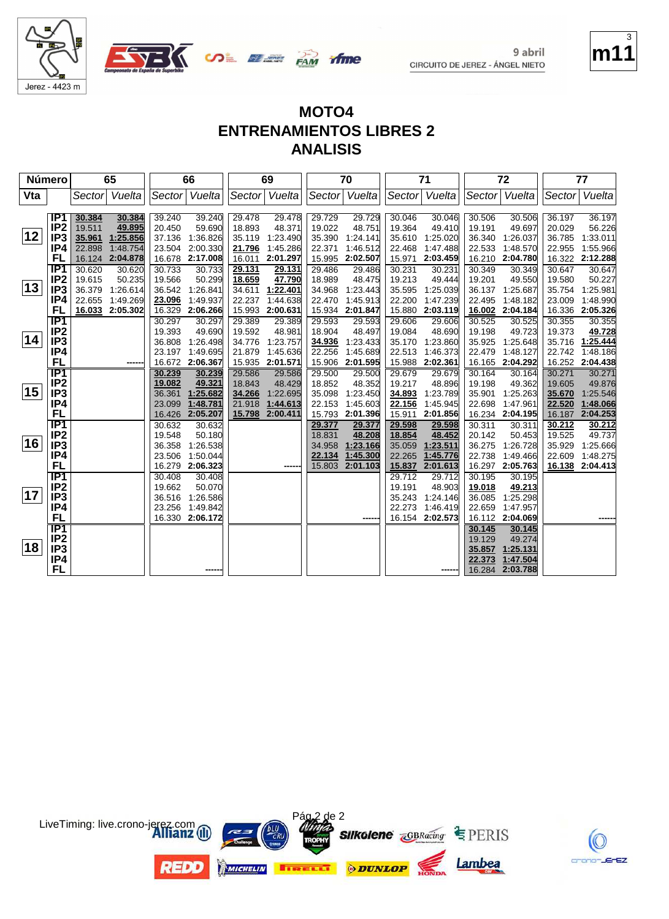



**COL BEE PAM** 

ifme

| Número |                  |        | 65              |        | 66              |        | 69              |        | 70       |        | 71              |        | 72              |        | 77              |
|--------|------------------|--------|-----------------|--------|-----------------|--------|-----------------|--------|----------|--------|-----------------|--------|-----------------|--------|-----------------|
| Vta    |                  | Sector | Vuelta          |        | Sector Vuelta   | Sector | Vuelta          | Sector | Vuelta   | Sector | Vuelta          | Sector | Vuelta          |        | Sector Vuelta   |
|        |                  |        |                 |        |                 |        |                 |        |          |        |                 |        |                 |        |                 |
|        | IP1              | 30.384 | 30.384          | 39.240 | 39.240          | 29.478 | 29.478          | 29.729 | 29.729   | 30.046 | 30.046          | 30.506 | 30.506          | 36.197 | 36.197          |
|        | IP <sub>2</sub>  | 19.511 | 49.895          | 20.450 | 59.690          | 18.893 | 48.371          | 19.022 | 48.751   | 19.364 | 49.410          | 19.191 | 49.697          | 20.029 | 56.226          |
| 12     | IP <sub>3</sub>  | 35.961 | 1:25.856        | 37.136 | 1:36.826        | 35.119 | 1:23.490        | 35.390 | 1:24.141 | 35.610 | 1:25.020        | 36.340 | 1:26.037        | 36.785 | 1:33.011        |
|        | IP4              | 22.898 | 1:48.754        |        | 23.504 2:00.330 | 21.796 | 1:45.286        | 22.371 | 1:46.512 | 22.468 | 1:47.488        | 22.533 | 1:48.570        | 22.955 | 1:55.966        |
|        | FL               |        | 16.124 2:04.878 |        | 16.678 2:17.008 | 16.011 | 2:01.297        | 15.995 | 2:02.507 | 15.971 | 2:03.459        | 16.210 | 2:04.780        |        | 16.322 2:12.288 |
|        | IP <sub>1</sub>  | 30.620 | 30.620          | 30.733 | 30.733          | 29.131 | 29.131          | 29.486 | 29.486   | 30.231 | 30.231          | 30.349 | 30.349          | 30.647 | 30.647          |
|        | IP <sub>2</sub>  | 19.615 | 50.235          | 19.566 | 50.299          | 18.659 | 47.790          | 18.989 | 48.475   | 19.213 | 49.444          | 19.201 | 49.550          | 19.580 | 50.227          |
| 13     | IP <sub>3</sub>  | 36.379 | 1:26.614        | 36.542 | 1:26.841        | 34.611 | 1:22.401        | 34.968 | 1:23.443 | 35.595 | 1:25.039        | 36.137 | 1:25.687        | 35.754 | 1:25.981        |
|        | IP4              | 22.655 | 1:49.269        | 23.096 | 1:49.937        | 22.237 | 1:44.638        | 22.470 | 1:45.913 | 22.200 | 1:47.239        | 22.495 | 1:48.182        | 23.009 | 1:48.990        |
|        | FL               |        | 16.033 2:05.302 | 16.329 | 2:06.266        | 15.993 | 2:00.631        | 15.934 | 2:01.847 | 15.880 | 2:03.119        | 16.002 | 2:04.184        | 16.336 | 2:05.326        |
|        | IP1              |        |                 | 30.297 | 30.297          | 29.389 | 29.389          | 29.593 | 29.593   | 29.606 | 29.606          | 30.525 | 30.525          | 30.355 | 30.355          |
|        | IP <sub>2</sub>  |        |                 | 19.393 | 49.690          | 19.592 | 48.981          | 18.904 | 48.497   | 19.084 | 48.690          | 19.198 | 49.723          | 19.373 | 49.728          |
| 14     | IP <sub>3</sub>  |        |                 | 36.808 | 1:26.498        | 34.776 | 1:23.757        | 34.936 | 1:23.433 | 35.170 | 1:23.860        | 35.925 | 1:25.648        | 35.716 | 1:25.444        |
|        | IP4              |        |                 |        | 23.197 1:49.695 | 21.879 | 1:45.636        | 22.256 | 1:45.689 | 22.513 | 1:46.373        | 22.479 | 1:48.127        | 22.742 | 1:48.186        |
|        | <b>FL</b>        |        |                 |        | 16.672 2:06.367 |        | 15.935 2:01.571 | 15.906 | 2:01.595 |        | 15.988 2:02.361 |        | 16.165 2:04.292 |        | 16.252 2:04.438 |
|        | IP1              |        |                 | 30.239 | 30.239          | 29.586 | 29.586          | 29.500 | 29.500   | 29.679 | 29.679          | 30.164 | 30.164          | 30.271 | 30.271          |
|        | IP <sub>2</sub>  |        |                 | 19.082 | 49.321          | 18.843 | 48.429          | 18.852 | 48.352   | 19.217 | 48.896          | 19.198 | 49.362          | 19.605 | 49.876          |
| 15     | IP3              |        |                 |        | 36.361 1:25.682 | 34.266 | 1:22.695        | 35.098 | 1:23.450 | 34.893 | 1:23.789        | 35.901 | 1:25.263        | 35.670 | 1:25.546        |
|        | IP4              |        |                 | 23.099 | 1:48.781        | 21.918 | 1:44.613        | 22.153 | 1:45.603 | 22.156 | 1:45.945        | 22.698 | 1:47.961        | 22.520 | 1:48.066        |
|        | <b>FL</b>        |        |                 |        | 16.426 2:05.207 | 15.798 | 2:00.411        | 15.793 | 2:01.396 | 15.911 | 2:01.856        | 16.234 | 2:04.195        | 16.187 | 2:04.253        |
|        | $\overline{IP1}$ |        |                 | 30.632 | 30.632          |        |                 | 29.377 | 29.377   | 29.598 | 29.598          | 30.311 | 30.311          | 30.212 | 30.212          |
|        | IP <sub>2</sub>  |        |                 | 19.548 | 50.180          |        |                 | 18.831 | 48.208   | 18.854 | 48.452          | 20.142 | 50.453          | 19.525 | 49.737          |
| 16     | IP <sub>3</sub>  |        |                 | 36.358 | 1:26.538        |        |                 | 34.958 | 1:23.166 | 35.059 | 1:23.511        | 36.275 | 1:26.728        | 35.929 | 1:25.666        |
|        | IP4              |        |                 | 23.506 | 1:50.044        |        |                 | 22.134 | 1:45.300 | 22.265 | 1:45.776        | 22.738 | 1:49.466        | 22.609 | 1:48.275        |
|        | <b>FL</b>        |        |                 |        | 16.279 2:06.323 |        |                 | 15.803 | 2:01.103 | 15.837 | 2:01.613        | 16.297 | 2:05.763        |        | 16.138 2:04.413 |
|        | $\overline{IP1}$ |        |                 | 30.408 | 30.408          |        |                 |        |          | 29.712 | 29.712          | 30.195 | 30.195          |        |                 |
| 17     | IP <sub>2</sub>  |        |                 | 19.662 | 50.070          |        |                 |        |          | 19.191 | 48.903          | 19.018 | 49.213          |        |                 |
|        | IP3              |        |                 | 36.516 | 1:26.586        |        |                 |        |          | 35.243 | 1:24.146        | 36.085 | 1:25.298        |        |                 |
|        | IP4              |        |                 |        | 23.256 1:49.842 |        |                 |        |          | 22.273 | 1:46.419        | 22.659 | 1:47.957        |        |                 |
|        | FL               |        |                 |        | 16.330 2:06.172 |        |                 |        |          |        | 16.154 2:02.573 |        | 16.112 2:04.069 |        |                 |
|        | $\overline{IP1}$ |        |                 |        |                 |        |                 |        |          |        |                 | 30.145 | 30.145          |        |                 |
| 18     | IP <sub>2</sub>  |        |                 |        |                 |        |                 |        |          |        |                 | 19.129 | 49.274          |        |                 |
|        | IP <sub>3</sub>  |        |                 |        |                 |        |                 |        |          |        |                 | 35.857 | 1:25.131        |        |                 |
|        | IP4              |        |                 |        |                 |        |                 |        |          |        |                 | 22.373 | 1:47.504        |        |                 |
|        | <b>FL</b>        |        |                 |        |                 |        |                 |        |          |        |                 | 16.284 | 2:03.788        |        |                 |







9 abril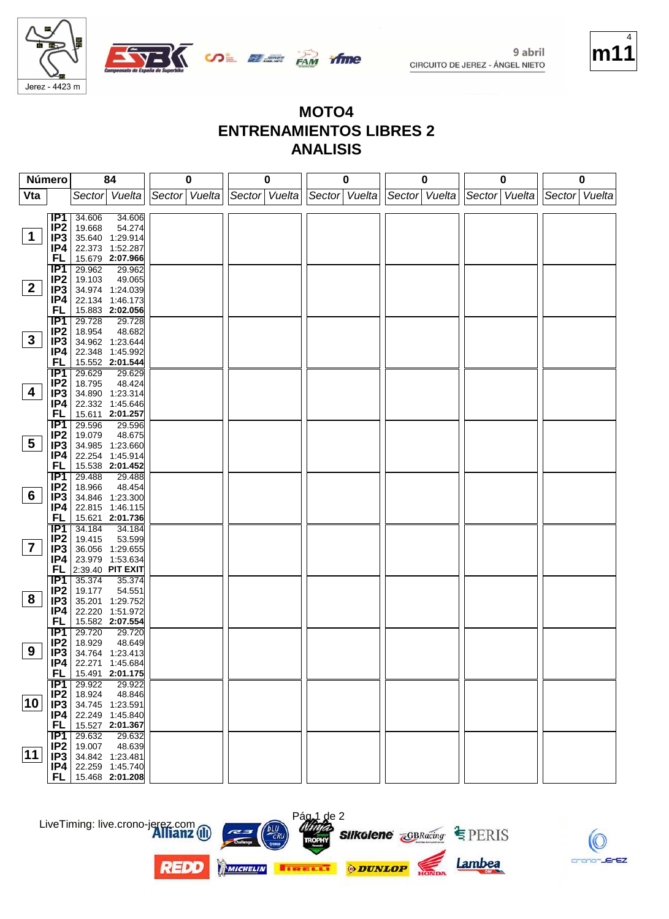

Jerez - 4423 m

9 abril CIRCUITO DE JEREZ - ÁNGEL NIETO



#### **MOTO4 ENTRENAMIENTOS LIBRES 2 ANALISIS**

**if me** 

|                 | Número                 | 84                                  | 0               | 0             | 0             | 0             | 0             | 0                 |
|-----------------|------------------------|-------------------------------------|-----------------|---------------|---------------|---------------|---------------|-------------------|
| Vta             |                        | Sector Vuelta                       | Sector   Vuelta | Sector Vuelta | Sector Vuelta | Sector Vuelta | Sector Vuelta | Vuelta<br> Sector |
|                 |                        |                                     |                 |               |               |               |               |                   |
|                 | IP1                    | 34.606<br>34.606                    |                 |               |               |               |               |                   |
| 1               | IP <sub>2</sub>        | 19.668<br>54.274<br>35.640 1:29.914 |                 |               |               |               |               |                   |
|                 | IP3<br>IP4             | 22.373 1:52.287                     |                 |               |               |               |               |                   |
|                 | FL                     | 15.679 2:07.966                     |                 |               |               |               |               |                   |
|                 | $\overline{IP1}$       | 29.962<br>29.962                    |                 |               |               |               |               |                   |
|                 | IP <sub>2</sub>        | 19.103<br>49.065                    |                 |               |               |               |               |                   |
| $\mathbf{2}$    | IP3                    | 34.974 1:24.039                     |                 |               |               |               |               |                   |
|                 | IP4                    | 22.134 1:46.173                     |                 |               |               |               |               |                   |
|                 | FL                     | 15.883 2:02.056                     |                 |               |               |               |               |                   |
|                 | $\overline{IP1}$       | 29.728<br>29.728                    |                 |               |               |               |               |                   |
|                 | IP <sub>2</sub>        | 18.954<br>48.682                    |                 |               |               |               |               |                   |
| $3\phantom{a}$  | IP3                    | 34.962 1:23.644                     |                 |               |               |               |               |                   |
|                 | IP4<br><b>FL</b>       | 22.348 1:45.992<br>15.552 2:01.544  |                 |               |               |               |               |                   |
|                 | TP1                    | 29.629<br>29.629                    |                 |               |               |               |               |                   |
|                 | IP <sub>2</sub>        | 18.795<br>48.424                    |                 |               |               |               |               |                   |
| 4               | IP3                    | 34.890 1:23.314                     |                 |               |               |               |               |                   |
|                 | IP4                    | 22.332 1:45.646                     |                 |               |               |               |               |                   |
|                 | FL                     | 15.611 2:01.257                     |                 |               |               |               |               |                   |
|                 | $\overline{IP1}$       | 29.596<br>29.596                    |                 |               |               |               |               |                   |
|                 | IP <sub>2</sub>        | 19.079<br>48.675                    |                 |               |               |               |               |                   |
| $5\overline{)}$ | IP3                    | 34.985 1:23.660                     |                 |               |               |               |               |                   |
|                 | IP4                    | 22.254 1:45.914                     |                 |               |               |               |               |                   |
|                 | FL                     | 15.538 2:01.452                     |                 |               |               |               |               |                   |
|                 | IP1                    | 29.488<br>29.488                    |                 |               |               |               |               |                   |
| $6\phantom{1}$  | IP <sub>2</sub>        | 18.966<br>48.454                    |                 |               |               |               |               |                   |
|                 | IP <sub>3</sub><br>IP4 | 34.846 1:23.300<br>22.815 1:46.115  |                 |               |               |               |               |                   |
|                 | FL                     | 15.621 2:01.736                     |                 |               |               |               |               |                   |
|                 | $\overline{IP1}$       | 34.184<br>34.184                    |                 |               |               |               |               |                   |
|                 | IP <sub>2</sub>        | 19.415<br>53.599                    |                 |               |               |               |               |                   |
| $\overline{7}$  | IP3                    | 36.056 1:29.655                     |                 |               |               |               |               |                   |
|                 | IP4                    | 23.979 1:53.634                     |                 |               |               |               |               |                   |
|                 | <b>FL</b>              | 2:39.40 PIT EXIT                    |                 |               |               |               |               |                   |
|                 | TP1                    | 35.374<br>35.374                    |                 |               |               |               |               |                   |
| 8               | IP <sub>2</sub>        | 19.177<br>54.551                    |                 |               |               |               |               |                   |
|                 | IP <sub>3</sub>        | 35.201 1:29.752                     |                 |               |               |               |               |                   |
|                 | IP4<br><b>FL</b>       | 22.220 1:51.972<br>15.582 2:07.554  |                 |               |               |               |               |                   |
|                 | IP1                    | 29.720<br>29.720                    |                 |               |               |               |               |                   |
|                 | IP <sub>2</sub>        | 18.929<br>48.649                    |                 |               |               |               |               |                   |
| 9               | IP3                    | 34.764 1:23.413                     |                 |               |               |               |               |                   |
|                 | P4                     | 22.271 1:45.684                     |                 |               |               |               |               |                   |
|                 | <b>FL</b>              | 15.491 2:01.175                     |                 |               |               |               |               |                   |
|                 | $\overline{IP1}$       | 29.922<br>29.922                    |                 |               |               |               |               |                   |
|                 | IP2                    | 18.924<br>48.846                    |                 |               |               |               |               |                   |
| 10 <sup>1</sup> | IP <sub>3</sub>        | 34.745 1:23.591                     |                 |               |               |               |               |                   |
|                 | IP4                    | 22.249 1:45.840<br>15.527 2:01.367  |                 |               |               |               |               |                   |
|                 | <b>FL</b><br>IP1       | 29.632<br>29.632                    |                 |               |               |               |               |                   |
|                 | IP2                    | 19.007<br>48.639                    |                 |               |               |               |               |                   |
| 11              | IP3                    | 34.842 1:23.481                     |                 |               |               |               |               |                   |
|                 | P4                     | 22.259 1:45.740                     |                 |               |               |               |               |                   |
|                 | FL.                    | 15.468 2:01.208                     |                 |               |               |               |               |                   |

LiveTiming: live.crono-jerez.com



**REDO** 



Lambea

EZ.

crono-JEr

Pág 1 de 2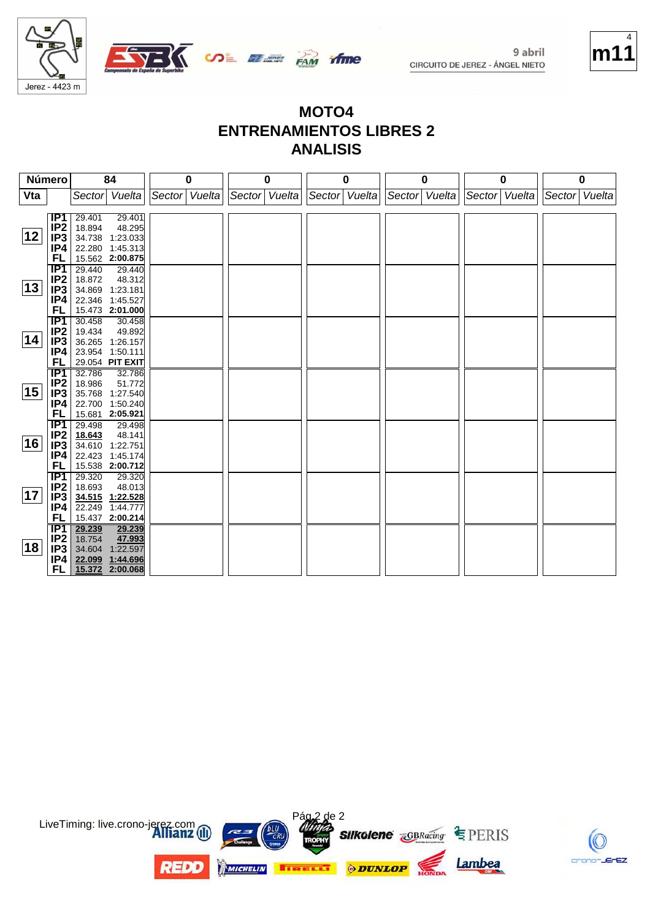

# **m11** 4

#### **MOTO4 ENTRENAMIENTOS LIBRES 2 ANALISIS**

**ifme** 

| Número       |                                    | 84                                    | 0             | 0             | 0             | 0             | 0             | 0             |  |
|--------------|------------------------------------|---------------------------------------|---------------|---------------|---------------|---------------|---------------|---------------|--|
| Vta          |                                    | Vuelta<br>Sector                      | Sector Vuelta | Sector Vuelta | Sector Vuelta | Sector Vuelta | Sector Vuelta | Sector Vuelta |  |
|              |                                    |                                       |               |               |               |               |               |               |  |
|              | IP1                                | 29.401<br>29.401                      |               |               |               |               |               |               |  |
|              | IP <sub>2</sub>                    | 18.894<br>48.295                      |               |               |               |               |               |               |  |
| 12           | IP <sub>3</sub>                    | 34.738<br>1:23.033                    |               |               |               |               |               |               |  |
|              | IP4                                | 22.280<br>1:45.313                    |               |               |               |               |               |               |  |
|              | FL                                 | 15.562 2:00.875                       |               |               |               |               |               |               |  |
|              | $\overline{IP1}$                   | 29.440<br>29.440                      |               |               |               |               |               |               |  |
|              | IP <sub>2</sub>                    | 18.872<br>48.312                      |               |               |               |               |               |               |  |
| $ 13\rangle$ | IP <sub>3</sub>                    | 34.869 1:23.181                       |               |               |               |               |               |               |  |
|              | IP4                                | 22.346 1:45.527                       |               |               |               |               |               |               |  |
|              | FL                                 | 15.473 2:01.000                       |               |               |               |               |               |               |  |
|              | <b>IP1</b>                         | 30.458<br>30.458                      |               |               |               |               |               |               |  |
| 14           | IP <sub>2</sub>                    | 19.434<br>49.892                      |               |               |               |               |               |               |  |
|              | IP <sub>3</sub>                    | 36.265<br>1:26.157                    |               |               |               |               |               |               |  |
|              | IP4                                | 23.954 1:50.111                       |               |               |               |               |               |               |  |
|              | FL                                 | 29.054 PIT EXIT                       |               |               |               |               |               |               |  |
|              | IP1                                | 32.786<br>32.786                      |               |               |               |               |               |               |  |
| 15           | IP <sub>2</sub>                    | 18.986<br>51.772                      |               |               |               |               |               |               |  |
|              | IP <sub>3</sub>                    | 35.768<br>1:27.540                    |               |               |               |               |               |               |  |
|              | IP4<br>FL                          | 22.700<br>1:50.240                    |               |               |               |               |               |               |  |
|              |                                    | 15.681 2:05.921                       |               |               |               |               |               |               |  |
|              | IP <sub>1</sub><br>IP <sub>2</sub> | 29.498<br>29.498                      |               |               |               |               |               |               |  |
| 16           | IP <sub>3</sub>                    | 18.643<br>48.141                      |               |               |               |               |               |               |  |
|              | IP4                                | 34.610<br>1:22.751<br>22.423 1:45.174 |               |               |               |               |               |               |  |
|              | <b>FL</b>                          | 15.538 2:00.712                       |               |               |               |               |               |               |  |
|              | IP1                                | 29.320<br>29.320                      |               |               |               |               |               |               |  |
|              | IP <sub>2</sub>                    | 18.693<br>48.013                      |               |               |               |               |               |               |  |
| 17           | IP <sub>3</sub>                    | 34.515<br>1:22.528                    |               |               |               |               |               |               |  |
|              | IP4                                | 1:44.777<br>22.249                    |               |               |               |               |               |               |  |
|              | FL                                 | 15.437 2:00.214                       |               |               |               |               |               |               |  |
|              | TP1                                | 29.239<br>29.239                      |               |               |               |               |               |               |  |
|              | IP <sub>2</sub>                    | 18.754<br>47.993                      |               |               |               |               |               |               |  |
| 18           | IP <sub>3</sub>                    | 34.604<br>1:22.597                    |               |               |               |               |               |               |  |
|              | IP4                                | 22.099 1:44.696                       |               |               |               |               |               |               |  |
|              | FL.                                | 15.372 2:00.068                       |               |               |               |               |               |               |  |



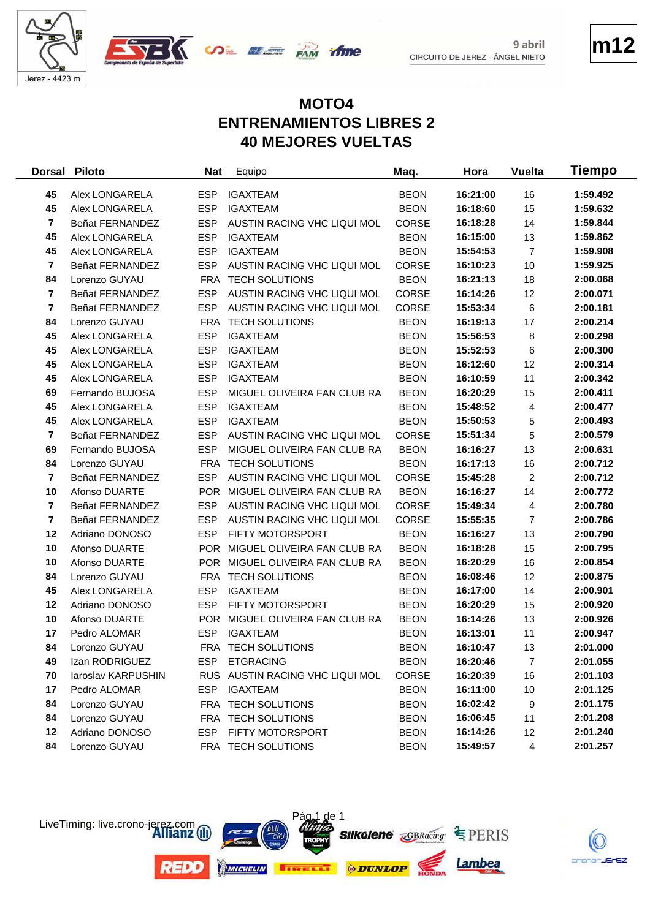





**m12**

# **MOTO4 ENTRENAMIENTOS LIBRES 2 40 MEJORES VUELTAS**

*ifme* 

| <b>Dorsal</b>           | <b>Piloto</b>      | <b>Nat</b> | Equipo                          | Maq.         | Hora     | Vuelta         | Tiempo   |
|-------------------------|--------------------|------------|---------------------------------|--------------|----------|----------------|----------|
| 45                      | Alex LONGARELA     | <b>ESP</b> | <b>IGAXTEAM</b>                 | <b>BEON</b>  | 16:21:00 | 16             | 1:59.492 |
| 45                      | Alex LONGARELA     | <b>ESP</b> | <b>IGAXTEAM</b>                 | <b>BEON</b>  | 16:18:60 | 15             | 1:59.632 |
| $\overline{\mathbf{r}}$ | Beñat FERNANDEZ    | <b>ESP</b> | AUSTIN RACING VHC LIQUI MOL     | <b>CORSE</b> | 16:18:28 | 14             | 1:59.844 |
| 45                      | Alex LONGARELA     | <b>ESP</b> | <b>IGAXTEAM</b>                 | <b>BEON</b>  | 16:15:00 | 13             | 1:59.862 |
| 45                      | Alex LONGARELA     | <b>ESP</b> | <b>IGAXTEAM</b>                 | <b>BEON</b>  | 15:54:53 | $\overline{7}$ | 1:59.908 |
| $\overline{7}$          | Beñat FERNANDEZ    | <b>ESP</b> | AUSTIN RACING VHC LIQUI MOL     | <b>CORSE</b> | 16:10:23 | 10             | 1:59.925 |
| 84                      | Lorenzo GUYAU      | <b>FRA</b> | <b>TECH SOLUTIONS</b>           | <b>BEON</b>  | 16:21:13 | 18             | 2:00.068 |
| $\overline{7}$          | Beñat FERNANDEZ    | <b>ESP</b> | AUSTIN RACING VHC LIQUI MOL     | CORSE        | 16:14:26 | 12             | 2:00.071 |
| $\overline{7}$          | Beñat FERNANDEZ    | <b>ESP</b> | AUSTIN RACING VHC LIQUI MOL     | <b>CORSE</b> | 15:53:34 | 6              | 2:00.181 |
| 84                      | Lorenzo GUYAU      | FRA        | <b>TECH SOLUTIONS</b>           | <b>BEON</b>  | 16:19:13 | 17             | 2:00.214 |
| 45                      | Alex LONGARELA     | <b>ESP</b> | <b>IGAXTEAM</b>                 | <b>BEON</b>  | 15:56:53 | 8              | 2:00.298 |
| 45                      | Alex LONGARELA     | <b>ESP</b> | <b>IGAXTEAM</b>                 | <b>BEON</b>  | 15:52:53 | 6              | 2:00.300 |
| 45                      | Alex LONGARELA     | <b>ESP</b> | <b>IGAXTEAM</b>                 | <b>BEON</b>  | 16:12:60 | 12             | 2:00.314 |
| 45                      | Alex LONGARELA     | <b>ESP</b> | <b>IGAXTEAM</b>                 | <b>BEON</b>  | 16:10:59 | 11             | 2:00.342 |
| 69                      | Fernando BUJOSA    | <b>ESP</b> | MIGUEL OLIVEIRA FAN CLUB RA     | <b>BEON</b>  | 16:20:29 | 15             | 2:00.411 |
| 45                      | Alex LONGARELA     | <b>ESP</b> | <b>IGAXTEAM</b>                 | <b>BEON</b>  | 15:48:52 | 4              | 2:00.477 |
| 45                      | Alex LONGARELA     | <b>ESP</b> | <b>IGAXTEAM</b>                 | <b>BEON</b>  | 15:50:53 | 5              | 2:00.493 |
| $\overline{\mathbf{r}}$ | Beñat FERNANDEZ    | <b>ESP</b> | AUSTIN RACING VHC LIQUI MOL     | <b>CORSE</b> | 15:51:34 | 5              | 2:00.579 |
| 69                      | Fernando BUJOSA    | <b>ESP</b> | MIGUEL OLIVEIRA FAN CLUB RA     | <b>BEON</b>  | 16:16:27 | 13             | 2:00.631 |
| 84                      | Lorenzo GUYAU      | FRA        | <b>TECH SOLUTIONS</b>           | <b>BEON</b>  | 16:17:13 | 16             | 2:00.712 |
| $\overline{7}$          | Beñat FERNANDEZ    | <b>ESP</b> | AUSTIN RACING VHC LIQUI MOL     | CORSE        | 15:45:28 | $\overline{c}$ | 2:00.712 |
| 10                      | Afonso DUARTE      |            | POR MIGUEL OLIVEIRA FAN CLUB RA | <b>BEON</b>  | 16:16:27 | 14             | 2:00.772 |
| $\overline{7}$          | Beñat FERNANDEZ    | <b>ESP</b> | AUSTIN RACING VHC LIQUI MOL     | <b>CORSE</b> | 15:49:34 | 4              | 2:00.780 |
| $\overline{7}$          | Beñat FERNANDEZ    | <b>ESP</b> | AUSTIN RACING VHC LIQUI MOL     | CORSE        | 15:55:35 | $\overline{7}$ | 2:00.786 |
| 12                      | Adriano DONOSO     | <b>ESP</b> | FIFTY MOTORSPORT                | <b>BEON</b>  | 16:16:27 | 13             | 2:00.790 |
| 10                      | Afonso DUARTE      |            | POR MIGUEL OLIVEIRA FAN CLUB RA | <b>BEON</b>  | 16:18:28 | 15             | 2:00.795 |
| 10                      | Afonso DUARTE      |            | POR MIGUEL OLIVEIRA FAN CLUB RA | <b>BEON</b>  | 16:20:29 | 16             | 2:00.854 |
| 84                      | Lorenzo GUYAU      |            | FRA TECH SOLUTIONS              | <b>BEON</b>  | 16:08:46 | 12             | 2:00.875 |
| 45                      | Alex LONGARELA     | <b>ESP</b> | <b>IGAXTEAM</b>                 | <b>BEON</b>  | 16:17:00 | 14             | 2:00.901 |
| 12                      | Adriano DONOSO     | <b>ESP</b> | FIFTY MOTORSPORT                | <b>BEON</b>  | 16:20:29 | 15             | 2:00.920 |
| 10                      | Afonso DUARTE      |            | POR MIGUEL OLIVEIRA FAN CLUB RA | <b>BEON</b>  | 16:14:26 | 13             | 2:00.926 |
| 17                      | Pedro ALOMAR       | <b>ESP</b> | <b>IGAXTEAM</b>                 | <b>BEON</b>  | 16:13:01 | 11             | 2:00.947 |
| 84                      | Lorenzo GUYAU      |            | FRA TECH SOLUTIONS              | <b>BEON</b>  | 16:10:47 | 13             | 2:01.000 |
| 49                      | Izan RODRIGUEZ     |            | ESP ETGRACING                   | <b>BEON</b>  | 16:20:46 | $\overline{7}$ | 2:01.055 |
| 70                      | laroslav KARPUSHIN |            | RUS AUSTIN RACING VHC LIQUI MOL | <b>CORSE</b> | 16:20:39 | 16             | 2:01.103 |
| 17                      | Pedro ALOMAR       | <b>ESP</b> | <b>IGAXTEAM</b>                 | <b>BEON</b>  | 16:11:00 | 10             | 2:01.125 |
| 84                      | Lorenzo GUYAU      |            | FRA TECH SOLUTIONS              | <b>BEON</b>  | 16:02:42 | 9              | 2:01.175 |
| 84                      | Lorenzo GUYAU      |            | FRA TECH SOLUTIONS              | <b>BEON</b>  | 16:06:45 | 11             | 2:01.208 |
| 12                      | Adriano DONOSO     | ESP        | <b>FIFTY MOTORSPORT</b>         | <b>BEON</b>  | 16:14:26 | 12             | 2:01.240 |
| 84                      | Lorenzo GUYAU      |            | FRA TECH SOLUTIONS              | <b>BEON</b>  | 15:49:57 | 4              | 2:01.257 |



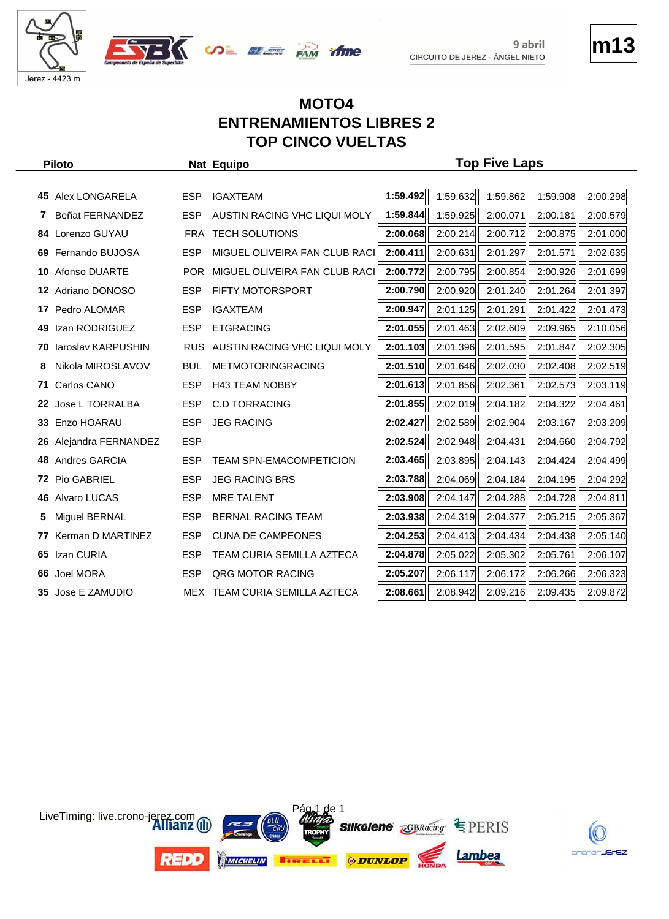



# **m13**

#### **MOTO4 ENTRENAMIENTOS LIBRES 2 TOP CINCO VUELTAS**

 $\infty$   $\mathbb{Z}$   $\mathbb{Z}$   $\mathbb{Z}$   $\mathbb{Z}$   $\mathbb{Z}$   $\mathbb{Z}$   $\mathbb{Z}$   $\mathbb{Z}$   $\mathbb{Z}$   $\mathbb{Z}$   $\mathbb{Z}$   $\mathbb{Z}$   $\mathbb{Z}$   $\mathbb{Z}$   $\mathbb{Z}$   $\mathbb{Z}$   $\mathbb{Z}$   $\mathbb{Z}$   $\mathbb{Z}$   $\mathbb{Z}$   $\mathbb{Z}$   $\mathbb{Z}$   $\mathbb{Z}$   $\mathbb{Z}$ 

| <b>Piloto</b> |                        |            | Nat Equipo                       | <b>Top Five Laps</b> |          |          |          |          |  |
|---------------|------------------------|------------|----------------------------------|----------------------|----------|----------|----------|----------|--|
|               |                        |            |                                  |                      |          |          |          |          |  |
|               | 45 Alex LONGARELA      | <b>ESP</b> | <b>IGAXTEAM</b>                  | 1:59.492             | 1:59.632 | 1:59.862 | 1:59.908 | 2:00.298 |  |
| 7             | Beñat FERNANDEZ        | <b>ESP</b> | AUSTIN RACING VHC LIQUI MOLY     | 1:59.844             | 1:59.925 | 2:00.071 | 2:00.181 | 2:00.579 |  |
|               | 84 Lorenzo GUYAU       | FRA        | <b>TECH SOLUTIONS</b>            | 2:00.068             | 2:00.214 | 2:00.712 | 2:00.875 | 2:01.000 |  |
|               | 69 Fernando BUJOSA     | <b>ESP</b> | MIGUEL OLIVEIRA FAN CLUB RACI    | 2:00.411             | 2:00.631 | 2:01.297 | 2:01.571 | 2:02.635 |  |
|               | 10 Afonso DUARTE       | <b>POR</b> | MIGUEL OLIVEIRA FAN CLUB RACI    | 2:00.772             | 2:00.795 | 2:00.854 | 2:00.926 | 2:01.699 |  |
|               | 12 Adriano DONOSO      | <b>ESP</b> | FIFTY MOTORSPORT                 | 2:00.790             | 2:00.920 | 2:01.240 | 2:01.264 | 2:01.397 |  |
| 17            | Pedro ALOMAR           | <b>ESP</b> | <b>IGAXTEAM</b>                  | 2:00.947             | 2:01.125 | 2:01.291 | 2:01.422 | 2:01.473 |  |
| 49.           | Izan RODRIGUEZ         | <b>ESP</b> | <b>ETGRACING</b>                 | 2:01.055             | 2:01.463 | 2:02.609 | 2:09.965 | 2:10.056 |  |
| 70            | laroslav KARPUSHIN     |            | RUS AUSTIN RACING VHC LIQUI MOLY | 2:01.103             | 2:01.396 | 2:01.595 | 2:01.847 | 2:02.305 |  |
| 8             | Nikola MIROSLAVOV      | <b>BUL</b> | <b>METMOTORINGRACING</b>         | 2:01.510             | 2:01.646 | 2:02.030 | 2:02.408 | 2:02.519 |  |
| 71.           | Carlos CANO            | <b>ESP</b> | <b>H43 TEAM NOBBY</b>            | 2:01.613             | 2:01.856 | 2:02.361 | 2:02.573 | 2:03.119 |  |
|               | 22 Jose L TORRALBA     | <b>ESP</b> | <b>C.D TORRACING</b>             | 2:01.855             | 2:02.019 | 2:04.182 | 2:04.322 | 2:04.461 |  |
|               | 33 Enzo HOARAU         | <b>ESP</b> | <b>JEG RACING</b>                | 2:02.427             | 2:02.589 | 2:02.904 | 2:03.167 | 2:03.209 |  |
|               | 26 Alejandra FERNANDEZ | <b>ESP</b> |                                  | 2:02.524             | 2:02.948 | 2:04.431 | 2:04.660 | 2:04.792 |  |
|               | 48 Andres GARCIA       | <b>ESP</b> | <b>TEAM SPN-EMACOMPETICION</b>   | 2:03.465             | 2:03.895 | 2:04.143 | 2:04.424 | 2:04.499 |  |
|               | 72 Pio GABRIEL         | <b>ESP</b> | <b>JEG RACING BRS</b>            | 2:03.788             | 2:04.069 | 2:04.184 | 2:04.195 | 2:04.292 |  |
|               | 46 Alvaro LUCAS        | <b>ESP</b> | <b>MRE TALENT</b>                | 2:03.908             | 2:04.147 | 2:04.288 | 2:04.728 | 2:04.811 |  |
| 5             | Miguel BERNAL          | <b>ESP</b> | <b>BERNAL RACING TEAM</b>        | 2:03.938             | 2:04.319 | 2:04.377 | 2:05.215 | 2:05.367 |  |
| 77            | Kerman D MARTINEZ      | <b>ESP</b> | <b>CUNA DE CAMPEONES</b>         | 2:04.253             | 2:04.413 | 2:04.434 | 2:04.438 | 2:05.140 |  |
| 65            | Izan CURIA             | <b>ESP</b> | TEAM CURIA SEMILLA AZTECA        | 2:04.878             | 2:05.022 | 2:05.302 | 2:05.761 | 2:06.107 |  |
|               | 66 Joel MORA           | <b>ESP</b> | <b>QRG MOTOR RACING</b>          | 2:05.207             | 2:06.117 | 2:06.172 | 2:06.266 | 2:06.323 |  |
|               | 35 Jose E ZAMUDIO      |            | MEX TEAM CURIA SEMILLA AZTECA    | 2:08.661             | 2:08.942 | 2:09.216 | 2:09.435 | 2:09.872 |  |



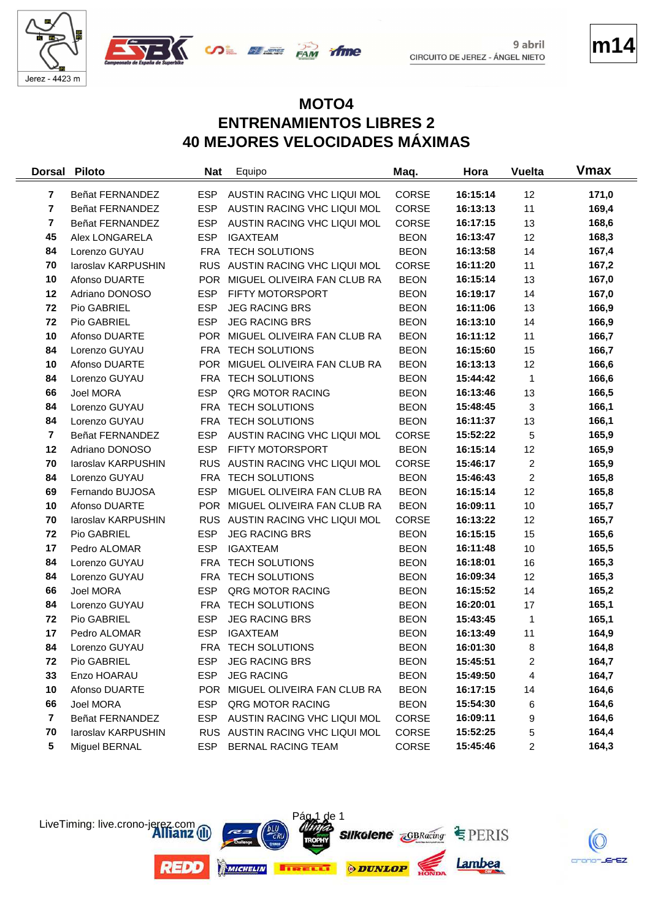



**m14**

### **MOTO4 ENTRENAMIENTOS LIBRES 2 40 MEJORES VELOCIDADES MÁXIMAS**

time

| <b>Dorsal</b>  | <b>Piloto</b>      | <b>Nat</b> | Equipo                          | Maq.         | Hora     | <b>Vuelta</b>  | <b>V</b> max |
|----------------|--------------------|------------|---------------------------------|--------------|----------|----------------|--------------|
| 7              | Beñat FERNANDEZ    | <b>ESP</b> | AUSTIN RACING VHC LIQUI MOL     | CORSE        | 16:15:14 | 12             | 171,0        |
| $\overline{7}$ | Beñat FERNANDEZ    | <b>ESP</b> | AUSTIN RACING VHC LIQUI MOL     | CORSE        | 16:13:13 | 11             | 169,4        |
| $\overline{7}$ | Beñat FERNANDEZ    | <b>ESP</b> | AUSTIN RACING VHC LIQUI MOL     | <b>CORSE</b> | 16:17:15 | 13             | 168,6        |
| 45             | Alex LONGARELA     | <b>ESP</b> | <b>IGAXTEAM</b>                 | <b>BEON</b>  | 16:13:47 | 12             | 168,3        |
| 84             | Lorenzo GUYAU      | <b>FRA</b> | <b>TECH SOLUTIONS</b>           | <b>BEON</b>  | 16:13:58 | 14             | 167,4        |
| 70             | laroslav KARPUSHIN |            | RUS AUSTIN RACING VHC LIQUI MOL | <b>CORSE</b> | 16:11:20 | 11             | 167,2        |
| 10             | Afonso DUARTE      |            | POR MIGUEL OLIVEIRA FAN CLUB RA | <b>BEON</b>  | 16:15:14 | 13             | 167,0        |
| 12             | Adriano DONOSO     | <b>ESP</b> | FIFTY MOTORSPORT                | <b>BEON</b>  | 16:19:17 | 14             | 167,0        |
| 72             | Pio GABRIEL        | <b>ESP</b> | <b>JEG RACING BRS</b>           | <b>BEON</b>  | 16:11:06 | 13             | 166,9        |
| 72             | Pio GABRIEL        | <b>ESP</b> | <b>JEG RACING BRS</b>           | <b>BEON</b>  | 16:13:10 | 14             | 166,9        |
| 10             | Afonso DUARTE      | <b>POR</b> | MIGUEL OLIVEIRA FAN CLUB RA     | <b>BEON</b>  | 16:11:12 | 11             | 166,7        |
| 84             | Lorenzo GUYAU      | <b>FRA</b> | <b>TECH SOLUTIONS</b>           | <b>BEON</b>  | 16:15:60 | 15             | 166,7        |
| 10             | Afonso DUARTE      |            | POR MIGUEL OLIVEIRA FAN CLUB RA | <b>BEON</b>  | 16:13:13 | 12             | 166,6        |
| 84             | Lorenzo GUYAU      | <b>FRA</b> | <b>TECH SOLUTIONS</b>           | <b>BEON</b>  | 15:44:42 | 1              | 166,6        |
| 66             | Joel MORA          | <b>ESP</b> | QRG MOTOR RACING                | <b>BEON</b>  | 16:13:46 | 13             | 166,5        |
| 84             | Lorenzo GUYAU      | <b>FRA</b> | <b>TECH SOLUTIONS</b>           | <b>BEON</b>  | 15:48:45 | 3              | 166,1        |
| 84             | Lorenzo GUYAU      | FRA        | <b>TECH SOLUTIONS</b>           | <b>BEON</b>  | 16:11:37 | 13             | 166,1        |
| $\overline{7}$ | Beñat FERNANDEZ    | <b>ESP</b> | AUSTIN RACING VHC LIQUI MOL     | <b>CORSE</b> | 15:52:22 | 5              | 165,9        |
| 12             | Adriano DONOSO     | <b>ESP</b> | FIFTY MOTORSPORT                | <b>BEON</b>  | 16:15:14 | 12             | 165,9        |
| 70             | laroslav KARPUSHIN |            | RUS AUSTIN RACING VHC LIQUI MOL | CORSE        | 15:46:17 | 2              | 165,9        |
| 84             | Lorenzo GUYAU      |            | FRA TECH SOLUTIONS              | <b>BEON</b>  | 15:46:43 | $\overline{c}$ | 165,8        |
| 69             | Fernando BUJOSA    | <b>ESP</b> | MIGUEL OLIVEIRA FAN CLUB RA     | <b>BEON</b>  | 16:15:14 | 12             | 165,8        |
| 10             | Afonso DUARTE      |            | POR MIGUEL OLIVEIRA FAN CLUB RA | <b>BEON</b>  | 16:09:11 | 10             | 165,7        |
| 70             | laroslav KARPUSHIN | <b>RUS</b> | AUSTIN RACING VHC LIQUI MOL     | <b>CORSE</b> | 16:13:22 | 12             | 165,7        |
| 72             | Pio GABRIEL        | <b>ESP</b> | <b>JEG RACING BRS</b>           | <b>BEON</b>  | 16:15:15 | 15             | 165,6        |
| 17             | Pedro ALOMAR       | <b>ESP</b> | <b>IGAXTEAM</b>                 | <b>BEON</b>  | 16:11:48 | 10             | 165,5        |
| 84             | Lorenzo GUYAU      | <b>FRA</b> | <b>TECH SOLUTIONS</b>           | <b>BEON</b>  | 16:18:01 | 16             | 165,3        |
| 84             | Lorenzo GUYAU      |            | FRA TECH SOLUTIONS              | <b>BEON</b>  | 16:09:34 | 12             | 165,3        |
| 66             | Joel MORA          | <b>ESP</b> | QRG MOTOR RACING                | <b>BEON</b>  | 16:15:52 | 14             | 165,2        |
| 84             | Lorenzo GUYAU      | <b>FRA</b> | <b>TECH SOLUTIONS</b>           | <b>BEON</b>  | 16:20:01 | 17             | 165,1        |
| 72             | Pio GABRIEL        | <b>ESP</b> | <b>JEG RACING BRS</b>           | <b>BEON</b>  | 15:43:45 | 1              | 165,1        |
| 17             | Pedro ALOMAR       | <b>ESP</b> | <b>IGAXTEAM</b>                 | <b>BEON</b>  | 16:13:49 | 11             | 164,9        |
| 84             | Lorenzo GUYAU      |            | FRA TECH SOLUTIONS              | <b>BEON</b>  | 16:01:30 | 8              | 164,8        |
| 72             | Pio GABRIEL        | <b>ESP</b> | <b>JEG RACING BRS</b>           | <b>BEON</b>  | 15:45:51 | 2              | 164,7        |
| 33             | Enzo HOARAU        | <b>ESP</b> | <b>JEG RACING</b>               | <b>BEON</b>  | 15:49:50 | 4              | 164,7        |
| 10             | Afonso DUARTE      |            | POR MIGUEL OLIVEIRA FAN CLUB RA | <b>BEON</b>  | 16:17:15 | 14             | 164,6        |
| 66             | Joel MORA          | <b>ESP</b> | QRG MOTOR RACING                | <b>BEON</b>  | 15:54:30 | 6              | 164,6        |
| $\overline{7}$ | Beñat FERNANDEZ    | ESP        | AUSTIN RACING VHC LIQUI MOL     | CORSE        | 16:09:11 | 9              | 164,6        |
| 70             | laroslav KARPUSHIN |            | RUS AUSTIN RACING VHC LIQUI MOL | CORSE        | 15:52:25 | 5              | 164,4        |
| 5              | Miguel BERNAL      | ESP        | BERNAL RACING TEAM              | CORSE        | 15:45:46 | 2              | 164,3        |